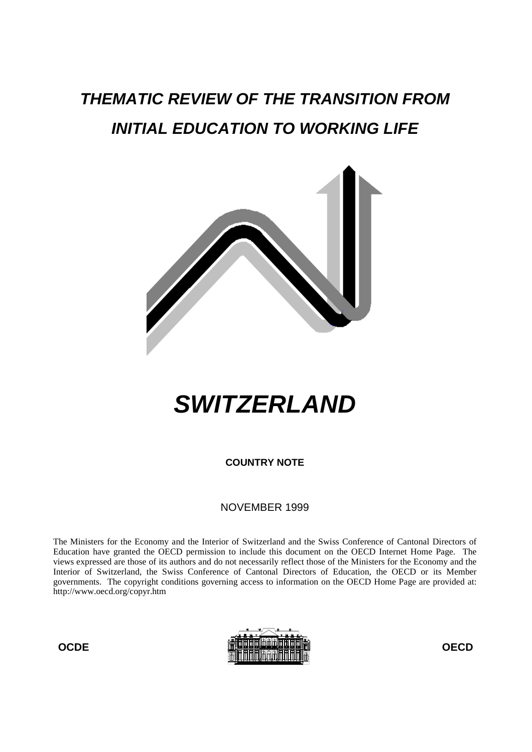## **THEMATIC REVIEW OF THE TRANSITION FROM INITIAL EDUCATION TO WORKING LIFE**



# **SWITZERLAND**

**COUNTRY NOTE**

NOVEMBER 1999

The Ministers for the Economy and the Interior of Switzerland and the Swiss Conference of Cantonal Directors of Education have granted the OECD permission to include this document on the OECD Internet Home Page. The views expressed are those of its authors and do not necessarily reflect those of the Ministers for the Economy and the Interior of Switzerland, the Swiss Conference of Cantonal Directors of Education, the OECD or its Member governments. The copyright conditions governing access to information on the OECD Home Page are provided at: http://www.oecd.org/copyr.htm

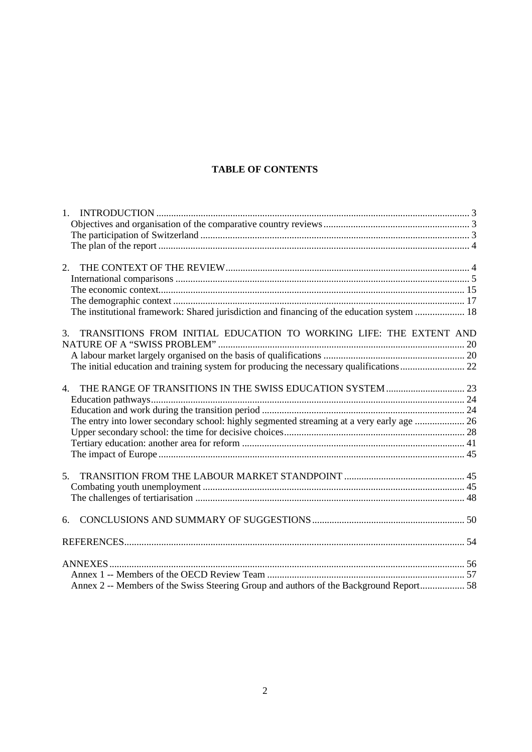## **TABLE OF CONTENTS**

| 1.                                                                                         |  |
|--------------------------------------------------------------------------------------------|--|
|                                                                                            |  |
|                                                                                            |  |
|                                                                                            |  |
|                                                                                            |  |
| 2.                                                                                         |  |
|                                                                                            |  |
|                                                                                            |  |
|                                                                                            |  |
| The institutional framework: Shared jurisdiction and financing of the education system  18 |  |
|                                                                                            |  |
| TRANSITIONS FROM INITIAL EDUCATION TO WORKING LIFE: THE EXTENT AND<br>$\mathfrak{Z}$ .     |  |
|                                                                                            |  |
|                                                                                            |  |
|                                                                                            |  |
|                                                                                            |  |
| 4.                                                                                         |  |
|                                                                                            |  |
|                                                                                            |  |
| The entry into lower secondary school: highly segmented streaming at a very early age  26  |  |
|                                                                                            |  |
|                                                                                            |  |
|                                                                                            |  |
|                                                                                            |  |
| 5.                                                                                         |  |
|                                                                                            |  |
|                                                                                            |  |
|                                                                                            |  |
| 6.                                                                                         |  |
|                                                                                            |  |
|                                                                                            |  |
|                                                                                            |  |
|                                                                                            |  |
| Annex 2 -- Members of the Swiss Steering Group and authors of the Background Report 58     |  |
|                                                                                            |  |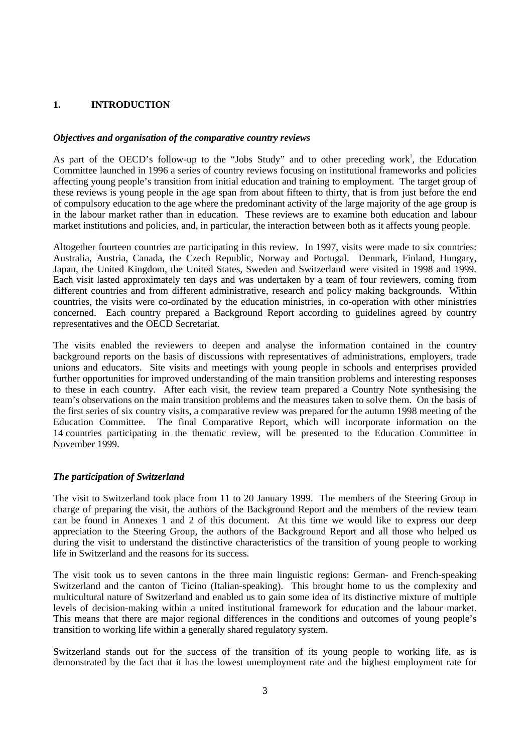## **1. INTRODUCTION**

## *Objectives and organisation of the comparative country reviews*

As part of the OECD's follow-up to the "Jobs Study" and to other preceding work<sup>1</sup>, the Education Committee launched in 1996 a series of country reviews focusing on institutional frameworks and policies affecting young people's transition from initial education and training to employment. The target group of these reviews is young people in the age span from about fifteen to thirty, that is from just before the end of compulsory education to the age where the predominant activity of the large majority of the age group is in the labour market rather than in education. These reviews are to examine both education and labour market institutions and policies, and, in particular, the interaction between both as it affects young people.

Altogether fourteen countries are participating in this review. In 1997, visits were made to six countries: Australia, Austria, Canada, the Czech Republic, Norway and Portugal. Denmark, Finland, Hungary, Japan, the United Kingdom, the United States, Sweden and Switzerland were visited in 1998 and 1999. Each visit lasted approximately ten days and was undertaken by a team of four reviewers, coming from different countries and from different administrative, research and policy making backgrounds. Within countries, the visits were co-ordinated by the education ministries, in co-operation with other ministries concerned. Each country prepared a Background Report according to guidelines agreed by country representatives and the OECD Secretariat.

The visits enabled the reviewers to deepen and analyse the information contained in the country background reports on the basis of discussions with representatives of administrations, employers, trade unions and educators. Site visits and meetings with young people in schools and enterprises provided further opportunities for improved understanding of the main transition problems and interesting responses to these in each country. After each visit, the review team prepared a Country Note synthesising the team's observations on the main transition problems and the measures taken to solve them. On the basis of the first series of six country visits, a comparative review was prepared for the autumn 1998 meeting of the Education Committee. The final Comparative Report, which will incorporate information on the 14 countries participating in the thematic review, will be presented to the Education Committee in November 1999.

## *The participation of Switzerland*

The visit to Switzerland took place from 11 to 20 January 1999. The members of the Steering Group in charge of preparing the visit, the authors of the Background Report and the members of the review team can be found in Annexes 1 and 2 of this document. At this time we would like to express our deep appreciation to the Steering Group, the authors of the Background Report and all those who helped us during the visit to understand the distinctive characteristics of the transition of young people to working life in Switzerland and the reasons for its success.

The visit took us to seven cantons in the three main linguistic regions: German- and French-speaking Switzerland and the canton of Ticino (Italian-speaking). This brought home to us the complexity and multicultural nature of Switzerland and enabled us to gain some idea of its distinctive mixture of multiple levels of decision-making within a united institutional framework for education and the labour market. This means that there are major regional differences in the conditions and outcomes of young people's transition to working life within a generally shared regulatory system.

Switzerland stands out for the success of the transition of its young people to working life, as is demonstrated by the fact that it has the lowest unemployment rate and the highest employment rate for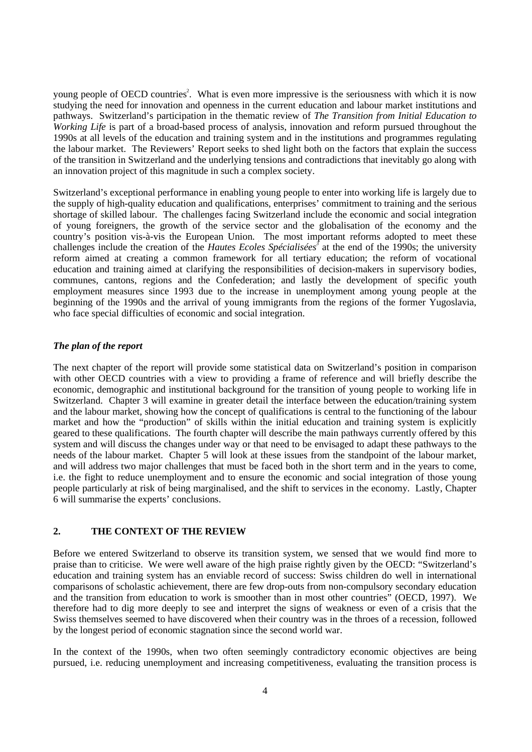young people of OECD countries<sup>2</sup>. What is even more impressive is the seriousness with which it is now studying the need for innovation and openness in the current education and labour market institutions and pathways. Switzerland's participation in the thematic review of *The Transition from Initial Education to Working Life* is part of a broad-based process of analysis, innovation and reform pursued throughout the 1990s at all levels of the education and training system and in the institutions and programmes regulating the labour market. The Reviewers' Report seeks to shed light both on the factors that explain the success of the transition in Switzerland and the underlying tensions and contradictions that inevitably go along with an innovation project of this magnitude in such a complex society.

Switzerland's exceptional performance in enabling young people to enter into working life is largely due to the supply of high-quality education and qualifications, enterprises' commitment to training and the serious shortage of skilled labour. The challenges facing Switzerland include the economic and social integration of young foreigners, the growth of the service sector and the globalisation of the economy and the country's position vis-à-vis the European Union. The most important reforms adopted to meet these challenges include the creation of the *Hautes Ecoles Spécialisées*<sup>3</sup> at the end of the 1990s; the university reform aimed at creating a common framework for all tertiary education; the reform of vocational education and training aimed at clarifying the responsibilities of decision-makers in supervisory bodies, communes, cantons, regions and the Confederation; and lastly the development of specific youth employment measures since 1993 due to the increase in unemployment among young people at the beginning of the 1990s and the arrival of young immigrants from the regions of the former Yugoslavia, who face special difficulties of economic and social integration.

## *The plan of the report*

The next chapter of the report will provide some statistical data on Switzerland's position in comparison with other OECD countries with a view to providing a frame of reference and will briefly describe the economic, demographic and institutional background for the transition of young people to working life in Switzerland. Chapter 3 will examine in greater detail the interface between the education/training system and the labour market, showing how the concept of qualifications is central to the functioning of the labour market and how the "production" of skills within the initial education and training system is explicitly geared to these qualifications. The fourth chapter will describe the main pathways currently offered by this system and will discuss the changes under way or that need to be envisaged to adapt these pathways to the needs of the labour market. Chapter 5 will look at these issues from the standpoint of the labour market, and will address two major challenges that must be faced both in the short term and in the years to come, i.e. the fight to reduce unemployment and to ensure the economic and social integration of those young people particularly at risk of being marginalised, and the shift to services in the economy. Lastly, Chapter 6 will summarise the experts' conclusions.

## **2. THE CONTEXT OF THE REVIEW**

Before we entered Switzerland to observe its transition system, we sensed that we would find more to praise than to criticise. We were well aware of the high praise rightly given by the OECD: "Switzerland's education and training system has an enviable record of success: Swiss children do well in international comparisons of scholastic achievement, there are few drop-outs from non-compulsory secondary education and the transition from education to work is smoother than in most other countries" (OECD, 1997). We therefore had to dig more deeply to see and interpret the signs of weakness or even of a crisis that the Swiss themselves seemed to have discovered when their country was in the throes of a recession, followed by the longest period of economic stagnation since the second world war.

In the context of the 1990s, when two often seemingly contradictory economic objectives are being pursued, i.e. reducing unemployment and increasing competitiveness, evaluating the transition process is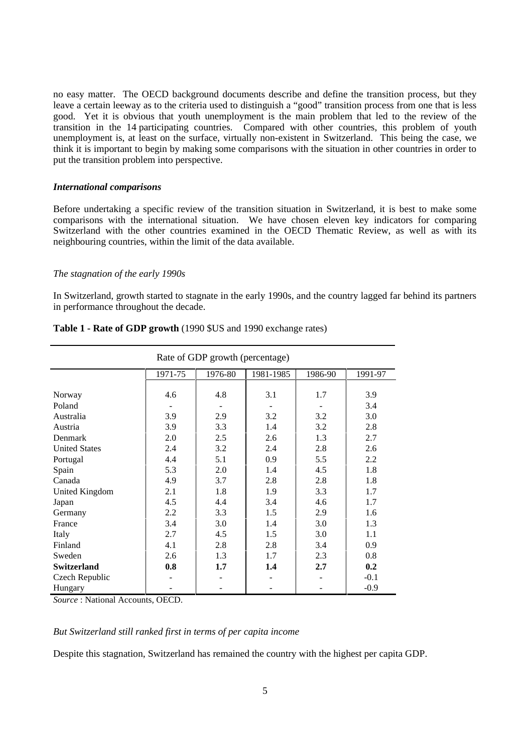no easy matter. The OECD background documents describe and define the transition process, but they leave a certain leeway as to the criteria used to distinguish a "good" transition process from one that is less good. Yet it is obvious that youth unemployment is the main problem that led to the review of the transition in the 14 participating countries. Compared with other countries, this problem of youth unemployment is, at least on the surface, virtually non-existent in Switzerland. This being the case, we think it is important to begin by making some comparisons with the situation in other countries in order to put the transition problem into perspective.

#### *International comparisons*

Before undertaking a specific review of the transition situation in Switzerland, it is best to make some comparisons with the international situation. We have chosen eleven key indicators for comparing Switzerland with the other countries examined in the OECD Thematic Review, as well as with its neighbouring countries, within the limit of the data available.

#### *The stagnation of the early 1990s*

In Switzerland, growth started to stagnate in the early 1990s, and the country lagged far behind its partners in performance throughout the decade.

| Rate of GDP growth (percentage) |         |         |           |         |         |
|---------------------------------|---------|---------|-----------|---------|---------|
|                                 | 1971-75 | 1976-80 | 1981-1985 | 1986-90 | 1991-97 |
|                                 |         |         |           |         |         |
| Norway                          | 4.6     | 4.8     | 3.1       | 1.7     | 3.9     |
| Poland                          |         |         |           |         | 3.4     |
| Australia                       | 3.9     | 2.9     | 3.2       | 3.2     | 3.0     |
| Austria                         | 3.9     | 3.3     | 1.4       | 3.2     | 2.8     |
| Denmark                         | 2.0     | 2.5     | 2.6       | 1.3     | 2.7     |
| <b>United States</b>            | 2.4     | 3.2     | 2.4       | 2.8     | 2.6     |
| Portugal                        | 4.4     | 5.1     | 0.9       | 5.5     | 2.2     |
| Spain                           | 5.3     | 2.0     | 1.4       | 4.5     | 1.8     |
| Canada                          | 4.9     | 3.7     | 2.8       | 2.8     | 1.8     |
| United Kingdom                  | 2.1     | 1.8     | 1.9       | 3.3     | 1.7     |
| Japan                           | 4.5     | 4.4     | 3.4       | 4.6     | 1.7     |
| Germany                         | 2.2     | 3.3     | 1.5       | 2.9     | 1.6     |
| France                          | 3.4     | 3.0     | 1.4       | 3.0     | 1.3     |
| Italy                           | 2.7     | 4.5     | 1.5       | 3.0     | 1.1     |
| Finland                         | 4.1     | 2.8     | 2.8       | 3.4     | 0.9     |
| Sweden                          | 2.6     | 1.3     | 1.7       | 2.3     | 0.8     |
| <b>Switzerland</b>              | 0.8     | 1.7     | 1.4       | 2.7     | 0.2     |
| Czech Republic                  |         |         |           |         | $-0.1$  |
| Hungary                         |         |         |           |         | $-0.9$  |

#### **Table 1 - Rate of GDP growth** (1990 \$US and 1990 exchange rates)

*Source* : National Accounts, OECD.

*But Switzerland still ranked first in terms of per capita income*

Despite this stagnation, Switzerland has remained the country with the highest per capita GDP.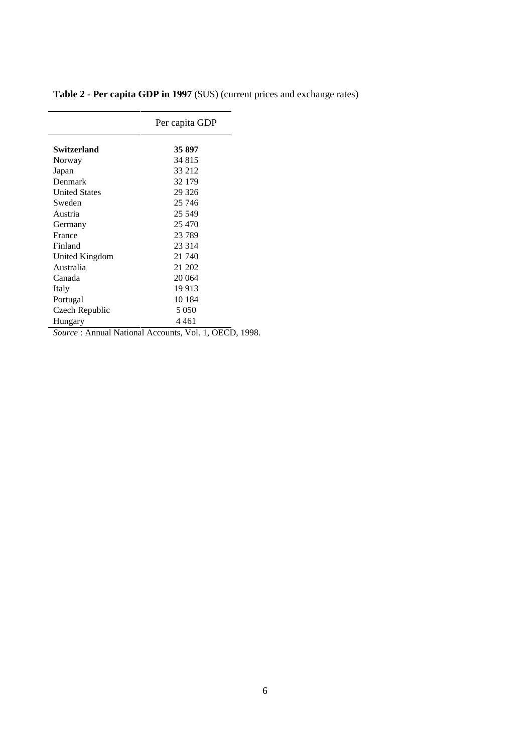|                      | Per capita GDP                                |
|----------------------|-----------------------------------------------|
| Switzerland          | 35 897                                        |
| Norway               | 34 815                                        |
| Japan                | 33 212                                        |
| Denmark              | 32 179                                        |
| <b>United States</b> | 29 3 26                                       |
| Sweden               | 25 746                                        |
| Austria              | 25 549                                        |
| Germany              | 25 470                                        |
| France               | 23 789                                        |
| Finland              | 23 3 14                                       |
| United Kingdom       | 21 740                                        |
| Australia            | 21 202                                        |
| Canada               | 20 064                                        |
| Italy                | 19 9 13                                       |
| Portugal             | 10 1 84                                       |
| Czech Republic       | 5 0 5 0                                       |
| Hungary              | 4 461                                         |
|                      | Source: Annual Netional Accounts Vol. 1, OECD |

**Table 2 - Per capita GDP in 1997** (\$US) (current prices and exchange rates)

*Source* : Annual National Accounts, Vol. 1, OECD, 1998.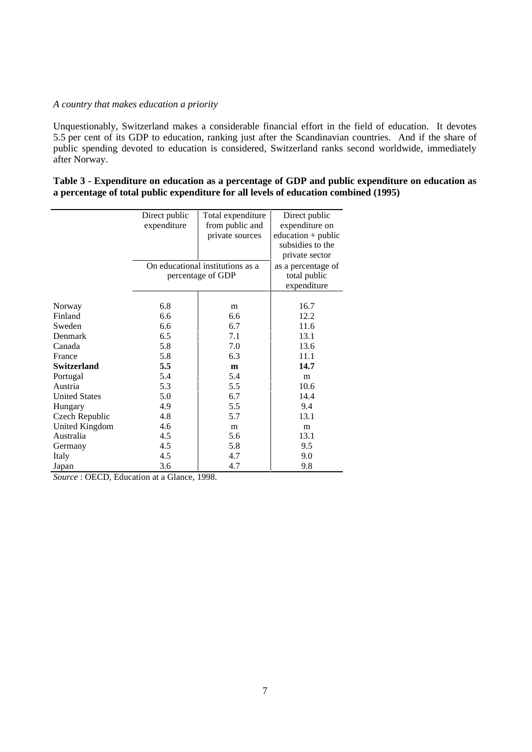## *A country that makes education a priority*

 $\overline{a}$ 

Unquestionably, Switzerland makes a considerable financial effort in the field of education. It devotes 5.5 per cent of its GDP to education, ranking just after the Scandinavian countries. And if the share of public spending devoted to education is considered, Switzerland ranks second worldwide, immediately after Norway.

| Table 3 - Expenditure on education as a percentage of GDP and public expenditure on education as |  |
|--------------------------------------------------------------------------------------------------|--|
| a percentage of total public expenditure for all levels of education combined (1995)             |  |

|                       | Direct public<br>expenditure | Total expenditure<br>from public and<br>private sources | Direct public<br>expenditure on<br>$education + public$<br>subsidies to the |
|-----------------------|------------------------------|---------------------------------------------------------|-----------------------------------------------------------------------------|
|                       |                              | On educational institutions as a<br>percentage of GDP   | private sector<br>as a percentage of<br>total public<br>expenditure         |
| Norway                | 6.8                          | m                                                       | 16.7                                                                        |
| Finland               | 6.6                          | 6.6                                                     | 12.2                                                                        |
| Sweden                | 6.6                          | 6.7                                                     | 11.6                                                                        |
| Denmark               | 6.5                          | 7.1                                                     | 13.1                                                                        |
| Canada                | 5.8                          | 7.0                                                     | 13.6                                                                        |
| France                | 5.8                          | 6.3                                                     | 11.1                                                                        |
| Switzerland           | 5.5                          | m                                                       | 14.7                                                                        |
| Portugal              | 5.4                          | 5.4                                                     | m                                                                           |
| Austria               | 5.3                          | 5.5                                                     | 10.6                                                                        |
| <b>United States</b>  | 5.0                          | 6.7                                                     | 14.4                                                                        |
| Hungary               | 4.9                          | 5.5                                                     | 9.4                                                                         |
| Czech Republic        | 4.8                          | 5.7                                                     | 13.1                                                                        |
| <b>United Kingdom</b> | 4.6                          | m                                                       | m                                                                           |
| Australia             | 4.5                          | 5.6                                                     | 13.1                                                                        |
| Germany               | 4.5                          | 5.8                                                     | 9.5                                                                         |
| Italy                 | 4.5                          | 4.7                                                     | 9.0                                                                         |
| Japan                 | 3.6                          | 4.7                                                     | 9.8                                                                         |

*Source* : OECD, Education at a Glance, 1998.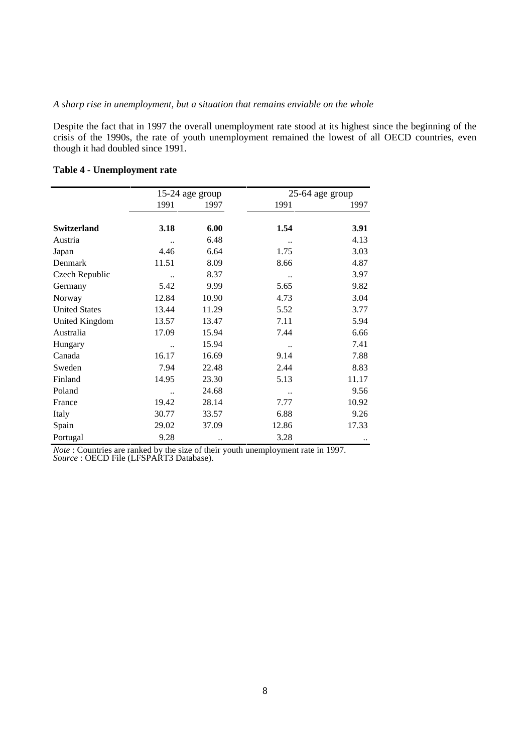## *A sharp rise in unemployment, but a situation that remains enviable on the whole*

Despite the fact that in 1997 the overall unemployment rate stood at its highest since the beginning of the crisis of the 1990s, the rate of youth unemployment remained the lowest of all OECD countries, even though it had doubled since 1991.

|                      | 15-24 age group      |                      |       | $25-64$ age group |
|----------------------|----------------------|----------------------|-------|-------------------|
|                      | 1991                 | 1997                 | 1991  | 1997              |
|                      |                      |                      |       |                   |
| <b>Switzerland</b>   | 3.18                 | 6.00                 | 1.54  | 3.91              |
| Austria              | $\ddot{\phantom{0}}$ | 6.48                 |       | 4.13              |
| Japan                | 4.46                 | 6.64                 | 1.75  | 3.03              |
| Denmark              | 11.51                | 8.09                 | 8.66  | 4.87              |
| Czech Republic       |                      | 8.37                 |       | 3.97              |
| Germany              | 5.42                 | 9.99                 | 5.65  | 9.82              |
| Norway               | 12.84                | 10.90                | 4.73  | 3.04              |
| <b>United States</b> | 13.44                | 11.29                | 5.52  | 3.77              |
| United Kingdom       | 13.57                | 13.47                | 7.11  | 5.94              |
| Australia            | 17.09                | 15.94                | 7.44  | 6.66              |
| Hungary              |                      | 15.94                |       | 7.41              |
| Canada               | 16.17                | 16.69                | 9.14  | 7.88              |
| Sweden               | 7.94                 | 22.48                | 2.44  | 8.83              |
| Finland              | 14.95                | 23.30                | 5.13  | 11.17             |
| Poland               | $\ddot{\phantom{a}}$ | 24.68                |       | 9.56              |
| France               | 19.42                | 28.14                | 7.77  | 10.92             |
| Italy                | 30.77                | 33.57                | 6.88  | 9.26              |
| Spain                | 29.02                | 37.09                | 12.86 | 17.33             |
| Portugal             | 9.28                 | $\ddot{\phantom{0}}$ | 3.28  |                   |

## **Table 4 - Unemployment rate**

*Note* : Countries are ranked by the size of their youth unemployment rate in 1997. *Source* : OECD File (LFSPART3 Database).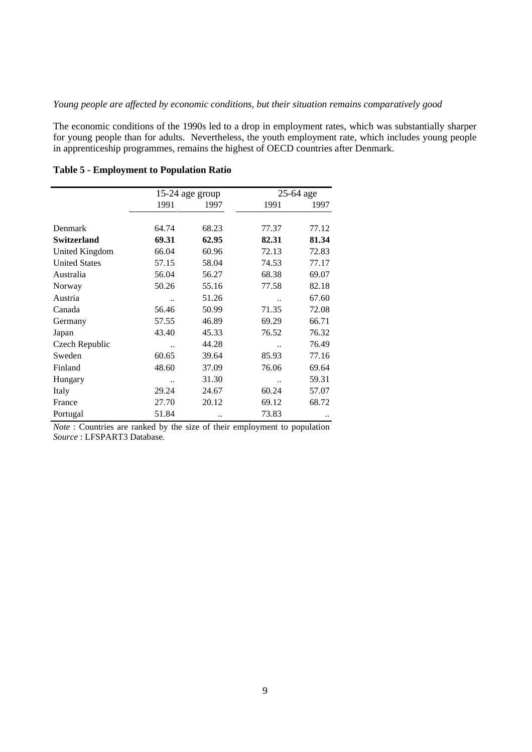## *Young people are affected by economic conditions, but their situation remains comparatively good*

The economic conditions of the 1990s led to a drop in employment rates, which was substantially sharper for young people than for adults. Nevertheless, the youth employment rate, which includes young people in apprenticeship programmes, remains the highest of OECD countries after Denmark.

|                       | 15-24 age group      |       |                      | 25-64 age |
|-----------------------|----------------------|-------|----------------------|-----------|
|                       | 1991                 | 1997  | 1991                 | 1997      |
|                       |                      |       |                      |           |
| Denmark               | 64.74                | 68.23 | 77.37                | 77.12     |
| <b>Switzerland</b>    | 69.31                | 62.95 | 82.31                | 81.34     |
| <b>United Kingdom</b> | 66.04                | 60.96 | 72.13                | 72.83     |
| <b>United States</b>  | 57.15                | 58.04 | 74.53                | 77.17     |
| Australia             | 56.04                | 56.27 | 68.38                | 69.07     |
| Norway                | 50.26                | 55.16 | 77.58                | 82.18     |
| Austria               |                      | 51.26 |                      | 67.60     |
| Canada                | 56.46                | 50.99 | 71.35                | 72.08     |
| Germany               | 57.55                | 46.89 | 69.29                | 66.71     |
| Japan                 | 43.40                | 45.33 | 76.52                | 76.32     |
| Czech Republic        | $\ddot{\phantom{0}}$ | 44.28 |                      | 76.49     |
| Sweden                | 60.65                | 39.64 | 85.93                | 77.16     |
| Finland               | 48.60                | 37.09 | 76.06                | 69.64     |
| Hungary               | $\ddot{\phantom{0}}$ | 31.30 | $\ddot{\phantom{a}}$ | 59.31     |
| Italy                 | 29.24                | 24.67 | 60.24                | 57.07     |
| France                | 27.70                | 20.12 | 69.12                | 68.72     |
| Portugal              | 51.84                |       | 73.83                |           |

## **Table 5 - Employment to Population Ratio**

*Note* : Countries are ranked by the size of their employment to population *Source* : LFSPART3 Database.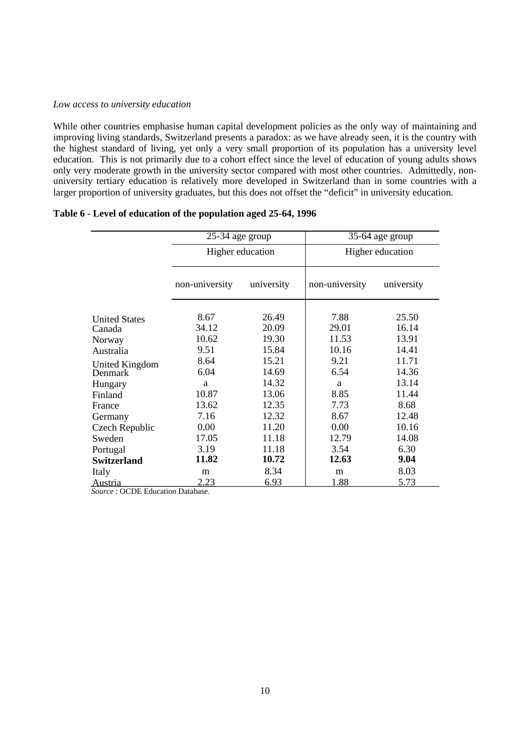#### *Low access to university education*

While other countries emphasise human capital development policies as the only way of maintaining and improving living standards, Switzerland presents a paradox: as we have already seen, it is the country with the highest standard of living, yet only a very small proportion of its population has a university level education. This is not primarily due to a cohort effect since the level of education of young adults shows only very moderate growth in the university sector compared with most other countries. Admittedly, nonuniversity tertiary education is relatively more developed in Switzerland than in some countries with a larger proportion of university graduates, but this does not offset the "deficit" in university education.

|                       | 25-34 age group  |            |                | 35-64 age group  |
|-----------------------|------------------|------------|----------------|------------------|
|                       | Higher education |            |                | Higher education |
|                       | non-university   | university | non-university | university       |
| <b>United States</b>  | 8.67             | 26.49      | 7.88           | 25.50            |
| Canada                | 34.12            | 20.09      | 29.01          | 16.14            |
| Norway                | 10.62            | 19.30      | 11.53          | 13.91            |
| Australia             | 9.51             | 15.84      | 10.16          | 14.41            |
| <b>United Kingdom</b> | 8.64             | 15.21      | 9.21           | 11.71            |
| <b>Denmark</b>        | 6.04             | 14.69      | 6.54           | 14.36            |
| Hungary               | a                | 14.32      | a              | 13.14            |
| Finland               | 10.87            | 13.06      | 8.85           | 11.44            |
| France                | 13.62            | 12.35      | 7.73           | 8.68             |
| Germany               | 7.16             | 12.32      | 8.67           | 12.48            |
| Czech Republic        | 0.00             | 11.20      | 0.00           | 10.16            |
| Sweden                | 17.05            | 11.18      | 12.79          | 14.08            |
| Portugal              | 3.19             | 11.18      | 3.54           | 6.30             |
| <b>Switzerland</b>    | 11.82            | 10.72      | 12.63          | 9.04             |
| Italy                 | m                | 8.34       | m              | 8.03             |
| Austria               | 2.23             | 6.93       | 1.88           | 5.73             |

### **Table 6 - Level of education of the population aged 25-64, 1996**

*Source* : OCDE Education Database.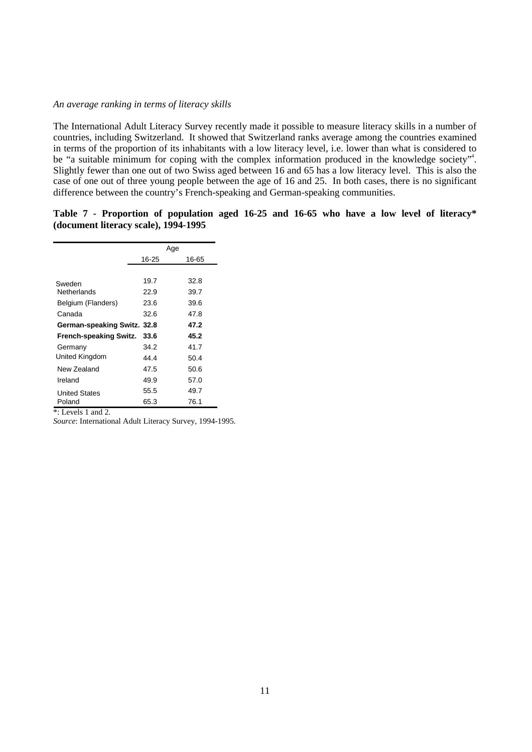## *An average ranking in terms of literacy skills*

The International Adult Literacy Survey recently made it possible to measure literacy skills in a number of countries, including Switzerland. It showed that Switzerland ranks average among the countries examined in terms of the proportion of its inhabitants with a low literacy level, i.e. lower than what is considered to be "a suitable minimum for coping with the complex information produced in the knowledge society"<sup>4</sup>. Slightly fewer than one out of two Swiss aged between 16 and 65 has a low literacy level. This is also the case of one out of three young people between the age of 16 and 25. In both cases, there is no significant difference between the country's French-speaking and German-speaking communities.

## **Table 7 - Proportion of population aged 16-25 and 16-65 who have a low level of literacy\* (document literacy scale), 1994-1995**

|                             |       | Age   |
|-----------------------------|-------|-------|
|                             | 16-25 | 16-65 |
|                             |       |       |
| Sweden                      | 19.7  | 32.8  |
| Netherlands                 | 22.9  | 39.7  |
| Belgium (Flanders)          | 23.6  | 39.6  |
| Canada                      | 32.6  | 47.8  |
| German-speaking Switz. 32.8 |       | 47.2  |
| French-speaking Switz.      | 33.6  | 45.2  |
| Germany                     | 34.2  | 41.7  |
| United Kingdom              | 44.4  | 50.4  |
| New Zealand                 | 47.5  | 50.6  |
| Ireland                     | 49.9  | 57.0  |
| <b>United States</b>        | 55.5  | 49.7  |
| Poland                      | 65.3  | 76.1  |

\*: Levels 1 and 2.

*Source*: International Adult Literacy Survey, 1994-1995.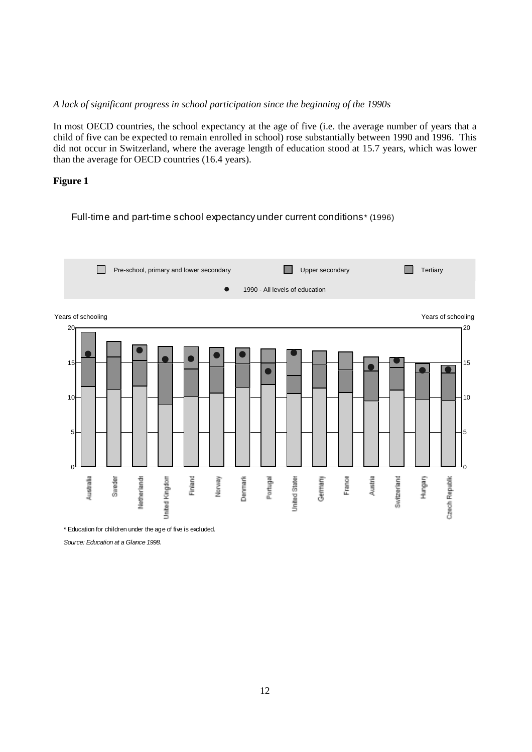## *A lack of significant progress in school participation since the beginning of the 1990s*

In most OECD countries, the school expectancy at the age of five (i.e. the average number of years that a child of five can be expected to remain enrolled in school) rose substantially between 1990 and 1996. This did not occur in Switzerland, where the average length of education stood at 15.7 years, which was lower than the average for OECD countries (16.4 years).

## **Figure 1**

## Full-time and part-time school expectancy under current conditions\* (1996)



\* Education for children under the age of five is excluded.

Source: Education at a Glance 1998.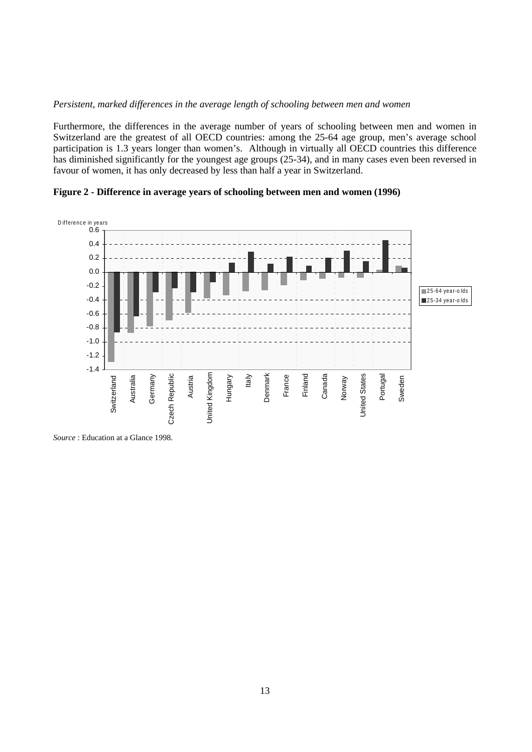## *Persistent, marked differences in the average length of schooling between men and women*

Furthermore, the differences in the average number of years of schooling between men and women in Switzerland are the greatest of all OECD countries: among the 25-64 age group, men's average school participation is 1.3 years longer than women's. Although in virtually all OECD countries this difference has diminished significantly for the youngest age groups (25-34), and in many cases even been reversed in favour of women, it has only decreased by less than half a year in Switzerland.

D ifference in years 0.6 0.4 0.2 0.0 -0.2  $\Box$  25 -64 year -olds -0.4 25-34 year-olds -0.6 -0.8 -1.0 -1.2 -1.4 Denmark Canada Portugal **Czech Republic** United Kingdom Hungary France Finland Austria Italy Norway **Jnited States** Switzerland Australia Germany United Kingdom Denmark Sweden Czech Republic United States Switzerland

**Figure 2 - Difference in average years of schooling between men and women (1996)**

*Source* : Education at a Glance 1998.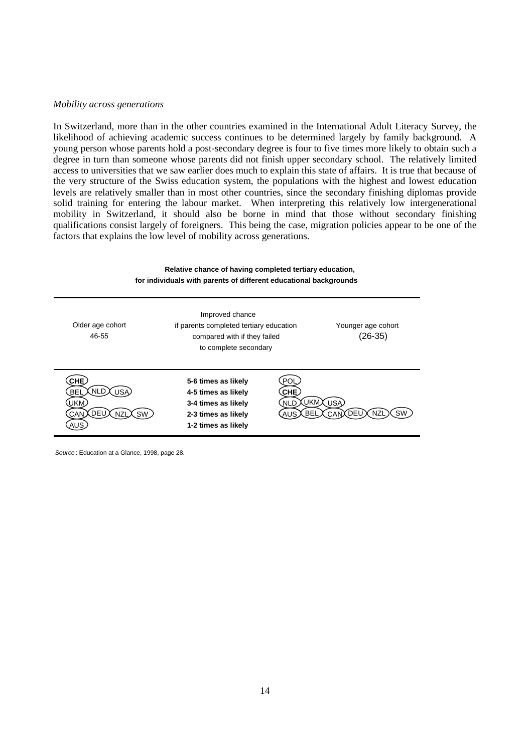#### *Mobility across generations*

In Switzerland, more than in the other countries examined in the International Adult Literacy Survey, the likelihood of achieving academic success continues to be determined largely by family background. A young person whose parents hold a post-secondary degree is four to five times more likely to obtain such a degree in turn than someone whose parents did not finish upper secondary school. The relatively limited access to universities that we saw earlier does much to explain this state of affairs. It is true that because of the very structure of the Swiss education system, the populations with the highest and lowest education levels are relatively smaller than in most other countries, since the secondary finishing diplomas provide solid training for entering the labour market. When interpreting this relatively low intergenerational mobility in Switzerland, it should also be borne in mind that those without secondary finishing qualifications consist largely of foreigners. This being the case, migration policies appear to be one of the factors that explains the low level of mobility across generations.

## **Relative chance of having completed tertiary education, for individuals with parents of different educational backgrounds**

| Older age cohort<br>46-55                               | Improved chance<br>if parents completed tertiary education<br>compared with if they failed<br>to complete secondary | Younger age cohort<br>$(26-35)$                                                   |
|---------------------------------------------------------|---------------------------------------------------------------------------------------------------------------------|-----------------------------------------------------------------------------------|
| CHE<br>NLD<br><b>BEI</b><br>IS A<br>UKM<br>DFI<br>AI IS | 5-6 times as likely<br>4-5 times as likely<br>3-4 times as likely<br>2-3 times as likely<br>1-2 times as likely     | POI<br>CHE.<br><b>UKM</b><br>USA<br>NLD<br><b>BFI</b><br>DEU X<br><b>SW</b><br>N7 |

Source : Education at a Glance, 1998, page 28.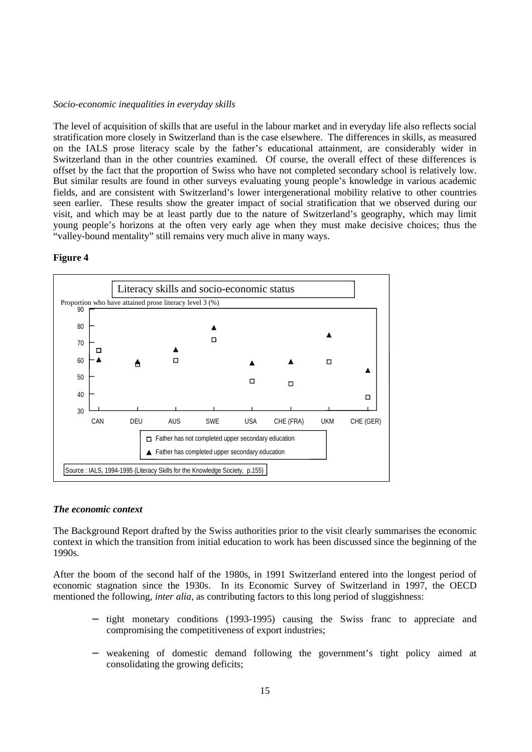## *Socio-economic inequalities in everyday skills*

The level of acquisition of skills that are useful in the labour market and in everyday life also reflects social stratification more closely in Switzerland than is the case elsewhere. The differences in skills, as measured on the IALS prose literacy scale by the father's educational attainment, are considerably wider in Switzerland than in the other countries examined. Of course, the overall effect of these differences is offset by the fact that the proportion of Swiss who have not completed secondary school is relatively low. But similar results are found in other surveys evaluating young people's knowledge in various academic fields, and are consistent with Switzerland's lower intergenerational mobility relative to other countries seen earlier. These results show the greater impact of social stratification that we observed during our visit, and which may be at least partly due to the nature of Switzerland's geography, which may limit young people's horizons at the often very early age when they must make decisive choices; thus the "valley-bound mentality" still remains very much alive in many ways.

## **Figure 4**



## *The economic context*

The Background Report drafted by the Swiss authorities prior to the visit clearly summarises the economic context in which the transition from initial education to work has been discussed since the beginning of the 1990s.

After the boom of the second half of the 1980s, in 1991 Switzerland entered into the longest period of economic stagnation since the 1930s. In its Economic Survey of Switzerland in 1997, the OECD mentioned the following, *inter alia*, as contributing factors to this long period of sluggishness:

- tight monetary conditions (1993-1995) causing the Swiss franc to appreciate and compromising the competitiveness of export industries;
- weakening of domestic demand following the government's tight policy aimed at consolidating the growing deficits;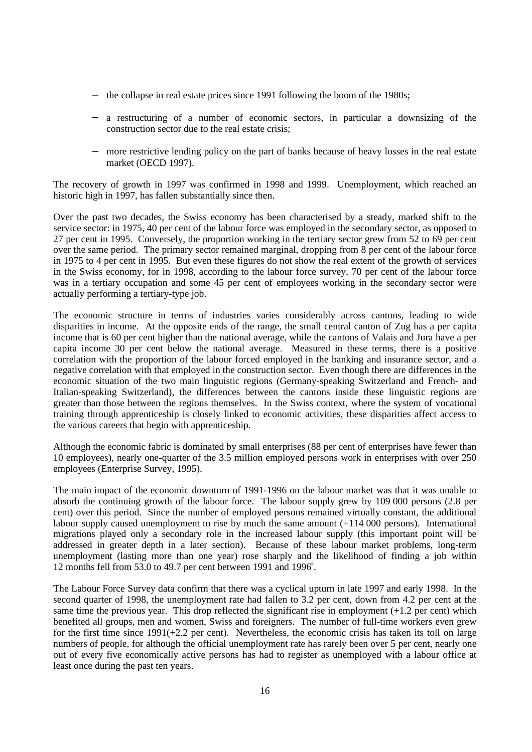- − the collapse in real estate prices since 1991 following the boom of the 1980s;
- a restructuring of a number of economic sectors, in particular a downsizing of the construction sector due to the real estate crisis;
- − more restrictive lending policy on the part of banks because of heavy losses in the real estate market (OECD 1997).

The recovery of growth in 1997 was confirmed in 1998 and 1999. Unemployment, which reached an historic high in 1997, has fallen substantially since then.

Over the past two decades, the Swiss economy has been characterised by a steady, marked shift to the service sector: in 1975, 40 per cent of the labour force was employed in the secondary sector, as opposed to 27 per cent in 1995. Conversely, the proportion working in the tertiary sector grew from 52 to 69 per cent over the same period. The primary sector remained marginal, dropping from 8 per cent of the labour force in 1975 to 4 per cent in 1995. But even these figures do not show the real extent of the growth of services in the Swiss economy, for in 1998, according to the labour force survey, 70 per cent of the labour force was in a tertiary occupation and some 45 per cent of employees working in the secondary sector were actually performing a tertiary-type job.

The economic structure in terms of industries varies considerably across cantons, leading to wide disparities in income. At the opposite ends of the range, the small central canton of Zug has a per capita income that is 60 per cent higher than the national average, while the cantons of Valais and Jura have a per capita income 30 per cent below the national average. Measured in these terms, there is a positive correlation with the proportion of the labour forced employed in the banking and insurance sector, and a negative correlation with that employed in the construction sector. Even though there are differences in the economic situation of the two main linguistic regions (Germany-speaking Switzerland and French- and Italian-speaking Switzerland), the differences between the cantons inside these linguistic regions are greater than those between the regions themselves. In the Swiss context, where the system of vocational training through apprenticeship is closely linked to economic activities, these disparities affect access to the various careers that begin with apprenticeship.

Although the economic fabric is dominated by small enterprises (88 per cent of enterprises have fewer than 10 employees), nearly one-quarter of the 3.5 million employed persons work in enterprises with over 250 employees (Enterprise Survey, 1995).

The main impact of the economic downturn of 1991-1996 on the labour market was that it was unable to absorb the continuing growth of the labour force. The labour supply grew by 109 000 persons (2.8 per cent) over this period. Since the number of employed persons remained virtually constant, the additional labour supply caused unemployment to rise by much the same amount  $(+114\,000)$  persons). International migrations played only a secondary role in the increased labour supply (this important point will be addressed in greater depth in a later section). Because of these labour market problems, long-term unemployment (lasting more than one year) rose sharply and the likelihood of finding a job within 12 months fell from 53.0 to 49.7 per cent between 1991 and 1996<sup>5</sup>.

The Labour Force Survey data confirm that there was a cyclical upturn in late 1997 and early 1998. In the second quarter of 1998, the unemployment rate had fallen to 3.2 per cent, down from 4.2 per cent at the same time the previous year. This drop reflected the significant rise in employment  $(+1.2 \text{ per cent})$  which benefited all groups, men and women, Swiss and foreigners. The number of full-time workers even grew for the first time since 1991(+2.2 per cent). Nevertheless, the economic crisis has taken its toll on large numbers of people, for although the official unemployment rate has rarely been over 5 per cent, nearly one out of every five economically active persons has had to register as unemployed with a labour office at least once during the past ten years.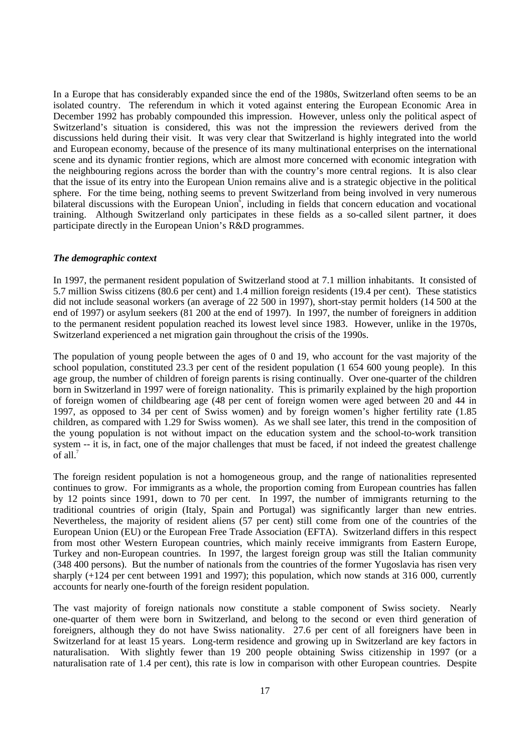In a Europe that has considerably expanded since the end of the 1980s, Switzerland often seems to be an isolated country. The referendum in which it voted against entering the European Economic Area in December 1992 has probably compounded this impression. However, unless only the political aspect of Switzerland's situation is considered, this was not the impression the reviewers derived from the discussions held during their visit. It was very clear that Switzerland is highly integrated into the world and European economy, because of the presence of its many multinational enterprises on the international scene and its dynamic frontier regions, which are almost more concerned with economic integration with the neighbouring regions across the border than with the country's more central regions. It is also clear that the issue of its entry into the European Union remains alive and is a strategic objective in the political sphere. For the time being, nothing seems to prevent Switzerland from being involved in very numerous bilateral discussions with the European Union<sup> $\bar{6}$ </sup>, including in fields that concern education and vocational training. Although Switzerland only participates in these fields as a so-called silent partner, it does participate directly in the European Union's R&D programmes.

## *The demographic context*

In 1997, the permanent resident population of Switzerland stood at 7.1 million inhabitants. It consisted of 5.7 million Swiss citizens (80.6 per cent) and 1.4 million foreign residents (19.4 per cent). These statistics did not include seasonal workers (an average of 22 500 in 1997), short-stay permit holders (14 500 at the end of 1997) or asylum seekers (81 200 at the end of 1997). In 1997, the number of foreigners in addition to the permanent resident population reached its lowest level since 1983. However, unlike in the 1970s, Switzerland experienced a net migration gain throughout the crisis of the 1990s.

The population of young people between the ages of 0 and 19, who account for the vast majority of the school population, constituted 23.3 per cent of the resident population (1 654 600 young people). In this age group, the number of children of foreign parents is rising continually. Over one-quarter of the children born in Switzerland in 1997 were of foreign nationality. This is primarily explained by the high proportion of foreign women of childbearing age (48 per cent of foreign women were aged between 20 and 44 in 1997, as opposed to 34 per cent of Swiss women) and by foreign women's higher fertility rate (1.85 children, as compared with 1.29 for Swiss women). As we shall see later, this trend in the composition of the young population is not without impact on the education system and the school-to-work transition system -- it is, in fact, one of the major challenges that must be faced, if not indeed the greatest challenge of all. $<sup>7</sup>$ </sup>

The foreign resident population is not a homogeneous group, and the range of nationalities represented continues to grow. For immigrants as a whole, the proportion coming from European countries has fallen by 12 points since 1991, down to 70 per cent. In 1997, the number of immigrants returning to the traditional countries of origin (Italy, Spain and Portugal) was significantly larger than new entries. Nevertheless, the majority of resident aliens (57 per cent) still come from one of the countries of the European Union (EU) or the European Free Trade Association (EFTA). Switzerland differs in this respect from most other Western European countries, which mainly receive immigrants from Eastern Europe, Turkey and non-European countries. In 1997, the largest foreign group was still the Italian community (348 400 persons). But the number of nationals from the countries of the former Yugoslavia has risen very sharply  $(+124$  per cent between 1991 and 1997); this population, which now stands at 316 000, currently accounts for nearly one-fourth of the foreign resident population.

The vast majority of foreign nationals now constitute a stable component of Swiss society. Nearly one-quarter of them were born in Switzerland, and belong to the second or even third generation of foreigners, although they do not have Swiss nationality. 27.6 per cent of all foreigners have been in Switzerland for at least 15 years. Long-term residence and growing up in Switzerland are key factors in naturalisation. With slightly fewer than 19 200 people obtaining Swiss citizenship in 1997 (or a naturalisation rate of 1.4 per cent), this rate is low in comparison with other European countries. Despite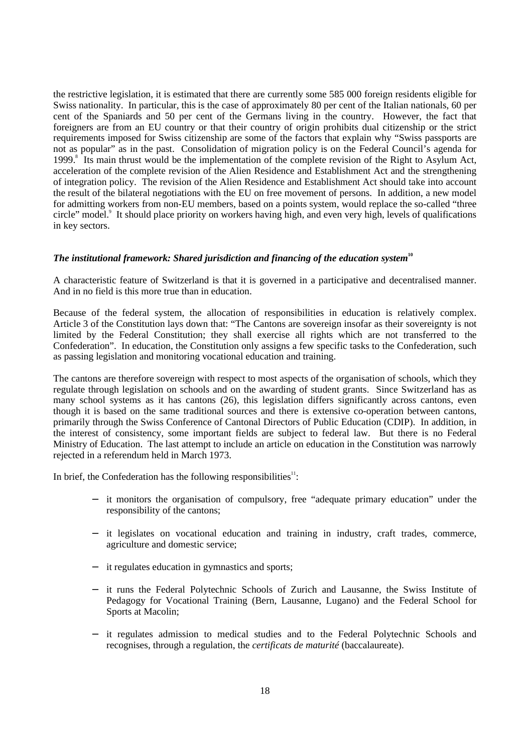the restrictive legislation, it is estimated that there are currently some 585 000 foreign residents eligible for Swiss nationality. In particular, this is the case of approximately 80 per cent of the Italian nationals, 60 per cent of the Spaniards and 50 per cent of the Germans living in the country. However, the fact that foreigners are from an EU country or that their country of origin prohibits dual citizenship or the strict requirements imposed for Swiss citizenship are some of the factors that explain why "Swiss passports are not as popular" as in the past. Consolidation of migration policy is on the Federal Council's agenda for 1999.<sup>8</sup> Its main thrust would be the implementation of the complete revision of the Right to Asylum Act, acceleration of the complete revision of the Alien Residence and Establishment Act and the strengthening of integration policy. The revision of the Alien Residence and Establishment Act should take into account the result of the bilateral negotiations with the EU on free movement of persons. In addition, a new model for admitting workers from non-EU members, based on a points system, would replace the so-called "three circle" model.<sup>9</sup> It should place priority on workers having high, and even very high, levels of qualifications in key sectors.

#### *The institutional framework: Shared jurisdiction and financing of the education system***<sup>10</sup>**

A characteristic feature of Switzerland is that it is governed in a participative and decentralised manner. And in no field is this more true than in education.

Because of the federal system, the allocation of responsibilities in education is relatively complex. Article 3 of the Constitution lays down that: "The Cantons are sovereign insofar as their sovereignty is not limited by the Federal Constitution; they shall exercise all rights which are not transferred to the Confederation". In education, the Constitution only assigns a few specific tasks to the Confederation, such as passing legislation and monitoring vocational education and training.

The cantons are therefore sovereign with respect to most aspects of the organisation of schools, which they regulate through legislation on schools and on the awarding of student grants. Since Switzerland has as many school systems as it has cantons (26), this legislation differs significantly across cantons, even though it is based on the same traditional sources and there is extensive co-operation between cantons, primarily through the Swiss Conference of Cantonal Directors of Public Education (CDIP). In addition, in the interest of consistency, some important fields are subject to federal law. But there is no Federal Ministry of Education. The last attempt to include an article on education in the Constitution was narrowly rejected in a referendum held in March 1973.

In brief, the Confederation has the following responsibilities $1$ :

- − it monitors the organisation of compulsory, free "adequate primary education" under the responsibility of the cantons;
- − it legislates on vocational education and training in industry, craft trades, commerce, agriculture and domestic service;
- it regulates education in gymnastics and sports;
- − it runs the Federal Polytechnic Schools of Zurich and Lausanne, the Swiss Institute of Pedagogy for Vocational Training (Bern, Lausanne, Lugano) and the Federal School for Sports at Macolin;
- − it regulates admission to medical studies and to the Federal Polytechnic Schools and recognises, through a regulation, the *certificats de maturité* (baccalaureate).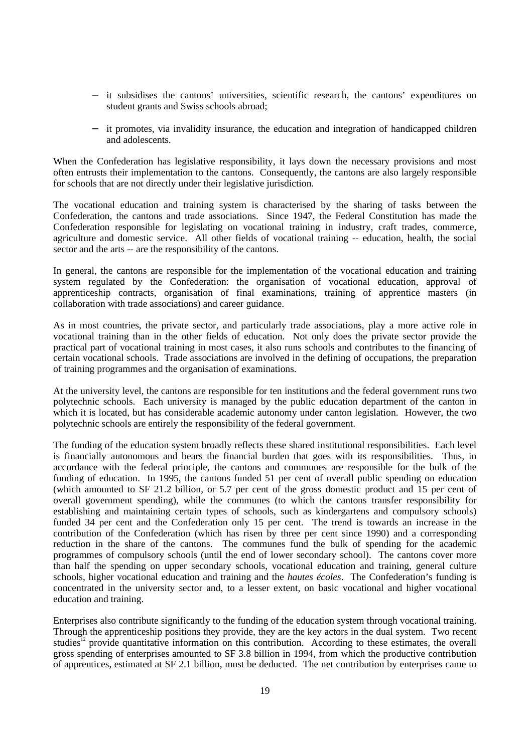- − it subsidises the cantons' universities, scientific research, the cantons' expenditures on student grants and Swiss schools abroad;
- it promotes, via invalidity insurance, the education and integration of handicapped children and adolescents.

When the Confederation has legislative responsibility, it lays down the necessary provisions and most often entrusts their implementation to the cantons. Consequently, the cantons are also largely responsible for schools that are not directly under their legislative jurisdiction.

The vocational education and training system is characterised by the sharing of tasks between the Confederation, the cantons and trade associations. Since 1947, the Federal Constitution has made the Confederation responsible for legislating on vocational training in industry, craft trades, commerce, agriculture and domestic service. All other fields of vocational training -- education, health, the social sector and the arts -- are the responsibility of the cantons.

In general, the cantons are responsible for the implementation of the vocational education and training system regulated by the Confederation: the organisation of vocational education, approval of apprenticeship contracts, organisation of final examinations, training of apprentice masters (in collaboration with trade associations) and career guidance.

As in most countries, the private sector, and particularly trade associations, play a more active role in vocational training than in the other fields of education. Not only does the private sector provide the practical part of vocational training in most cases, it also runs schools and contributes to the financing of certain vocational schools. Trade associations are involved in the defining of occupations, the preparation of training programmes and the organisation of examinations.

At the university level, the cantons are responsible for ten institutions and the federal government runs two polytechnic schools. Each university is managed by the public education department of the canton in which it is located, but has considerable academic autonomy under canton legislation. However, the two polytechnic schools are entirely the responsibility of the federal government.

The funding of the education system broadly reflects these shared institutional responsibilities. Each level is financially autonomous and bears the financial burden that goes with its responsibilities. Thus, in accordance with the federal principle, the cantons and communes are responsible for the bulk of the funding of education. In 1995, the cantons funded 51 per cent of overall public spending on education (which amounted to SF 21.2 billion, or 5.7 per cent of the gross domestic product and 15 per cent of overall government spending), while the communes (to which the cantons transfer responsibility for establishing and maintaining certain types of schools, such as kindergartens and compulsory schools) funded 34 per cent and the Confederation only 15 per cent. The trend is towards an increase in the contribution of the Confederation (which has risen by three per cent since 1990) and a corresponding reduction in the share of the cantons. The communes fund the bulk of spending for the academic programmes of compulsory schools (until the end of lower secondary school). The cantons cover more than half the spending on upper secondary schools, vocational education and training, general culture schools, higher vocational education and training and the *hautes écoles*. The Confederation's funding is concentrated in the university sector and, to a lesser extent, on basic vocational and higher vocational education and training.

Enterprises also contribute significantly to the funding of the education system through vocational training. Through the apprenticeship positions they provide, they are the key actors in the dual system. Two recent studies<sup>12</sup> provide quantitative information on this contribution. According to these estimates, the overall gross spending of enterprises amounted to SF 3.8 billion in 1994, from which the productive contribution of apprentices, estimated at SF 2.1 billion, must be deducted. The net contribution by enterprises came to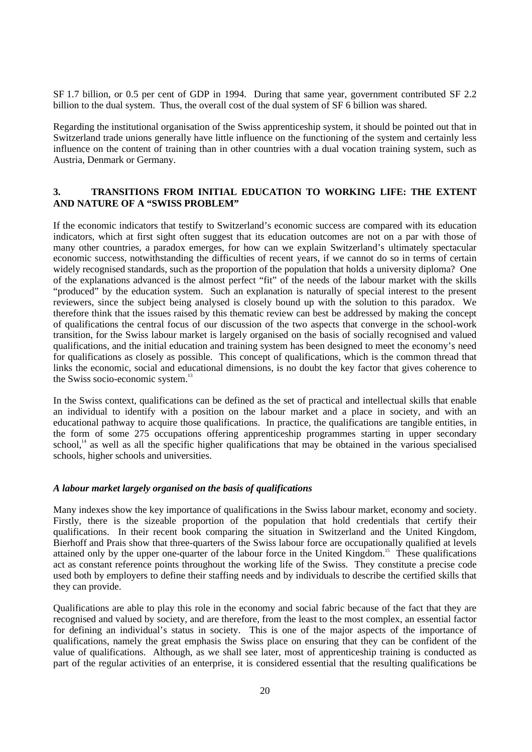SF 1.7 billion, or 0.5 per cent of GDP in 1994. During that same year, government contributed SF 2.2 billion to the dual system. Thus, the overall cost of the dual system of SF 6 billion was shared.

Regarding the institutional organisation of the Swiss apprenticeship system, it should be pointed out that in Switzerland trade unions generally have little influence on the functioning of the system and certainly less influence on the content of training than in other countries with a dual vocation training system, such as Austria, Denmark or Germany.

## **3. TRANSITIONS FROM INITIAL EDUCATION TO WORKING LIFE: THE EXTENT AND NATURE OF A "SWISS PROBLEM"**

If the economic indicators that testify to Switzerland's economic success are compared with its education indicators, which at first sight often suggest that its education outcomes are not on a par with those of many other countries, a paradox emerges, for how can we explain Switzerland's ultimately spectacular economic success, notwithstanding the difficulties of recent years, if we cannot do so in terms of certain widely recognised standards, such as the proportion of the population that holds a university diploma? One of the explanations advanced is the almost perfect "fit" of the needs of the labour market with the skills "produced" by the education system. Such an explanation is naturally of special interest to the present reviewers, since the subject being analysed is closely bound up with the solution to this paradox. We therefore think that the issues raised by this thematic review can best be addressed by making the concept of qualifications the central focus of our discussion of the two aspects that converge in the school-work transition, for the Swiss labour market is largely organised on the basis of socially recognised and valued qualifications, and the initial education and training system has been designed to meet the economy's need for qualifications as closely as possible. This concept of qualifications, which is the common thread that links the economic, social and educational dimensions, is no doubt the key factor that gives coherence to the Swiss socio-economic system.<sup>13</sup>

In the Swiss context, qualifications can be defined as the set of practical and intellectual skills that enable an individual to identify with a position on the labour market and a place in society, and with an educational pathway to acquire those qualifications. In practice, the qualifications are tangible entities, in the form of some 275 occupations offering apprenticeship programmes starting in upper secondary school, $14$  as well as all the specific higher qualifications that may be obtained in the various specialised schools, higher schools and universities.

#### *A labour market largely organised on the basis of qualifications*

Many indexes show the key importance of qualifications in the Swiss labour market, economy and society. Firstly, there is the sizeable proportion of the population that hold credentials that certify their qualifications. In their recent book comparing the situation in Switzerland and the United Kingdom, Bierhoff and Prais show that three-quarters of the Swiss labour force are occupationally qualified at levels attained only by the upper one-quarter of the labour force in the United Kingdom.<sup>15</sup> These qualifications act as constant reference points throughout the working life of the Swiss. They constitute a precise code used both by employers to define their staffing needs and by individuals to describe the certified skills that they can provide.

Qualifications are able to play this role in the economy and social fabric because of the fact that they are recognised and valued by society, and are therefore, from the least to the most complex, an essential factor for defining an individual's status in society. This is one of the major aspects of the importance of qualifications, namely the great emphasis the Swiss place on ensuring that they can be confident of the value of qualifications. Although, as we shall see later, most of apprenticeship training is conducted as part of the regular activities of an enterprise, it is considered essential that the resulting qualifications be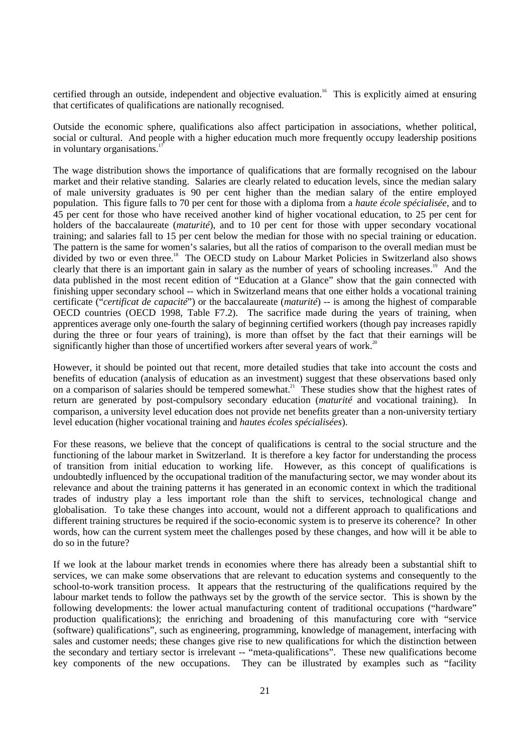certified through an outside, independent and objective evaluation.<sup>16</sup> This is explicitly aimed at ensuring that certificates of qualifications are nationally recognised.

Outside the economic sphere, qualifications also affect participation in associations, whether political, social or cultural. And people with a higher education much more frequently occupy leadership positions in voluntary organisations.<sup>1</sup>

The wage distribution shows the importance of qualifications that are formally recognised on the labour market and their relative standing. Salaries are clearly related to education levels, since the median salary of male university graduates is 90 per cent higher than the median salary of the entire employed population. This figure falls to 70 per cent for those with a diploma from a *haute école spécialisée*, and to 45 per cent for those who have received another kind of higher vocational education, to 25 per cent for holders of the baccalaureate *(maturité*), and to 10 per cent for those with upper secondary vocational training; and salaries fall to 15 per cent below the median for those with no special training or education. The pattern is the same for women's salaries, but all the ratios of comparison to the overall median must be divided by two or even three.<sup>18</sup> The OECD study on Labour Market Policies in Switzerland also shows clearly that there is an important gain in salary as the number of years of schooling increases.<sup>19</sup> And the data published in the most recent edition of "Education at a Glance" show that the gain connected with finishing upper secondary school -- which in Switzerland means that one either holds a vocational training certificate ("*certificat de capacité*") or the baccalaureate (*maturité*) -- is among the highest of comparable OECD countries (OECD 1998, Table F7.2). The sacrifice made during the years of training, when apprentices average only one-fourth the salary of beginning certified workers (though pay increases rapidly during the three or four years of training), is more than offset by the fact that their earnings will be significantly higher than those of uncertified workers after several years of work.<sup>20</sup>

However, it should be pointed out that recent, more detailed studies that take into account the costs and benefits of education (analysis of education as an investment) suggest that these observations based only on a comparison of salaries should be tempered somewhat.<sup>21</sup> These studies show that the highest rates of return are generated by post-compulsory secondary education (*maturité* and vocational training). In comparison, a university level education does not provide net benefits greater than a non-university tertiary level education (higher vocational training and *hautes écoles spécialisées*).

For these reasons, we believe that the concept of qualifications is central to the social structure and the functioning of the labour market in Switzerland. It is therefore a key factor for understanding the process of transition from initial education to working life. However, as this concept of qualifications is undoubtedly influenced by the occupational tradition of the manufacturing sector, we may wonder about its relevance and about the training patterns it has generated in an economic context in which the traditional trades of industry play a less important role than the shift to services, technological change and globalisation. To take these changes into account, would not a different approach to qualifications and different training structures be required if the socio-economic system is to preserve its coherence? In other words, how can the current system meet the challenges posed by these changes, and how will it be able to do so in the future?

If we look at the labour market trends in economies where there has already been a substantial shift to services, we can make some observations that are relevant to education systems and consequently to the school-to-work transition process. It appears that the restructuring of the qualifications required by the labour market tends to follow the pathways set by the growth of the service sector. This is shown by the following developments: the lower actual manufacturing content of traditional occupations ("hardware" production qualifications); the enriching and broadening of this manufacturing core with "service (software) qualifications", such as engineering, programming, knowledge of management, interfacing with sales and customer needs; these changes give rise to new qualifications for which the distinction between the secondary and tertiary sector is irrelevant -- "meta-qualifications". These new qualifications become key components of the new occupations. They can be illustrated by examples such as "facility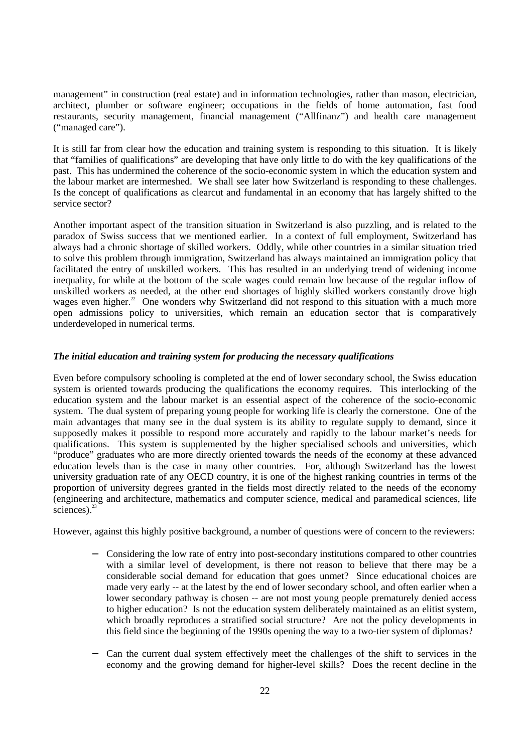management" in construction (real estate) and in information technologies, rather than mason, electrician, architect, plumber or software engineer; occupations in the fields of home automation, fast food restaurants, security management, financial management ("Allfinanz") and health care management ("managed care").

It is still far from clear how the education and training system is responding to this situation. It is likely that "families of qualifications" are developing that have only little to do with the key qualifications of the past. This has undermined the coherence of the socio-economic system in which the education system and the labour market are intermeshed. We shall see later how Switzerland is responding to these challenges. Is the concept of qualifications as clearcut and fundamental in an economy that has largely shifted to the service sector?

Another important aspect of the transition situation in Switzerland is also puzzling, and is related to the paradox of Swiss success that we mentioned earlier. In a context of full employment, Switzerland has always had a chronic shortage of skilled workers. Oddly, while other countries in a similar situation tried to solve this problem through immigration, Switzerland has always maintained an immigration policy that facilitated the entry of unskilled workers. This has resulted in an underlying trend of widening income inequality, for while at the bottom of the scale wages could remain low because of the regular inflow of unskilled workers as needed, at the other end shortages of highly skilled workers constantly drove high wages even higher.<sup>22</sup> One wonders why Switzerland did not respond to this situation with a much more open admissions policy to universities, which remain an education sector that is comparatively underdeveloped in numerical terms.

## *The initial education and training system for producing the necessary qualifications*

Even before compulsory schooling is completed at the end of lower secondary school, the Swiss education system is oriented towards producing the qualifications the economy requires. This interlocking of the education system and the labour market is an essential aspect of the coherence of the socio-economic system. The dual system of preparing young people for working life is clearly the cornerstone. One of the main advantages that many see in the dual system is its ability to regulate supply to demand, since it supposedly makes it possible to respond more accurately and rapidly to the labour market's needs for qualifications. This system is supplemented by the higher specialised schools and universities, which "produce" graduates who are more directly oriented towards the needs of the economy at these advanced education levels than is the case in many other countries. For, although Switzerland has the lowest university graduation rate of any OECD country, it is one of the highest ranking countries in terms of the proportion of university degrees granted in the fields most directly related to the needs of the economy (engineering and architecture, mathematics and computer science, medical and paramedical sciences, life sciences).<sup>23</sup>

However, against this highly positive background, a number of questions were of concern to the reviewers:

- − Considering the low rate of entry into post-secondary institutions compared to other countries with a similar level of development, is there not reason to believe that there may be a considerable social demand for education that goes unmet? Since educational choices are made very early -- at the latest by the end of lower secondary school, and often earlier when a lower secondary pathway is chosen -- are not most young people prematurely denied access to higher education? Is not the education system deliberately maintained as an elitist system, which broadly reproduces a stratified social structure? Are not the policy developments in this field since the beginning of the 1990s opening the way to a two-tier system of diplomas?
- − Can the current dual system effectively meet the challenges of the shift to services in the economy and the growing demand for higher-level skills? Does the recent decline in the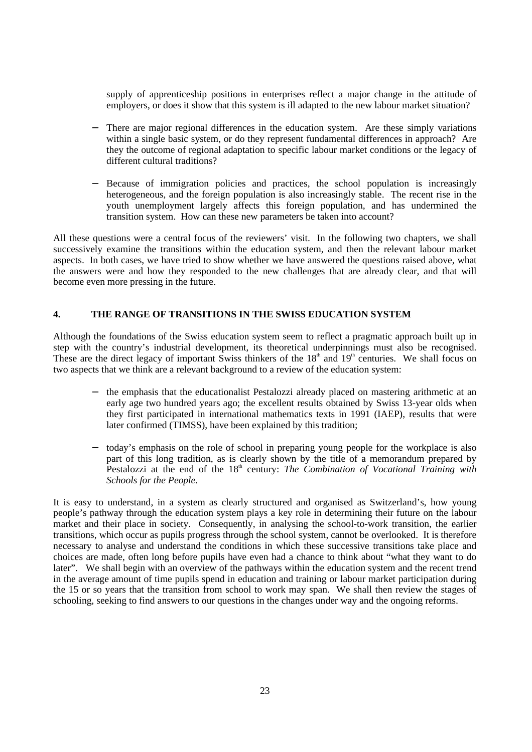supply of apprenticeship positions in enterprises reflect a major change in the attitude of employers, or does it show that this system is ill adapted to the new labour market situation?

- There are major regional differences in the education system. Are these simply variations within a single basic system, or do they represent fundamental differences in approach? Are they the outcome of regional adaptation to specific labour market conditions or the legacy of different cultural traditions?
- Because of immigration policies and practices, the school population is increasingly heterogeneous, and the foreign population is also increasingly stable. The recent rise in the youth unemployment largely affects this foreign population, and has undermined the transition system. How can these new parameters be taken into account?

All these questions were a central focus of the reviewers' visit. In the following two chapters, we shall successively examine the transitions within the education system, and then the relevant labour market aspects. In both cases, we have tried to show whether we have answered the questions raised above, what the answers were and how they responded to the new challenges that are already clear, and that will become even more pressing in the future.

## **4. THE RANGE OF TRANSITIONS IN THE SWISS EDUCATION SYSTEM**

Although the foundations of the Swiss education system seem to reflect a pragmatic approach built up in step with the country's industrial development, its theoretical underpinnings must also be recognised. These are the direct legacy of important Swiss thinkers of the  $18<sup>th</sup>$  and  $19<sup>th</sup>$  centuries. We shall focus on two aspects that we think are a relevant background to a review of the education system:

- the emphasis that the educationalist Pestalozzi already placed on mastering arithmetic at an early age two hundred years ago; the excellent results obtained by Swiss 13-year olds when they first participated in international mathematics texts in 1991 (IAEP), results that were later confirmed (TIMSS), have been explained by this tradition;
- today's emphasis on the role of school in preparing young people for the workplace is also part of this long tradition, as is clearly shown by the title of a memorandum prepared by Pestalozzi at the end of the 18<sup>th</sup> century: *The Combination of Vocational Training with Schools for the People.*

It is easy to understand, in a system as clearly structured and organised as Switzerland's, how young people's pathway through the education system plays a key role in determining their future on the labour market and their place in society. Consequently, in analysing the school-to-work transition, the earlier transitions, which occur as pupils progress through the school system, cannot be overlooked. It is therefore necessary to analyse and understand the conditions in which these successive transitions take place and choices are made, often long before pupils have even had a chance to think about "what they want to do later". We shall begin with an overview of the pathways within the education system and the recent trend in the average amount of time pupils spend in education and training or labour market participation during the 15 or so years that the transition from school to work may span. We shall then review the stages of schooling, seeking to find answers to our questions in the changes under way and the ongoing reforms.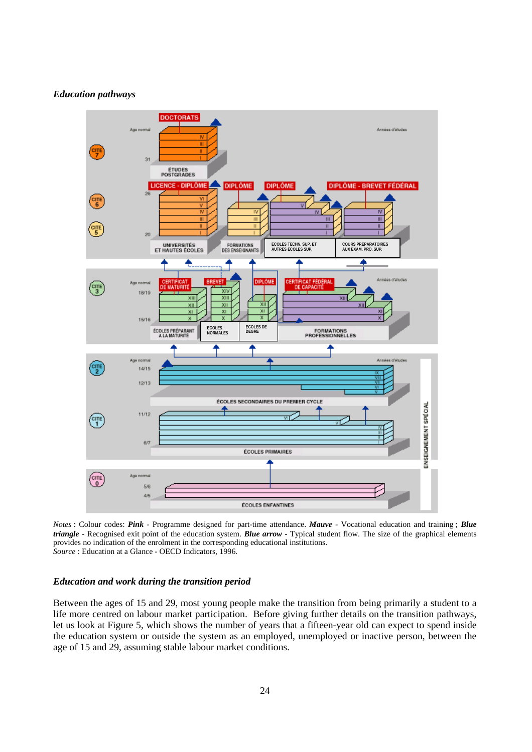#### *Education pathways*



*Notes* : Colour codes: *Pink* - Programme designed for part-time attendance. *Mauve* - Vocational education and training ; *Blue triangle* - Recognised exit point of the education system. *Blue arrow* - Typical student flow. The size of the graphical elements provides no indication of the enrolment in the corresponding educational institutions. *Source* : Education at a Glance - OECD Indicators, 1996.

### *Education and work during the transition period*

Between the ages of 15 and 29, most young people make the transition from being primarily a student to a life more centred on labour market participation. Before giving further details on the transition pathways, let us look at Figure 5, which shows the number of years that a fifteen-year old can expect to spend inside the education system or outside the system as an employed, unemployed or inactive person, between the age of 15 and 29, assuming stable labour market conditions.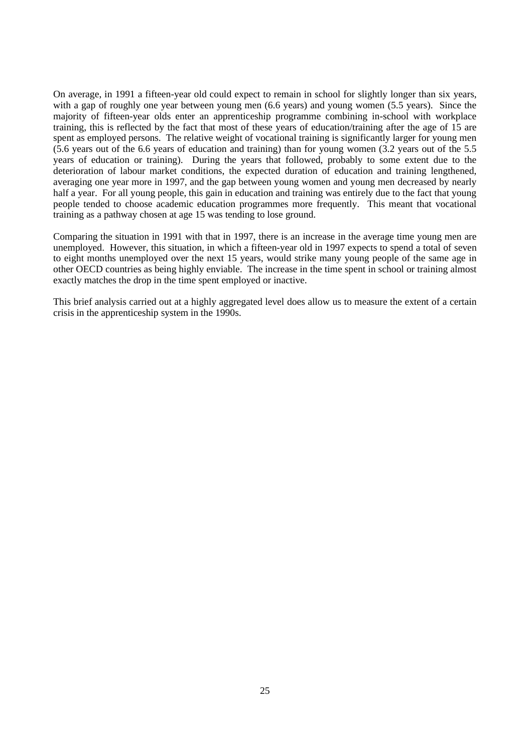On average, in 1991 a fifteen-year old could expect to remain in school for slightly longer than six years, with a gap of roughly one year between young men (6.6 years) and young women (5.5 years). Since the majority of fifteen-year olds enter an apprenticeship programme combining in-school with workplace training, this is reflected by the fact that most of these years of education/training after the age of 15 are spent as employed persons. The relative weight of vocational training is significantly larger for young men (5.6 years out of the 6.6 years of education and training) than for young women (3.2 years out of the 5.5 years of education or training). During the years that followed, probably to some extent due to the deterioration of labour market conditions, the expected duration of education and training lengthened, averaging one year more in 1997, and the gap between young women and young men decreased by nearly half a year. For all young people, this gain in education and training was entirely due to the fact that young people tended to choose academic education programmes more frequently. This meant that vocational training as a pathway chosen at age 15 was tending to lose ground.

Comparing the situation in 1991 with that in 1997, there is an increase in the average time young men are unemployed. However, this situation, in which a fifteen-year old in 1997 expects to spend a total of seven to eight months unemployed over the next 15 years, would strike many young people of the same age in other OECD countries as being highly enviable. The increase in the time spent in school or training almost exactly matches the drop in the time spent employed or inactive.

This brief analysis carried out at a highly aggregated level does allow us to measure the extent of a certain crisis in the apprenticeship system in the 1990s.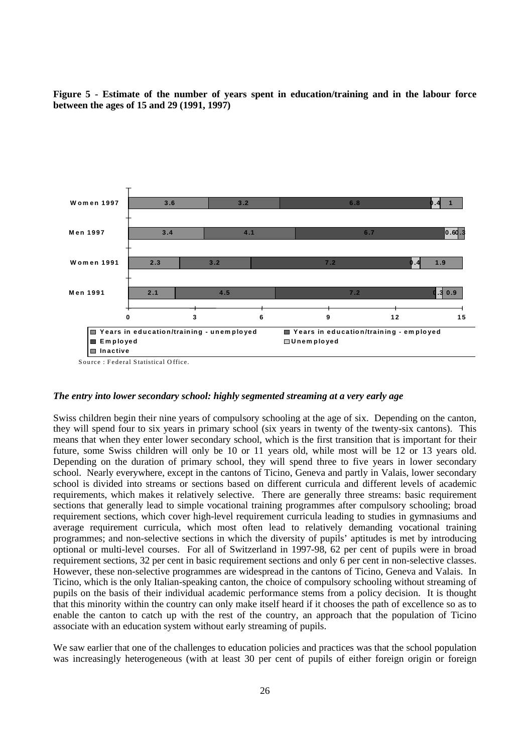



*The entry into lower secondary school: highly segmented streaming at a very early age*

Swiss children begin their nine years of compulsory schooling at the age of six. Depending on the canton, they will spend four to six years in primary school (six years in twenty of the twenty-six cantons). This means that when they enter lower secondary school, which is the first transition that is important for their future, some Swiss children will only be 10 or 11 years old, while most will be 12 or 13 years old. Depending on the duration of primary school, they will spend three to five years in lower secondary school. Nearly everywhere, except in the cantons of Ticino, Geneva and partly in Valais, lower secondary school is divided into streams or sections based on different curricula and different levels of academic requirements, which makes it relatively selective. There are generally three streams: basic requirement sections that generally lead to simple vocational training programmes after compulsory schooling; broad requirement sections, which cover high-level requirement curricula leading to studies in gymnasiums and average requirement curricula, which most often lead to relatively demanding vocational training programmes; and non-selective sections in which the diversity of pupils' aptitudes is met by introducing optional or multi-level courses. For all of Switzerland in 1997-98, 62 per cent of pupils were in broad requirement sections, 32 per cent in basic requirement sections and only 6 per cent in non-selective classes. However, these non-selective programmes are widespread in the cantons of Ticino, Geneva and Valais. In Ticino, which is the only Italian-speaking canton, the choice of compulsory schooling without streaming of pupils on the basis of their individual academic performance stems from a policy decision. It is thought that this minority within the country can only make itself heard if it chooses the path of excellence so as to enable the canton to catch up with the rest of the country, an approach that the population of Ticino associate with an education system without early streaming of pupils.

We saw earlier that one of the challenges to education policies and practices was that the school population was increasingly heterogeneous (with at least 30 per cent of pupils of either foreign origin or foreign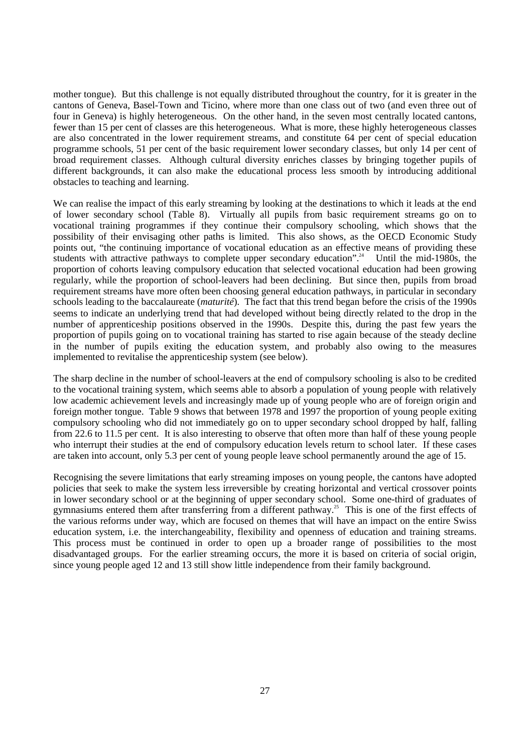mother tongue). But this challenge is not equally distributed throughout the country, for it is greater in the cantons of Geneva, Basel-Town and Ticino, where more than one class out of two (and even three out of four in Geneva) is highly heterogeneous. On the other hand, in the seven most centrally located cantons, fewer than 15 per cent of classes are this heterogeneous. What is more, these highly heterogeneous classes are also concentrated in the lower requirement streams, and constitute 64 per cent of special education programme schools, 51 per cent of the basic requirement lower secondary classes, but only 14 per cent of broad requirement classes. Although cultural diversity enriches classes by bringing together pupils of different backgrounds, it can also make the educational process less smooth by introducing additional obstacles to teaching and learning.

We can realise the impact of this early streaming by looking at the destinations to which it leads at the end of lower secondary school (Table 8). Virtually all pupils from basic requirement streams go on to vocational training programmes if they continue their compulsory schooling, which shows that the possibility of their envisaging other paths is limited. This also shows, as the OECD Economic Study points out, "the continuing importance of vocational education as an effective means of providing these students with attractive pathways to complete upper secondary education".<sup>24</sup> Until the mid-1980s, the proportion of cohorts leaving compulsory education that selected vocational education had been growing regularly, while the proportion of school-leavers had been declining. But since then, pupils from broad requirement streams have more often been choosing general education pathways, in particular in secondary schools leading to the baccalaureate (*maturité*)*.* The fact that this trend began before the crisis of the 1990s seems to indicate an underlying trend that had developed without being directly related to the drop in the number of apprenticeship positions observed in the 1990s. Despite this, during the past few years the proportion of pupils going on to vocational training has started to rise again because of the steady decline in the number of pupils exiting the education system, and probably also owing to the measures implemented to revitalise the apprenticeship system (see below).

The sharp decline in the number of school-leavers at the end of compulsory schooling is also to be credited to the vocational training system, which seems able to absorb a population of young people with relatively low academic achievement levels and increasingly made up of young people who are of foreign origin and foreign mother tongue. Table 9 shows that between 1978 and 1997 the proportion of young people exiting compulsory schooling who did not immediately go on to upper secondary school dropped by half, falling from 22.6 to 11.5 per cent. It is also interesting to observe that often more than half of these young people who interrupt their studies at the end of compulsory education levels return to school later. If these cases are taken into account, only 5.3 per cent of young people leave school permanently around the age of 15.

Recognising the severe limitations that early streaming imposes on young people, the cantons have adopted policies that seek to make the system less irreversible by creating horizontal and vertical crossover points in lower secondary school or at the beginning of upper secondary school. Some one-third of graduates of gymnasiums entered them after transferring from a different pathway.<sup>25</sup> This is one of the first effects of the various reforms under way, which are focused on themes that will have an impact on the entire Swiss education system, i.e. the interchangeability, flexibility and openness of education and training streams. This process must be continued in order to open up a broader range of possibilities to the most disadvantaged groups. For the earlier streaming occurs, the more it is based on criteria of social origin, since young people aged 12 and 13 still show little independence from their family background.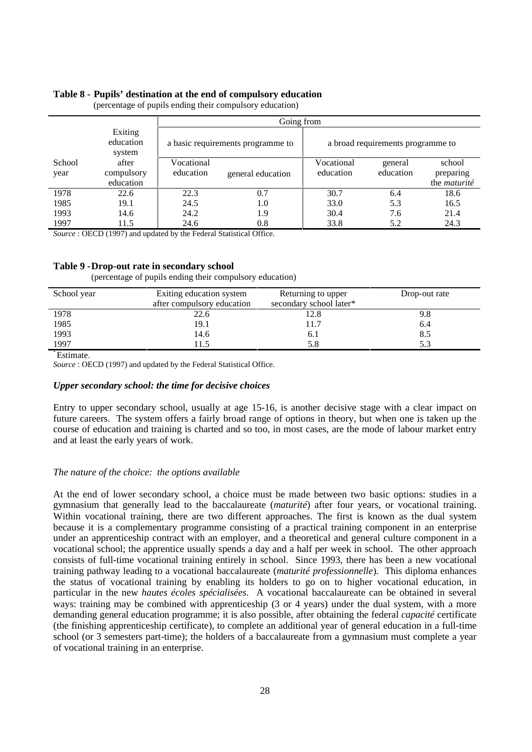#### **Table 8 - Pupils' destination at the end of compulsory education**

|        |                                | Going from                        |                   |            |                                   |                     |
|--------|--------------------------------|-----------------------------------|-------------------|------------|-----------------------------------|---------------------|
|        | Exiting<br>education<br>system | a basic requirements programme to |                   |            | a broad requirements programme to |                     |
| School | after                          | Vocational                        |                   | Vocational | general                           | school              |
| year   | compulsory                     | education                         | general education | education  | education                         | preparing           |
|        | education                      |                                   |                   |            |                                   | the <i>maturité</i> |
| 1978   | 22.6                           | 22.3                              | 0.7               | 30.7       | 6.4                               | 18.6                |
| 1985   | 19.1                           | 24.5                              | 1.0               | 33.0       | 5.3                               | 16.5                |
| 1993   | 14.6                           | 24.2                              | 1.9               | 30.4       | 7.6                               | 21.4                |
| 1997   | 11.5                           | 24.6                              | 0.8               | 33.8       | 5.2                               | 24.3                |

(percentage of pupils ending their compulsory education)

*Source* : OECD (1997) and updated by the Federal Statistical Office.

#### **Table 9 -Drop-out rate in secondary school**

(percentage of pupils ending their compulsory education)

| School year | Exiting education system   | Returning to upper      | Drop-out rate |
|-------------|----------------------------|-------------------------|---------------|
|             | after compulsory education | secondary school later* |               |
| 1978        | 22.6                       | 12.8                    | 9.8           |
| 1985        | 19.1                       | 11.7                    | 6.4           |
| 1993        | 14.6                       | 6. 1                    | 8.5           |
| 1997        | 11.5                       | 5.8                     |               |

\* Estimate.

*Source* : OECD (1997) and updated by the Federal Statistical Office.

#### *Upper secondary school: the time for decisive choices*

Entry to upper secondary school, usually at age 15-16, is another decisive stage with a clear impact on future careers. The system offers a fairly broad range of options in theory, but when one is taken up the course of education and training is charted and so too, in most cases, are the mode of labour market entry and at least the early years of work.

#### *The nature of the choice: the options available*

At the end of lower secondary school, a choice must be made between two basic options: studies in a gymnasium that generally lead to the baccalaureate (*maturité*) after four years, or vocational training. Within vocational training, there are two different approaches. The first is known as the dual system because it is a complementary programme consisting of a practical training component in an enterprise under an apprenticeship contract with an employer, and a theoretical and general culture component in a vocational school; the apprentice usually spends a day and a half per week in school. The other approach consists of full-time vocational training entirely in school. Since 1993, there has been a new vocational training pathway leading to a vocational baccalaureate (*maturité professionnelle*)*.* This diploma enhances the status of vocational training by enabling its holders to go on to higher vocational education, in particular in the new *hautes écoles spécialisées*. A vocational baccalaureate can be obtained in several ways: training may be combined with apprenticeship (3 or 4 years) under the dual system, with a more demanding general education programme; it is also possible, after obtaining the federal *capacité* certificate (the finishing apprenticeship certificate), to complete an additional year of general education in a full-time school (or 3 semesters part-time); the holders of a baccalaureate from a gymnasium must complete a year of vocational training in an enterprise.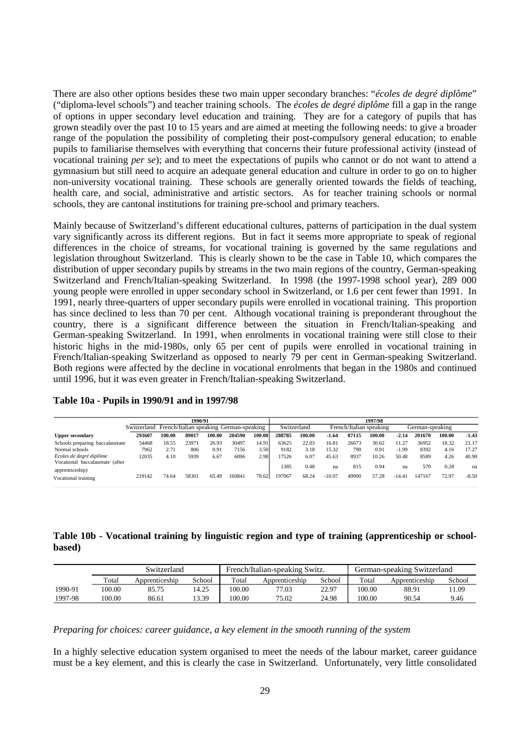There are also other options besides these two main upper secondary branches: "*écoles de degré diplôme*" ("diploma-level schools") and teacher training schools. The *écoles de degré diplôme* fill a gap in the range of options in upper secondary level education and training. They are for a category of pupils that has grown steadily over the past 10 to 15 years and are aimed at meeting the following needs: to give a broader range of the population the possibility of completing their post-compulsory general education; to enable pupils to familiarise themselves with everything that concerns their future professional activity (instead of vocational training *per se*); and to meet the expectations of pupils who cannot or do not want to attend a gymnasium but still need to acquire an adequate general education and culture in order to go on to higher non-university vocational training. These schools are generally oriented towards the fields of teaching, health care, and social, administrative and artistic sectors. As for teacher training schools or normal schools, they are cantonal institutions for training pre-school and primary teachers.

Mainly because of Switzerland's different educational cultures, patterns of participation in the dual system vary significantly across its different regions. But in fact it seems more appropriate to speak of regional differences in the choice of streams, for vocational training is governed by the same regulations and legislation throughout Switzerland. This is clearly shown to be the case in Table 10, which compares the distribution of upper secondary pupils by streams in the two main regions of the country, German-speaking Switzerland and French/Italian-speaking Switzerland. In 1998 (the 1997-1998 school year), 289 000 young people were enrolled in upper secondary school in Switzerland, or 1.6 per cent fewer than 1991. In 1991, nearly three-quarters of upper secondary pupils were enrolled in vocational training. This proportion has since declined to less than 70 per cent. Although vocational training is preponderant throughout the country, there is a significant difference between the situation in French/Italian-speaking and German-speaking Switzerland. In 1991, when enrolments in vocational training were still close to their historic highs in the mid-1980s, only 65 per cent of pupils were enrolled in vocational training in French/Italian-speaking Switzerland as opposed to nearly 79 per cent in German-speaking Switzerland. Both regions were affected by the decline in vocational enrolments that began in the 1980s and continued until 1996, but it was even greater in French/Italian-speaking Switzerland.

|                                                            | 1990/91                                             |        |       |        | 1997/98 |        |             |        |          |       |                         |          |                 |        |         |
|------------------------------------------------------------|-----------------------------------------------------|--------|-------|--------|---------|--------|-------------|--------|----------|-------|-------------------------|----------|-----------------|--------|---------|
|                                                            | Switzerland French/Italian speaking German-speaking |        |       |        |         |        | Switzerland |        |          |       | French/Italian speaking |          | German-speaking |        |         |
| Upper secondary                                            | 293607                                              | 100.00 | 89017 | 100.00 | 204590  | 100.00 | 288785      | 100.00 | $-1.64$  | 87115 | 100.00                  | $-2.14$  | 201670          | 100.00 | $-1.43$ |
| Schools preparing baccalaureate                            | 54468                                               | 18.55  | 23971 | 26.93  | 30497   | 14.91  | 63625       | 22.03  | 16.81    | 26673 | 30.62                   | 11.27    | 36952           | 18.32  | 21.17   |
| Normal schools                                             | 7962                                                | 2.71   | 806   | 0.9    | 7156    | 3.50   | 9182        | 3.18   | 15.32    | 790   | 0.91                    | $-1.99$  | 8392            | 4.16   | 17.27   |
| Ecoles de degré diplôme<br>Vocational baccalaureate (after | 12035                                               | 4.10   | 5939  | 6.67   | 6096    | 2.98   | 17526       | 6.07   | 45.63    | 8937  | 10.26                   | 50.48    | 8589            | 4.26   | 40.90   |
| apprenticeship)                                            |                                                     |        |       |        |         |        | 1385        | 0.48   | na       | 815   | 0.94                    | na       | 570             | 0.28   | na      |
| Vocational training                                        | 219142                                              | 74.64  | 58301 | 65.49  | 160841  | 78.62  | 197067      | 68.24  | $-10.07$ | 49900 | 57.28                   | $-14.41$ | 147167          | 72.97  | $-8.50$ |

**Table 10a - Pupils in 1990/91 and in 1997/98**

## **Table 10b - Vocational training by linguistic region and type of training (apprenticeship or schoolbased)**

|         | Switzerland |                |        |        | French/Italian-speaking Switz. |        | German-speaking Switzerland |                |        |  |
|---------|-------------|----------------|--------|--------|--------------------------------|--------|-----------------------------|----------------|--------|--|
|         | Total       | Apprenticeship | School | Total  | Apprenticeship                 | School | Total                       | Apprenticeship | School |  |
| 1990-91 | 100.00      | 85.75          | .4.25  | 100.00 | 77.03                          | 22.97  | 100.00                      | 88.91          | 1.09   |  |
| 1997-98 | 100.00      | 86.61          | 13.39  | 100.00 | 75.02                          | 24.98  | 100.00                      | 90.54          | 9.46   |  |

#### *Preparing for choices: career guidance, a key element in the smooth running of the system*

In a highly selective education system organised to meet the needs of the labour market, career guidance must be a key element, and this is clearly the case in Switzerland. Unfortunately, very little consolidated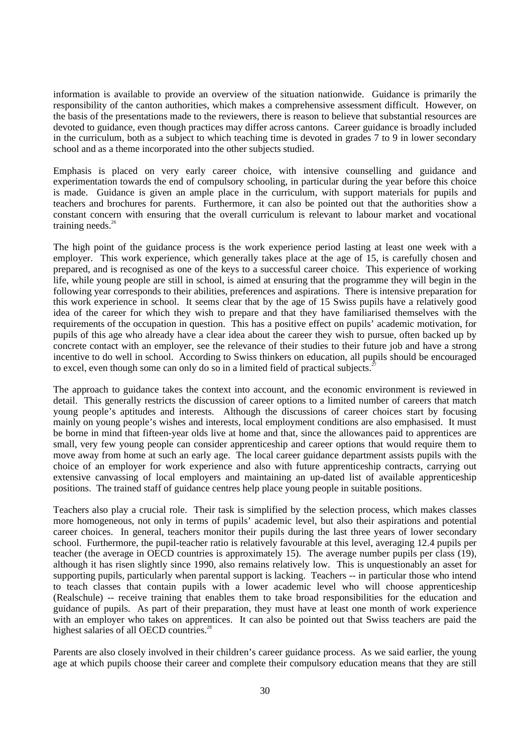information is available to provide an overview of the situation nationwide. Guidance is primarily the responsibility of the canton authorities, which makes a comprehensive assessment difficult. However, on the basis of the presentations made to the reviewers, there is reason to believe that substantial resources are devoted to guidance, even though practices may differ across cantons. Career guidance is broadly included in the curriculum, both as a subject to which teaching time is devoted in grades 7 to 9 in lower secondary school and as a theme incorporated into the other subjects studied.

Emphasis is placed on very early career choice, with intensive counselling and guidance and experimentation towards the end of compulsory schooling, in particular during the year before this choice is made. Guidance is given an ample place in the curriculum, with support materials for pupils and teachers and brochures for parents. Furthermore, it can also be pointed out that the authorities show a constant concern with ensuring that the overall curriculum is relevant to labour market and vocational training needs. $26$ 

The high point of the guidance process is the work experience period lasting at least one week with a employer. This work experience, which generally takes place at the age of 15, is carefully chosen and prepared, and is recognised as one of the keys to a successful career choice. This experience of working life, while young people are still in school, is aimed at ensuring that the programme they will begin in the following year corresponds to their abilities, preferences and aspirations. There is intensive preparation for this work experience in school. It seems clear that by the age of 15 Swiss pupils have a relatively good idea of the career for which they wish to prepare and that they have familiarised themselves with the requirements of the occupation in question. This has a positive effect on pupils' academic motivation, for pupils of this age who already have a clear idea about the career they wish to pursue, often backed up by concrete contact with an employer, see the relevance of their studies to their future job and have a strong incentive to do well in school. According to Swiss thinkers on education, all pupils should be encouraged to excel, even though some can only do so in a limited field of practical subjects.<sup>2</sup>

The approach to guidance takes the context into account, and the economic environment is reviewed in detail. This generally restricts the discussion of career options to a limited number of careers that match young people's aptitudes and interests. Although the discussions of career choices start by focusing mainly on young people's wishes and interests, local employment conditions are also emphasised. It must be borne in mind that fifteen-year olds live at home and that, since the allowances paid to apprentices are small, very few young people can consider apprenticeship and career options that would require them to move away from home at such an early age. The local career guidance department assists pupils with the choice of an employer for work experience and also with future apprenticeship contracts, carrying out extensive canvassing of local employers and maintaining an up-dated list of available apprenticeship positions. The trained staff of guidance centres help place young people in suitable positions.

Teachers also play a crucial role. Their task is simplified by the selection process, which makes classes more homogeneous, not only in terms of pupils' academic level, but also their aspirations and potential career choices. In general, teachers monitor their pupils during the last three years of lower secondary school. Furthermore, the pupil-teacher ratio is relatively favourable at this level, averaging 12.4 pupils per teacher (the average in OECD countries is approximately 15). The average number pupils per class (19), although it has risen slightly since 1990, also remains relatively low. This is unquestionably an asset for supporting pupils, particularly when parental support is lacking. Teachers -- in particular those who intend to teach classes that contain pupils with a lower academic level who will choose apprenticeship (Realschule) -- receive training that enables them to take broad responsibilities for the education and guidance of pupils. As part of their preparation, they must have at least one month of work experience with an employer who takes on apprentices. It can also be pointed out that Swiss teachers are paid the highest salaries of all OECD countries.<sup>28</sup>

Parents are also closely involved in their children's career guidance process. As we said earlier, the young age at which pupils choose their career and complete their compulsory education means that they are still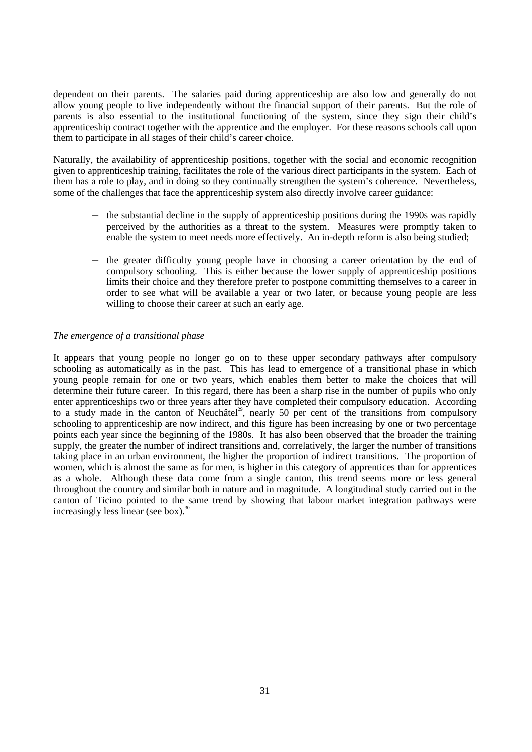dependent on their parents. The salaries paid during apprenticeship are also low and generally do not allow young people to live independently without the financial support of their parents. But the role of parents is also essential to the institutional functioning of the system, since they sign their child's apprenticeship contract together with the apprentice and the employer. For these reasons schools call upon them to participate in all stages of their child's career choice.

Naturally, the availability of apprenticeship positions, together with the social and economic recognition given to apprenticeship training, facilitates the role of the various direct participants in the system. Each of them has a role to play, and in doing so they continually strengthen the system's coherence. Nevertheless, some of the challenges that face the apprenticeship system also directly involve career guidance:

- the substantial decline in the supply of apprenticeship positions during the 1990s was rapidly perceived by the authorities as a threat to the system. Measures were promptly taken to enable the system to meet needs more effectively. An in-depth reform is also being studied;
- the greater difficulty young people have in choosing a career orientation by the end of compulsory schooling. This is either because the lower supply of apprenticeship positions limits their choice and they therefore prefer to postpone committing themselves to a career in order to see what will be available a year or two later, or because young people are less willing to choose their career at such an early age.

## *The emergence of a transitional phase*

It appears that young people no longer go on to these upper secondary pathways after compulsory schooling as automatically as in the past. This has lead to emergence of a transitional phase in which young people remain for one or two years, which enables them better to make the choices that will determine their future career. In this regard, there has been a sharp rise in the number of pupils who only enter apprenticeships two or three years after they have completed their compulsory education. According to a study made in the canton of Neuchâtel<sup>29</sup>, nearly 50 per cent of the transitions from compulsory schooling to apprenticeship are now indirect, and this figure has been increasing by one or two percentage points each year since the beginning of the 1980s. It has also been observed that the broader the training supply, the greater the number of indirect transitions and, correlatively, the larger the number of transitions taking place in an urban environment, the higher the proportion of indirect transitions. The proportion of women, which is almost the same as for men, is higher in this category of apprentices than for apprentices as a whole. Although these data come from a single canton, this trend seems more or less general throughout the country and similar both in nature and in magnitude. A longitudinal study carried out in the canton of Ticino pointed to the same trend by showing that labour market integration pathways were increasingly less linear (see box).<sup>30</sup>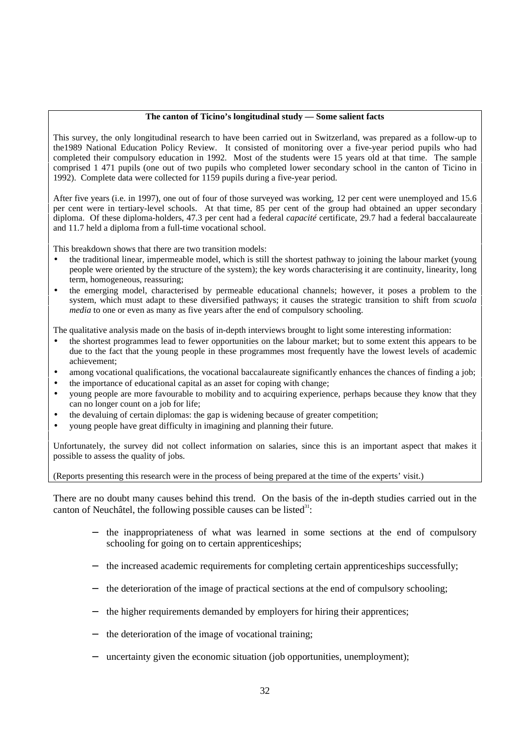## **The canton of Ticino's longitudinal study — Some salient facts**

This survey, the only longitudinal research to have been carried out in Switzerland, was prepared as a follow-up to the1989 National Education Policy Review. It consisted of monitoring over a five-year period pupils who had completed their compulsory education in 1992. Most of the students were 15 years old at that time. The sample comprised 1 471 pupils (one out of two pupils who completed lower secondary school in the canton of Ticino in 1992). Complete data were collected for 1159 pupils during a five-year period.

After five years (i.e. in 1997), one out of four of those surveyed was working, 12 per cent were unemployed and 15.6 per cent were in tertiary-level schools. At that time, 85 per cent of the group had obtained an upper secondary diploma. Of these diploma-holders, 47.3 per cent had a federal *capacité* certificate, 29.7 had a federal baccalaureate and 11.7 held a diploma from a full-time vocational school.

This breakdown shows that there are two transition models:

- the traditional linear, impermeable model, which is still the shortest pathway to joining the labour market (young people were oriented by the structure of the system); the key words characterising it are continuity, linearity, long term, homogeneous, reassuring;
- the emerging model, characterised by permeable educational channels; however, it poses a problem to the system, which must adapt to these diversified pathways; it causes the strategic transition to shift from *scuola media* to one or even as many as five years after the end of compulsory schooling.

The qualitative analysis made on the basis of in-depth interviews brought to light some interesting information:

- the shortest programmes lead to fewer opportunities on the labour market; but to some extent this appears to be due to the fact that the young people in these programmes most frequently have the lowest levels of academic achievement;
- among vocational qualifications, the vocational baccalaureate significantly enhances the chances of finding a job;
- the importance of educational capital as an asset for coping with change;
- young people are more favourable to mobility and to acquiring experience, perhaps because they know that they can no longer count on a job for life;
- the devaluing of certain diplomas: the gap is widening because of greater competition;
- young people have great difficulty in imagining and planning their future.

Unfortunately, the survey did not collect information on salaries, since this is an important aspect that makes it possible to assess the quality of jobs.

(Reports presenting this research were in the process of being prepared at the time of the experts' visit.)

There are no doubt many causes behind this trend. On the basis of the in-depth studies carried out in the canton of Neuchâtel, the following possible causes can be listed $3^1$ :

- the inappropriateness of what was learned in some sections at the end of compulsory schooling for going on to certain apprenticeships;
- the increased academic requirements for completing certain apprenticeships successfully;
- the deterioration of the image of practical sections at the end of compulsory schooling;
- the higher requirements demanded by employers for hiring their apprentices;
- the deterioration of the image of vocational training;
- uncertainty given the economic situation (job opportunities, unemployment);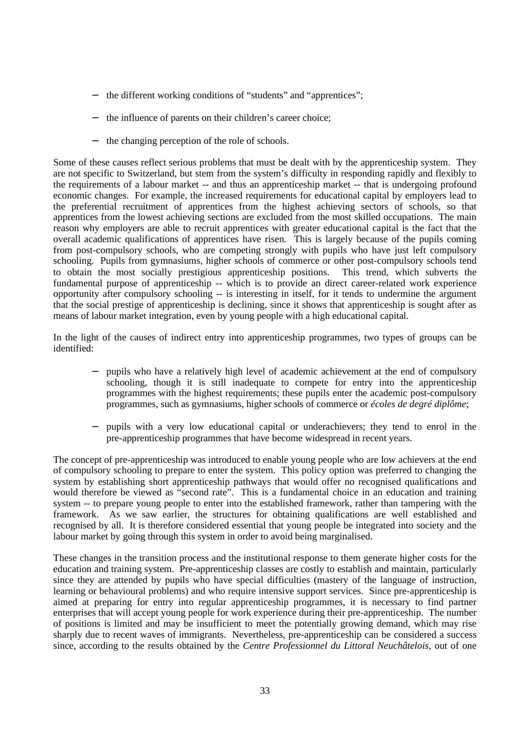- − the different working conditions of "students" and "apprentices";
- − the influence of parents on their children's career choice;
- − the changing perception of the role of schools.

Some of these causes reflect serious problems that must be dealt with by the apprenticeship system. They are not specific to Switzerland, but stem from the system's difficulty in responding rapidly and flexibly to the requirements of a labour market -- and thus an apprenticeship market -- that is undergoing profound economic changes. For example, the increased requirements for educational capital by employers lead to the preferential recruitment of apprentices from the highest achieving sectors of schools, so that apprentices from the lowest achieving sections are excluded from the most skilled occupations. The main reason why employers are able to recruit apprentices with greater educational capital is the fact that the overall academic qualifications of apprentices have risen. This is largely because of the pupils coming from post-compulsory schools, who are competing strongly with pupils who have just left compulsory schooling. Pupils from gymnasiums*,* higher schools of commerce or other post-compulsory schools tend to obtain the most socially prestigious apprenticeship positions. This trend, which subverts the fundamental purpose of apprenticeship -- which is to provide an direct career-related work experience opportunity after compulsory schooling -- is interesting in itself, for it tends to undermine the argument that the social prestige of apprenticeship is declining, since it shows that apprenticeship is sought after as means of labour market integration, even by young people with a high educational capital.

In the light of the causes of indirect entry into apprenticeship programmes, two types of groups can be identified:

- − pupils who have a relatively high level of academic achievement at the end of compulsory schooling, though it is still inadequate to compete for entry into the apprenticeship programmes with the highest requirements; these pupils enter the academic post-compulsory programmes, such as gymnasiums, higher schools of commerce or *écoles de degré diplôme*;
- − pupils with a very low educational capital or underachievers; they tend to enrol in the pre-apprenticeship programmes that have become widespread in recent years.

The concept of pre-apprenticeship was introduced to enable young people who are low achievers at the end of compulsory schooling to prepare to enter the system. This policy option was preferred to changing the system by establishing short apprenticeship pathways that would offer no recognised qualifications and would therefore be viewed as "second rate". This is a fundamental choice in an education and training system -- to prepare young people to enter into the established framework, rather than tampering with the framework. As we saw earlier, the structures for obtaining qualifications are well established and recognised by all. It is therefore considered essential that young people be integrated into society and the labour market by going through this system in order to avoid being marginalised.

These changes in the transition process and the institutional response to them generate higher costs for the education and training system. Pre-apprenticeship classes are costly to establish and maintain, particularly since they are attended by pupils who have special difficulties (mastery of the language of instruction, learning or behavioural problems) and who require intensive support services. Since pre-apprenticeship is aimed at preparing for entry into regular apprenticeship programmes, it is necessary to find partner enterprises that will accept young people for work experience during their pre-apprenticeship. The number of positions is limited and may be insufficient to meet the potentially growing demand, which may rise sharply due to recent waves of immigrants. Nevertheless, pre-apprenticeship can be considered a success since, according to the results obtained by the *Centre Professionnel du Littoral Neuchâtelois*, out of one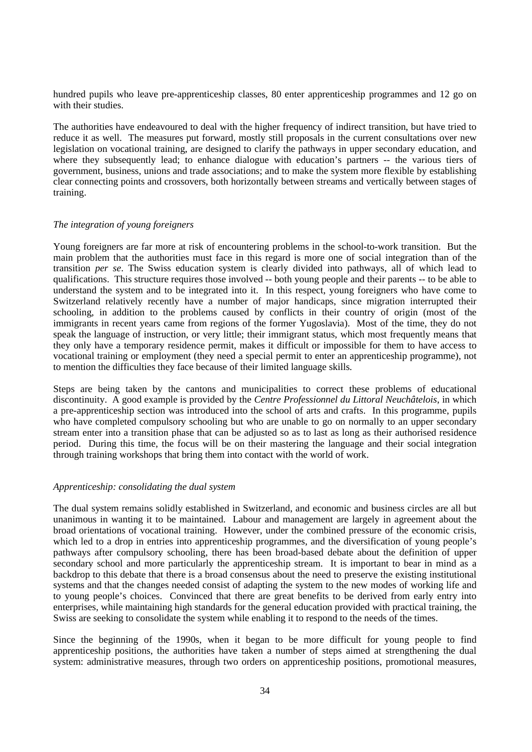hundred pupils who leave pre-apprenticeship classes, 80 enter apprenticeship programmes and 12 go on with their studies.

The authorities have endeavoured to deal with the higher frequency of indirect transition, but have tried to reduce it as well. The measures put forward, mostly still proposals in the current consultations over new legislation on vocational training, are designed to clarify the pathways in upper secondary education, and where they subsequently lead; to enhance dialogue with education's partners -- the various tiers of government, business, unions and trade associations; and to make the system more flexible by establishing clear connecting points and crossovers, both horizontally between streams and vertically between stages of training.

#### *The integration of young foreigners*

Young foreigners are far more at risk of encountering problems in the school-to-work transition. But the main problem that the authorities must face in this regard is more one of social integration than of the transition *per se*. The Swiss education system is clearly divided into pathways, all of which lead to qualifications. This structure requires those involved -- both young people and their parents -- to be able to understand the system and to be integrated into it. In this respect, young foreigners who have come to Switzerland relatively recently have a number of major handicaps, since migration interrupted their schooling, in addition to the problems caused by conflicts in their country of origin (most of the immigrants in recent years came from regions of the former Yugoslavia). Most of the time, they do not speak the language of instruction, or very little; their immigrant status, which most frequently means that they only have a temporary residence permit, makes it difficult or impossible for them to have access to vocational training or employment (they need a special permit to enter an apprenticeship programme), not to mention the difficulties they face because of their limited language skills.

Steps are being taken by the cantons and municipalities to correct these problems of educational discontinuity. A good example is provided by the *Centre Professionnel du Littoral Neuchâtelois*, in which a pre-apprenticeship section was introduced into the school of arts and crafts. In this programme, pupils who have completed compulsory schooling but who are unable to go on normally to an upper secondary stream enter into a transition phase that can be adjusted so as to last as long as their authorised residence period. During this time, the focus will be on their mastering the language and their social integration through training workshops that bring them into contact with the world of work.

## *Apprenticeship: consolidating the dual system*

The dual system remains solidly established in Switzerland, and economic and business circles are all but unanimous in wanting it to be maintained. Labour and management are largely in agreement about the broad orientations of vocational training. However, under the combined pressure of the economic crisis, which led to a drop in entries into apprenticeship programmes, and the diversification of young people's pathways after compulsory schooling, there has been broad-based debate about the definition of upper secondary school and more particularly the apprenticeship stream. It is important to bear in mind as a backdrop to this debate that there is a broad consensus about the need to preserve the existing institutional systems and that the changes needed consist of adapting the system to the new modes of working life and to young people's choices. Convinced that there are great benefits to be derived from early entry into enterprises, while maintaining high standards for the general education provided with practical training, the Swiss are seeking to consolidate the system while enabling it to respond to the needs of the times.

Since the beginning of the 1990s, when it began to be more difficult for young people to find apprenticeship positions, the authorities have taken a number of steps aimed at strengthening the dual system: administrative measures, through two orders on apprenticeship positions, promotional measures,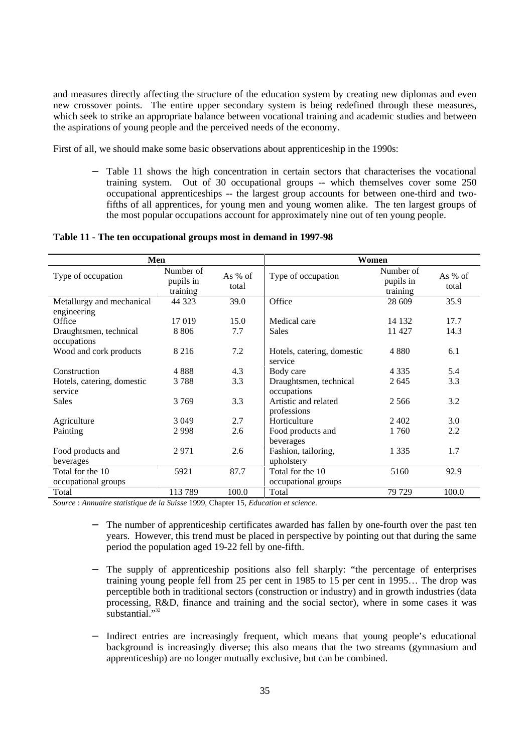and measures directly affecting the structure of the education system by creating new diplomas and even new crossover points. The entire upper secondary system is being redefined through these measures, which seek to strike an appropriate balance between vocational training and academic studies and between the aspirations of young people and the perceived needs of the economy.

First of all, we should make some basic observations about apprenticeship in the 1990s:

Table 11 shows the high concentration in certain sectors that characterises the vocational training system. Out of 30 occupational groups -- which themselves cover some 250 occupational apprenticeships -- the largest group accounts for between one-third and twofifths of all apprentices, for young men and young women alike. The ten largest groups of the most popular occupations account for approximately nine out of ten young people.

## **Table 11 - The ten occupational groups most in demand in 1997-98**

| Men                                   |                                    |                    | Women                                 |                                    |                    |  |
|---------------------------------------|------------------------------------|--------------------|---------------------------------------|------------------------------------|--------------------|--|
| Type of occupation                    | Number of<br>pupils in<br>training | As $%$ of<br>total | Type of occupation                    | Number of<br>pupils in<br>training | As $%$ of<br>total |  |
| Metallurgy and mechanical             | 44 323                             | 39.0               | Office                                | 28 609                             | 35.9               |  |
| engineering                           |                                    |                    |                                       |                                    |                    |  |
| Office                                | 17 019                             | 15.0               | Medical care                          | 14 132                             | 17.7               |  |
| Draughtsmen, technical                | 8806                               | 7.7                | <b>Sales</b>                          | 11 427                             | 14.3               |  |
| occupations                           |                                    |                    |                                       |                                    |                    |  |
| Wood and cork products                | 8 2 1 6                            | 7.2                | Hotels, catering, domestic<br>service | 4 8 8 0                            | 6.1                |  |
| Construction                          | 4888                               | 4.3                | Body care                             | 4 3 3 5                            | 5.4                |  |
| Hotels, catering, domestic<br>service | 3788                               | 3.3                | Draughtsmen, technical<br>occupations | 2645                               | 3.3                |  |
| Sales                                 | 3769                               | 3.3                | Artistic and related<br>professions   | 2.566                              | 3.2                |  |
| Agriculture                           | 3 0 4 9                            | 2.7                | Horticulture                          | 2402                               | 3.0                |  |
| Painting                              | 2998                               | 2.6                | Food products and                     | 1760                               | 2.2                |  |
|                                       |                                    |                    | beverages                             |                                    |                    |  |
| Food products and                     | 2971                               | 2.6                | Fashion, tailoring,                   | 1 3 3 5                            | 1.7                |  |
| beverages                             |                                    |                    | upholstery                            |                                    |                    |  |
| Total for the 10                      | 5921                               | 87.7               | Total for the 10                      | 5160                               | 92.9               |  |
| occupational groups                   |                                    |                    | occupational groups                   |                                    |                    |  |
| Total                                 | 113 789                            | 100.0              | Total                                 | 79 729                             | 100.0              |  |

*Source* : *Annuaire statistique de la Suisse* 1999, Chapter 15, *Education et science*.

- The number of apprenticeship certificates awarded has fallen by one-fourth over the past ten years. However, this trend must be placed in perspective by pointing out that during the same period the population aged 19-22 fell by one-fifth.
- The supply of apprenticeship positions also fell sharply: "the percentage of enterprises training young people fell from 25 per cent in 1985 to 15 per cent in 1995… The drop was perceptible both in traditional sectors (construction or industry) and in growth industries (data processing, R&D, finance and training and the social sector), where in some cases it was substantial."<sup>32</sup>
- Indirect entries are increasingly frequent, which means that young people's educational background is increasingly diverse; this also means that the two streams (gymnasium and apprenticeship) are no longer mutually exclusive, but can be combined.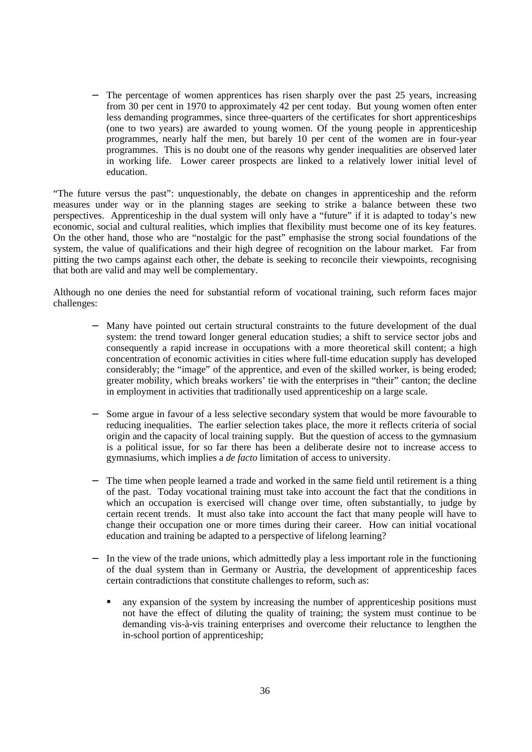The percentage of women apprentices has risen sharply over the past 25 years, increasing from 30 per cent in 1970 to approximately 42 per cent today. But young women often enter less demanding programmes, since three-quarters of the certificates for short apprenticeships (one to two years) are awarded to young women. Of the young people in apprenticeship programmes, nearly half the men, but barely 10 per cent of the women are in four-year programmes. This is no doubt one of the reasons why gender inequalities are observed later in working life. Lower career prospects are linked to a relatively lower initial level of education.

"The future versus the past": unquestionably, the debate on changes in apprenticeship and the reform measures under way or in the planning stages are seeking to strike a balance between these two perspectives. Apprenticeship in the dual system will only have a "future" if it is adapted to today's new economic, social and cultural realities, which implies that flexibility must become one of its key features. On the other hand, those who are "nostalgic for the past" emphasise the strong social foundations of the system, the value of qualifications and their high degree of recognition on the labour market. Far from pitting the two camps against each other, the debate is seeking to reconcile their viewpoints, recognising that both are valid and may well be complementary.

Although no one denies the need for substantial reform of vocational training, such reform faces major challenges:

- − Many have pointed out certain structural constraints to the future development of the dual system: the trend toward longer general education studies; a shift to service sector jobs and consequently a rapid increase in occupations with a more theoretical skill content; a high concentration of economic activities in cities where full-time education supply has developed considerably; the "image" of the apprentice, and even of the skilled worker, is being eroded; greater mobility, which breaks workers' tie with the enterprises in "their" canton; the decline in employment in activities that traditionally used apprenticeship on a large scale.
- Some argue in favour of a less selective secondary system that would be more favourable to reducing inequalities. The earlier selection takes place, the more it reflects criteria of social origin and the capacity of local training supply. But the question of access to the gymnasium is a political issue, for so far there has been a deliberate desire not to increase access to gymnasiums, which implies a *de facto* limitation of access to university.
- The time when people learned a trade and worked in the same field until retirement is a thing of the past. Today vocational training must take into account the fact that the conditions in which an occupation is exercised will change over time, often substantially, to judge by certain recent trends. It must also take into account the fact that many people will have to change their occupation one or more times during their career. How can initial vocational education and training be adapted to a perspective of lifelong learning?
- In the view of the trade unions, which admittedly play a less important role in the functioning of the dual system than in Germany or Austria, the development of apprenticeship faces certain contradictions that constitute challenges to reform, such as:
	- any expansion of the system by increasing the number of apprenticeship positions must not have the effect of diluting the quality of training; the system must continue to be demanding vis-à-vis training enterprises and overcome their reluctance to lengthen the in-school portion of apprenticeship;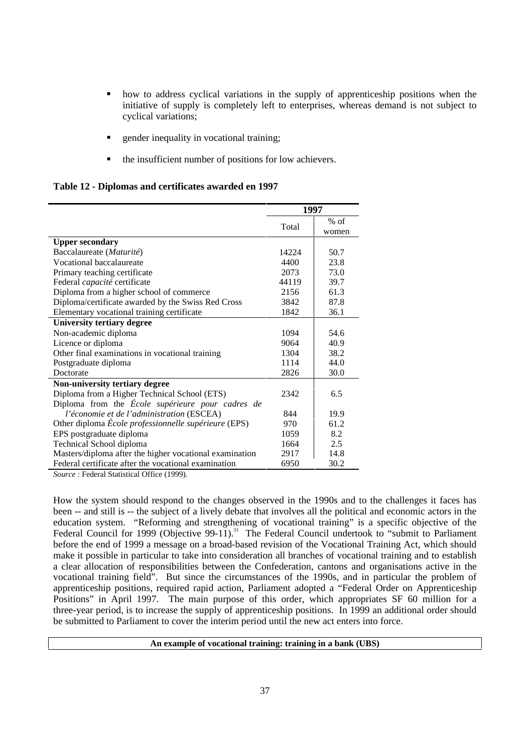- how to address cyclical variations in the supply of apprenticeship positions when the initiative of supply is completely left to enterprises, whereas demand is not subject to cyclical variations;
- gender inequality in vocational training;
- the insufficient number of positions for low achievers.

## **Table 12 - Diplomas and certificates awarded en 1997**

|                                                         | 1997  |                 |  |
|---------------------------------------------------------|-------|-----------------|--|
|                                                         | Total | $%$ of<br>women |  |
| <b>Upper secondary</b>                                  |       |                 |  |
| Baccalaureate (Maturité)                                | 14224 | 50.7            |  |
| Vocational baccalaureate                                | 4400  | 23.8            |  |
| Primary teaching certificate                            | 2073  | 73.0            |  |
| Federal <i>capacité</i> certificate                     | 44119 | 39.7            |  |
| Diploma from a higher school of commerce                | 2156  | 61.3            |  |
| Diploma/certificate awarded by the Swiss Red Cross      | 3842  | 87.8            |  |
| Elementary vocational training certificate              | 1842  | 36.1            |  |
| <b>University tertiary degree</b>                       |       |                 |  |
| Non-academic diploma                                    | 1094  | 54.6            |  |
| Licence or diploma                                      | 9064  | 40.9            |  |
| Other final examinations in vocational training         | 1304  | 38.2            |  |
| Postgraduate diploma                                    | 1114  | 44.0            |  |
| Doctorate                                               | 2826  | 30.0            |  |
| Non-university tertiary degree                          |       |                 |  |
| Diploma from a Higher Technical School (ETS)            | 2342  | 6.5             |  |
| Diploma from the École supérieure pour cadres de        |       |                 |  |
| l'économie et de l'administration (ESCEA)               | 844   | 19.9            |  |
| Other diploma École professionnelle supérieure (EPS)    | 970   | 61.2            |  |
| EPS postgraduate diploma                                | 1059  | 8.2             |  |
| Technical School diploma                                | 1664  | 2.5             |  |
| Masters/diploma after the higher vocational examination | 2917  | 14.8            |  |
| Federal certificate after the vocational examination    | 6950  | 30.2            |  |

*Source* : Federal Statistical Office (1999).

How the system should respond to the changes observed in the 1990s and to the challenges it faces has been -- and still is -- the subject of a lively debate that involves all the political and economic actors in the education system. "Reforming and strengthening of vocational training" is a specific objective of the Federal Council for 1999 (Objective 99-11).<sup>33</sup> The Federal Council undertook to "submit to Parliament" before the end of 1999 a message on a broad-based revision of the Vocational Training Act, which should make it possible in particular to take into consideration all branches of vocational training and to establish a clear allocation of responsibilities between the Confederation, cantons and organisations active in the vocational training field". But since the circumstances of the 1990s, and in particular the problem of apprenticeship positions, required rapid action, Parliament adopted a "Federal Order on Apprenticeship Positions" in April 1997. The main purpose of this order, which appropriates SF 60 million for a three-year period, is to increase the supply of apprenticeship positions. In 1999 an additional order should be submitted to Parliament to cover the interim period until the new act enters into force.

## **An example of vocational training: training in a bank (UBS)**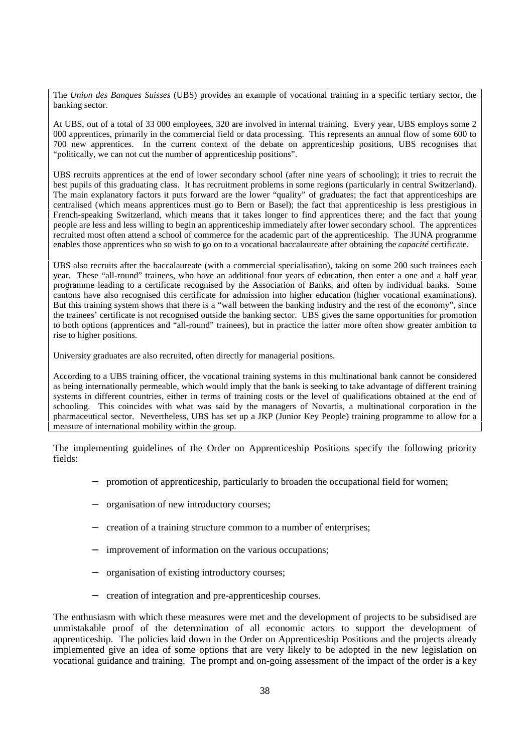The *Union des Banques Suisses* (UBS) provides an example of vocational training in a specific tertiary sector, the banking sector.

At UBS, out of a total of 33 000 employees, 320 are involved in internal training. Every year, UBS employs some 2 000 apprentices, primarily in the commercial field or data processing. This represents an annual flow of some 600 to 700 new apprentices. In the current context of the debate on apprenticeship positions, UBS recognises that "politically, we can not cut the number of apprenticeship positions".

UBS recruits apprentices at the end of lower secondary school (after nine years of schooling); it tries to recruit the best pupils of this graduating class. It has recruitment problems in some regions (particularly in central Switzerland). The main explanatory factors it puts forward are the lower "quality" of graduates; the fact that apprenticeships are centralised (which means apprentices must go to Bern or Basel); the fact that apprenticeship is less prestigious in French-speaking Switzerland, which means that it takes longer to find apprentices there; and the fact that young people are less and less willing to begin an apprenticeship immediately after lower secondary school. The apprentices recruited most often attend a school of commerce for the academic part of the apprenticeship. The JUNA programme enables those apprentices who so wish to go on to a vocational baccalaureate after obtaining the *capacité* certificate.

UBS also recruits after the baccalaureate (with a commercial specialisation), taking on some 200 such trainees each year. These "all-round" trainees, who have an additional four years of education, then enter a one and a half year programme leading to a certificate recognised by the Association of Banks, and often by individual banks. Some cantons have also recognised this certificate for admission into higher education (higher vocational examinations). But this training system shows that there is a "wall between the banking industry and the rest of the economy", since the trainees' certificate is not recognised outside the banking sector. UBS gives the same opportunities for promotion to both options (apprentices and "all-round" trainees), but in practice the latter more often show greater ambition to rise to higher positions.

University graduates are also recruited, often directly for managerial positions.

According to a UBS training officer, the vocational training systems in this multinational bank cannot be considered as being internationally permeable, which would imply that the bank is seeking to take advantage of different training systems in different countries, either in terms of training costs or the level of qualifications obtained at the end of schooling. This coincides with what was said by the managers of Novartis, a multinational corporation in the pharmaceutical sector. Nevertheless, UBS has set up a JKP (Junior Key People) training programme to allow for a measure of international mobility within the group.

The implementing guidelines of the Order on Apprenticeship Positions specify the following priority fields:

- promotion of apprenticeship, particularly to broaden the occupational field for women;
- − organisation of new introductory courses;
- − creation of a training structure common to a number of enterprises;
- improvement of information on the various occupations;
- − organisation of existing introductory courses;
- − creation of integration and pre-apprenticeship courses.

The enthusiasm with which these measures were met and the development of projects to be subsidised are unmistakable proof of the determination of all economic actors to support the development of apprenticeship. The policies laid down in the Order on Apprenticeship Positions and the projects already implemented give an idea of some options that are very likely to be adopted in the new legislation on vocational guidance and training. The prompt and on-going assessment of the impact of the order is a key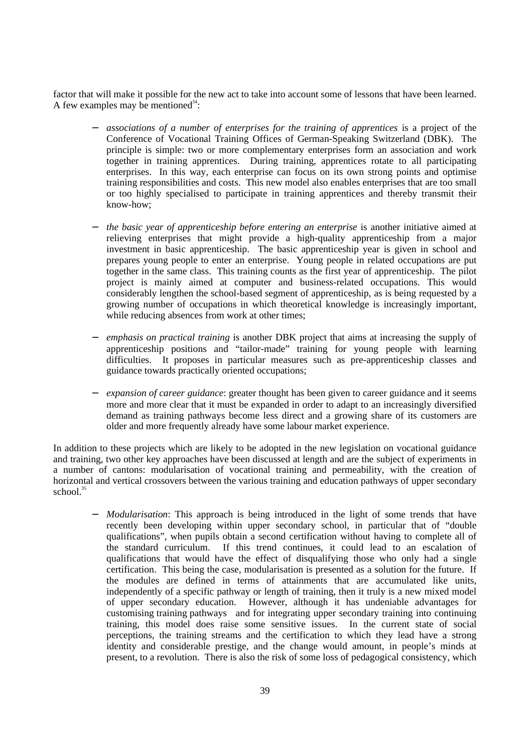factor that will make it possible for the new act to take into account some of lessons that have been learned. A few examples may be mentioned<sup>34</sup>:

- − *associations of a number of enterprises for the training of apprentices* is a project of the Conference of Vocational Training Offices of German-Speaking Switzerland (DBK). The principle is simple: two or more complementary enterprises form an association and work together in training apprentices. During training, apprentices rotate to all participating enterprises. In this way, each enterprise can focus on its own strong points and optimise training responsibilities and costs. This new model also enables enterprises that are too small or too highly specialised to participate in training apprentices and thereby transmit their know-how;
- − *the basic year of apprenticeship before entering an enterprise* is another initiative aimed at relieving enterprises that might provide a high-quality apprenticeship from a major investment in basic apprenticeship. The basic apprenticeship year is given in school and prepares young people to enter an enterprise. Young people in related occupations are put together in the same class. This training counts as the first year of apprenticeship. The pilot project is mainly aimed at computer and business-related occupations. This would considerably lengthen the school-based segment of apprenticeship, as is being requested by a growing number of occupations in which theoretical knowledge is increasingly important, while reducing absences from work at other times;
- − *emphasis on practical training* is another DBK project that aims at increasing the supply of apprenticeship positions and "tailor-made" training for young people with learning difficulties. It proposes in particular measures such as pre-apprenticeship classes and guidance towards practically oriented occupations;
- *expansion of career guidance*: greater thought has been given to career guidance and it seems more and more clear that it must be expanded in order to adapt to an increasingly diversified demand as training pathways become less direct and a growing share of its customers are older and more frequently already have some labour market experience.

In addition to these projects which are likely to be adopted in the new legislation on vocational guidance and training, two other key approaches have been discussed at length and are the subject of experiments in a number of cantons: modularisation of vocational training and permeability, with the creation of horizontal and vertical crossovers between the various training and education pathways of upper secondary school.<sup>35</sup>

− *Modularisation*: This approach is being introduced in the light of some trends that have recently been developing within upper secondary school, in particular that of "double qualifications", when pupils obtain a second certification without having to complete all of the standard curriculum. If this trend continues, it could lead to an escalation of qualifications that would have the effect of disqualifying those who only had a single certification. This being the case, modularisation is presented as a solution for the future. If the modules are defined in terms of attainments that are accumulated like units, independently of a specific pathway or length of training, then it truly is a new mixed model of upper secondary education. However, although it has undeniable advantages for customising training pathways and for integrating upper secondary training into continuing training, this model does raise some sensitive issues. In the current state of social perceptions, the training streams and the certification to which they lead have a strong identity and considerable prestige, and the change would amount, in people's minds at present, to a revolution. There is also the risk of some loss of pedagogical consistency, which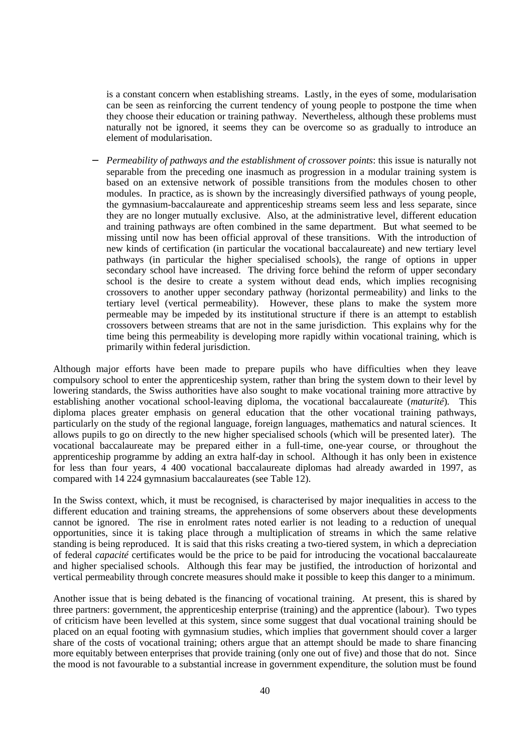is a constant concern when establishing streams. Lastly, in the eyes of some, modularisation can be seen as reinforcing the current tendency of young people to postpone the time when they choose their education or training pathway. Nevertheless, although these problems must naturally not be ignored, it seems they can be overcome so as gradually to introduce an element of modularisation.

*Permeability of pathways and the establishment of crossover points: this issue is naturally not* separable from the preceding one inasmuch as progression in a modular training system is based on an extensive network of possible transitions from the modules chosen to other modules. In practice, as is shown by the increasingly diversified pathways of young people, the gymnasium-baccalaureate and apprenticeship streams seem less and less separate, since they are no longer mutually exclusive. Also, at the administrative level, different education and training pathways are often combined in the same department. But what seemed to be missing until now has been official approval of these transitions. With the introduction of new kinds of certification (in particular the vocational baccalaureate) and new tertiary level pathways (in particular the higher specialised schools), the range of options in upper secondary school have increased. The driving force behind the reform of upper secondary school is the desire to create a system without dead ends, which implies recognising crossovers to another upper secondary pathway (horizontal permeability) and links to the tertiary level (vertical permeability). However, these plans to make the system more permeable may be impeded by its institutional structure if there is an attempt to establish crossovers between streams that are not in the same jurisdiction. This explains why for the time being this permeability is developing more rapidly within vocational training, which is primarily within federal jurisdiction.

Although major efforts have been made to prepare pupils who have difficulties when they leave compulsory school to enter the apprenticeship system, rather than bring the system down to their level by lowering standards, the Swiss authorities have also sought to make vocational training more attractive by establishing another vocational school-leaving diploma, the vocational baccalaureate (*maturité*)*.* This diploma places greater emphasis on general education that the other vocational training pathways, particularly on the study of the regional language, foreign languages, mathematics and natural sciences. It allows pupils to go on directly to the new higher specialised schools (which will be presented later). The vocational baccalaureate may be prepared either in a full-time, one-year course, or throughout the apprenticeship programme by adding an extra half-day in school. Although it has only been in existence for less than four years, 4 400 vocational baccalaureate diplomas had already awarded in 1997, as compared with 14 224 gymnasium baccalaureates (see Table 12).

In the Swiss context, which, it must be recognised, is characterised by major inequalities in access to the different education and training streams, the apprehensions of some observers about these developments cannot be ignored. The rise in enrolment rates noted earlier is not leading to a reduction of unequal opportunities, since it is taking place through a multiplication of streams in which the same relative standing is being reproduced. It is said that this risks creating a two-tiered system, in which a depreciation of federal *capacité* certificates would be the price to be paid for introducing the vocational baccalaureate and higher specialised schools. Although this fear may be justified, the introduction of horizontal and vertical permeability through concrete measures should make it possible to keep this danger to a minimum.

Another issue that is being debated is the financing of vocational training. At present, this is shared by three partners: government, the apprenticeship enterprise (training) and the apprentice (labour). Two types of criticism have been levelled at this system, since some suggest that dual vocational training should be placed on an equal footing with gymnasium studies, which implies that government should cover a larger share of the costs of vocational training; others argue that an attempt should be made to share financing more equitably between enterprises that provide training (only one out of five) and those that do not. Since the mood is not favourable to a substantial increase in government expenditure, the solution must be found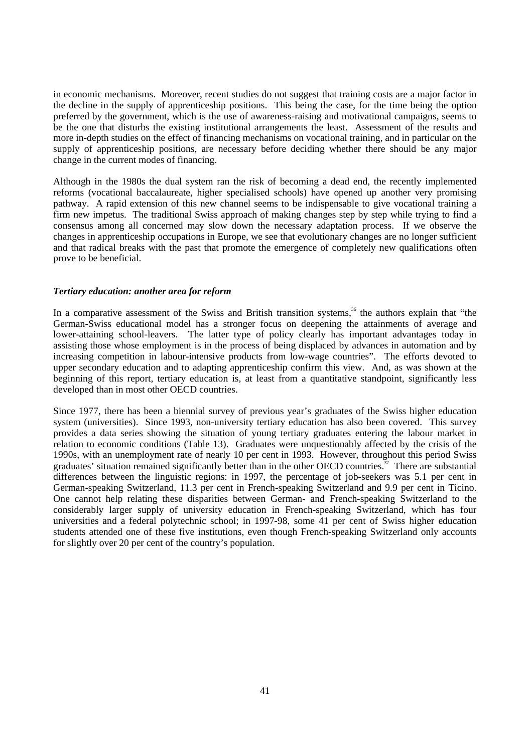in economic mechanisms. Moreover, recent studies do not suggest that training costs are a major factor in the decline in the supply of apprenticeship positions. This being the case, for the time being the option preferred by the government, which is the use of awareness-raising and motivational campaigns, seems to be the one that disturbs the existing institutional arrangements the least. Assessment of the results and more in-depth studies on the effect of financing mechanisms on vocational training, and in particular on the supply of apprenticeship positions, are necessary before deciding whether there should be any major change in the current modes of financing.

Although in the 1980s the dual system ran the risk of becoming a dead end, the recently implemented reforms (vocational baccalaureate, higher specialised schools) have opened up another very promising pathway. A rapid extension of this new channel seems to be indispensable to give vocational training a firm new impetus. The traditional Swiss approach of making changes step by step while trying to find a consensus among all concerned may slow down the necessary adaptation process. If we observe the changes in apprenticeship occupations in Europe, we see that evolutionary changes are no longer sufficient and that radical breaks with the past that promote the emergence of completely new qualifications often prove to be beneficial.

## *Tertiary education: another area for reform*

In a comparative assessment of the Swiss and British transition systems,<sup>36</sup> the authors explain that "the German-Swiss educational model has a stronger focus on deepening the attainments of average and lower-attaining school-leavers. The latter type of policy clearly has important advantages today in assisting those whose employment is in the process of being displaced by advances in automation and by increasing competition in labour-intensive products from low-wage countries". The efforts devoted to upper secondary education and to adapting apprenticeship confirm this view. And, as was shown at the beginning of this report, tertiary education is, at least from a quantitative standpoint, significantly less developed than in most other OECD countries.

Since 1977, there has been a biennial survey of previous year's graduates of the Swiss higher education system (universities). Since 1993, non-university tertiary education has also been covered. This survey provides a data series showing the situation of young tertiary graduates entering the labour market in relation to economic conditions (Table 13). Graduates were unquestionably affected by the crisis of the 1990s, with an unemployment rate of nearly 10 per cent in 1993. However, throughout this period Swiss graduates' situation remained significantly better than in the other OECD countries.<sup>37</sup> There are substantial differences between the linguistic regions: in 1997, the percentage of job-seekers was 5.1 per cent in German-speaking Switzerland, 11.3 per cent in French-speaking Switzerland and 9.9 per cent in Ticino. One cannot help relating these disparities between German- and French-speaking Switzerland to the considerably larger supply of university education in French-speaking Switzerland, which has four universities and a federal polytechnic school; in 1997-98, some 41 per cent of Swiss higher education students attended one of these five institutions, even though French-speaking Switzerland only accounts for slightly over 20 per cent of the country's population.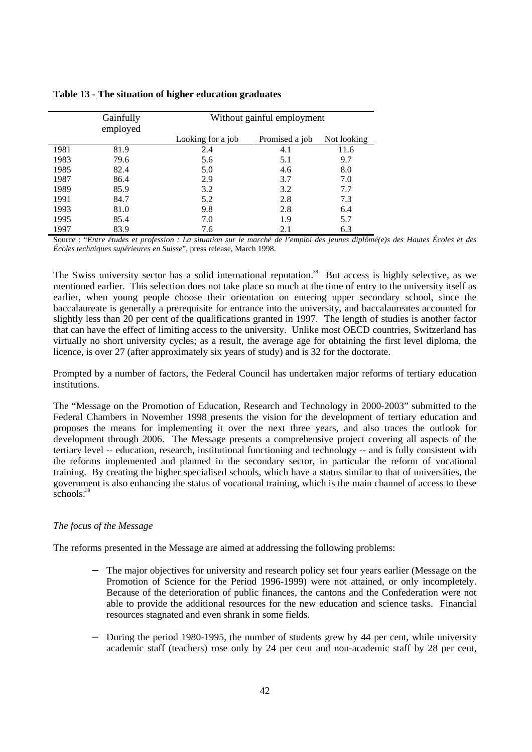|      | Gainfully | Without gainful employment |                |             |  |  |  |  |
|------|-----------|----------------------------|----------------|-------------|--|--|--|--|
|      | employed  |                            |                |             |  |  |  |  |
|      |           | Looking for a job          | Promised a job | Not looking |  |  |  |  |
| 1981 | 81.9      | 2.4                        | 4.1            | 11.6        |  |  |  |  |
| 1983 | 79.6      | 5.6                        | 5.1            | 9.7         |  |  |  |  |
| 1985 | 82.4      | 5.0                        | 4.6            | 8.0         |  |  |  |  |
| 1987 | 86.4      | 2.9                        | 3.7            | 7.0         |  |  |  |  |
| 1989 | 85.9      | 3.2                        | 3.2            | 7.7         |  |  |  |  |
| 1991 | 84.7      | 5.2                        | 2.8            | 7.3         |  |  |  |  |
| 1993 | 81.0      | 9.8                        | 2.8            | 6.4         |  |  |  |  |
| 1995 | 85.4      | 7.0                        | 1.9            | 5.7         |  |  |  |  |
| 1997 | 83.9      | 7.6                        | 2.1            | 6.3         |  |  |  |  |

#### **Table 13 - The situation of higher education graduates**

Source : "*Entre études et profession : La situation sur le marché de l'emploi des jeunes diplômé(e)s des Hautes Écoles et des Écoles techniques supérieures en Suisse*", press release, March 1998.

The Swiss university sector has a solid international reputation.<sup>38</sup> But access is highly selective, as we mentioned earlier. This selection does not take place so much at the time of entry to the university itself as earlier, when young people choose their orientation on entering upper secondary school, since the baccalaureate is generally a prerequisite for entrance into the university, and baccalaureates accounted for slightly less than 20 per cent of the qualifications granted in 1997. The length of studies is another factor that can have the effect of limiting access to the university. Unlike most OECD countries, Switzerland has virtually no short university cycles; as a result, the average age for obtaining the first level diploma, the licence, is over 27 (after approximately six years of study) and is 32 for the doctorate.

Prompted by a number of factors, the Federal Council has undertaken major reforms of tertiary education institutions.

The "Message on the Promotion of Education, Research and Technology in 2000-2003" submitted to the Federal Chambers in November 1998 presents the vision for the development of tertiary education and proposes the means for implementing it over the next three years, and also traces the outlook for development through 2006. The Message presents a comprehensive project covering all aspects of the tertiary level -- education, research, institutional functioning and technology -- and is fully consistent with the reforms implemented and planned in the secondary sector, in particular the reform of vocational training. By creating the higher specialised schools, which have a status similar to that of universities, the government is also enhancing the status of vocational training, which is the main channel of access to these schools.<sup>39</sup>

## *The focus of the Message*

The reforms presented in the Message are aimed at addressing the following problems:

- The major objectives for university and research policy set four years earlier (Message on the Promotion of Science for the Period 1996-1999) were not attained, or only incompletely. Because of the deterioration of public finances, the cantons and the Confederation were not able to provide the additional resources for the new education and science tasks. Financial resources stagnated and even shrank in some fields.
- − During the period 1980-1995, the number of students grew by 44 per cent, while university academic staff (teachers) rose only by 24 per cent and non-academic staff by 28 per cent,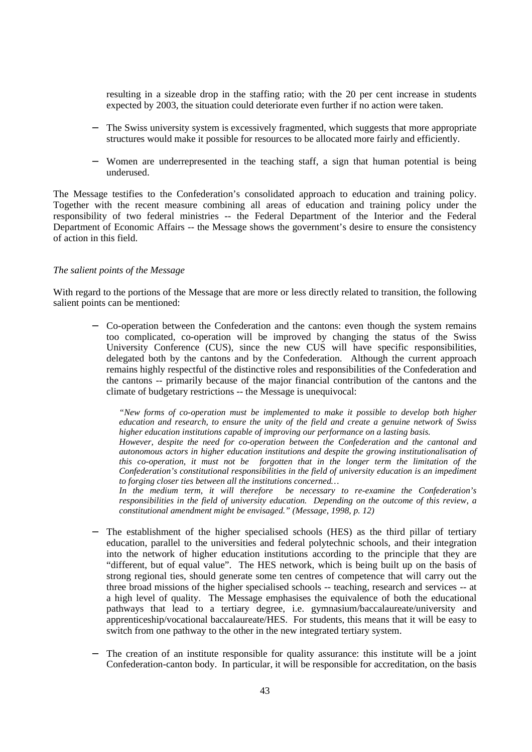resulting in a sizeable drop in the staffing ratio; with the 20 per cent increase in students expected by 2003, the situation could deteriorate even further if no action were taken.

- The Swiss university system is excessively fragmented, which suggests that more appropriate structures would make it possible for resources to be allocated more fairly and efficiently.
- − Women are underrepresented in the teaching staff, a sign that human potential is being underused.

The Message testifies to the Confederation's consolidated approach to education and training policy. Together with the recent measure combining all areas of education and training policy under the responsibility of two federal ministries -- the Federal Department of the Interior and the Federal Department of Economic Affairs -- the Message shows the government's desire to ensure the consistency of action in this field.

#### *The salient points of the Message*

With regard to the portions of the Message that are more or less directly related to transition, the following salient points can be mentioned:

− Co-operation between the Confederation and the cantons: even though the system remains too complicated, co-operation will be improved by changing the status of the Swiss University Conference (CUS), since the new CUS will have specific responsibilities, delegated both by the cantons and by the Confederation. Although the current approach remains highly respectful of the distinctive roles and responsibilities of the Confederation and the cantons -- primarily because of the major financial contribution of the cantons and the climate of budgetary restrictions -- the Message is unequivocal:

*"New forms of co-operation must be implemented to make it possible to develop both higher education and research, to ensure the unity of the field and create a genuine network of Swiss higher education institutions capable of improving our performance on a lasting basis. However, despite the need for co-operation between the Confederation and the cantonal and autonomous actors in higher education institutions and despite the growing institutionalisation of this co-operation, it must not be forgotten that in the longer term the limitation of the Confederation's constitutional responsibilities in the field of university education is an impediment to forging closer ties between all the institutions concerned…*

*In the medium term, it will therefore be necessary to re-examine the Confederation's responsibilities in the field of university education. Depending on the outcome of this review, a constitutional amendment might be envisaged." (Message, 1998, p. 12)*

- The establishment of the higher specialised schools (HES) as the third pillar of tertiary education, parallel to the universities and federal polytechnic schools, and their integration into the network of higher education institutions according to the principle that they are "different, but of equal value". The HES network, which is being built up on the basis of strong regional ties, should generate some ten centres of competence that will carry out the three broad missions of the higher specialised schools -- teaching, research and services -- at a high level of quality. The Message emphasises the equivalence of both the educational pathways that lead to a tertiary degree, i.e. gymnasium/baccalaureate/university and apprenticeship/vocational baccalaureate/HES. For students, this means that it will be easy to switch from one pathway to the other in the new integrated tertiary system.
- The creation of an institute responsible for quality assurance: this institute will be a joint Confederation-canton body. In particular, it will be responsible for accreditation, on the basis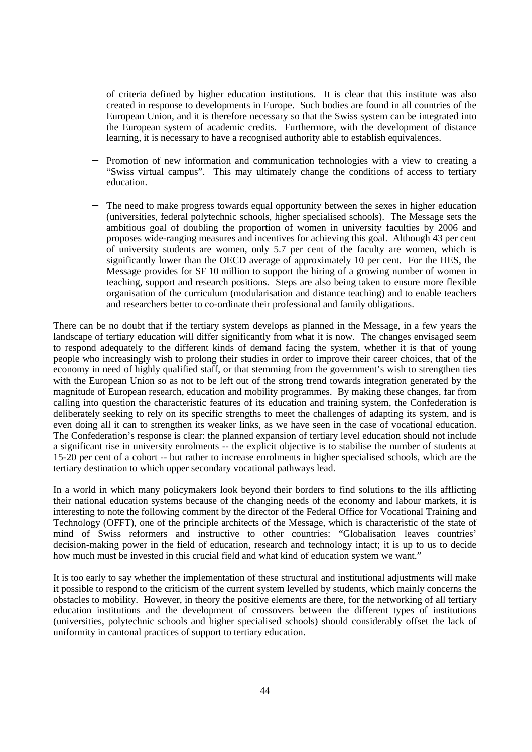of criteria defined by higher education institutions. It is clear that this institute was also created in response to developments in Europe. Such bodies are found in all countries of the European Union, and it is therefore necessary so that the Swiss system can be integrated into the European system of academic credits. Furthermore, with the development of distance learning, it is necessary to have a recognised authority able to establish equivalences.

- Promotion of new information and communication technologies with a view to creating a "Swiss virtual campus". This may ultimately change the conditions of access to tertiary education.
- The need to make progress towards equal opportunity between the sexes in higher education (universities, federal polytechnic schools, higher specialised schools). The Message sets the ambitious goal of doubling the proportion of women in university faculties by 2006 and proposes wide-ranging measures and incentives for achieving this goal. Although 43 per cent of university students are women, only 5.7 per cent of the faculty are women, which is significantly lower than the OECD average of approximately 10 per cent. For the HES, the Message provides for SF 10 million to support the hiring of a growing number of women in teaching, support and research positions. Steps are also being taken to ensure more flexible organisation of the curriculum (modularisation and distance teaching) and to enable teachers and researchers better to co-ordinate their professional and family obligations.

There can be no doubt that if the tertiary system develops as planned in the Message, in a few years the landscape of tertiary education will differ significantly from what it is now. The changes envisaged seem to respond adequately to the different kinds of demand facing the system, whether it is that of young people who increasingly wish to prolong their studies in order to improve their career choices, that of the economy in need of highly qualified staff, or that stemming from the government's wish to strengthen ties with the European Union so as not to be left out of the strong trend towards integration generated by the magnitude of European research, education and mobility programmes. By making these changes, far from calling into question the characteristic features of its education and training system, the Confederation is deliberately seeking to rely on its specific strengths to meet the challenges of adapting its system, and is even doing all it can to strengthen its weaker links, as we have seen in the case of vocational education. The Confederation's response is clear: the planned expansion of tertiary level education should not include a significant rise in university enrolments -- the explicit objective is to stabilise the number of students at 15-20 per cent of a cohort -- but rather to increase enrolments in higher specialised schools, which are the tertiary destination to which upper secondary vocational pathways lead.

In a world in which many policymakers look beyond their borders to find solutions to the ills afflicting their national education systems because of the changing needs of the economy and labour markets, it is interesting to note the following comment by the director of the Federal Office for Vocational Training and Technology (OFFT), one of the principle architects of the Message, which is characteristic of the state of mind of Swiss reformers and instructive to other countries: "Globalisation leaves countries' decision-making power in the field of education, research and technology intact; it is up to us to decide how much must be invested in this crucial field and what kind of education system we want."

It is too early to say whether the implementation of these structural and institutional adjustments will make it possible to respond to the criticism of the current system levelled by students, which mainly concerns the obstacles to mobility. However, in theory the positive elements are there, for the networking of all tertiary education institutions and the development of crossovers between the different types of institutions (universities, polytechnic schools and higher specialised schools) should considerably offset the lack of uniformity in cantonal practices of support to tertiary education.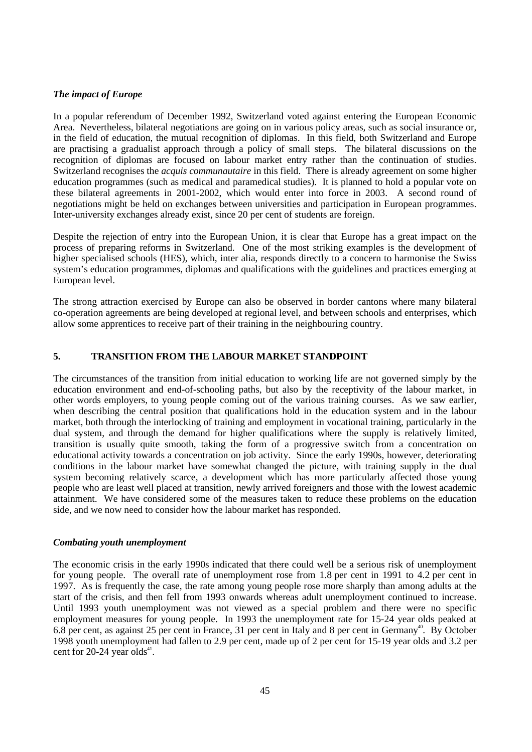## *The impact of Europe*

In a popular referendum of December 1992, Switzerland voted against entering the European Economic Area. Nevertheless, bilateral negotiations are going on in various policy areas, such as social insurance or, in the field of education, the mutual recognition of diplomas. In this field, both Switzerland and Europe are practising a gradualist approach through a policy of small steps. The bilateral discussions on the recognition of diplomas are focused on labour market entry rather than the continuation of studies. Switzerland recognises the *acquis communautaire* in this field. There is already agreement on some higher education programmes (such as medical and paramedical studies). It is planned to hold a popular vote on these bilateral agreements in 2001-2002, which would enter into force in 2003. A second round of negotiations might be held on exchanges between universities and participation in European programmes. Inter-university exchanges already exist, since 20 per cent of students are foreign.

Despite the rejection of entry into the European Union, it is clear that Europe has a great impact on the process of preparing reforms in Switzerland. One of the most striking examples is the development of higher specialised schools (HES), which, inter alia, responds directly to a concern to harmonise the Swiss system's education programmes, diplomas and qualifications with the guidelines and practices emerging at European level.

The strong attraction exercised by Europe can also be observed in border cantons where many bilateral co-operation agreements are being developed at regional level, and between schools and enterprises, which allow some apprentices to receive part of their training in the neighbouring country.

## **5. TRANSITION FROM THE LABOUR MARKET STANDPOINT**

The circumstances of the transition from initial education to working life are not governed simply by the education environment and end-of-schooling paths, but also by the receptivity of the labour market, in other words employers, to young people coming out of the various training courses. As we saw earlier, when describing the central position that qualifications hold in the education system and in the labour market, both through the interlocking of training and employment in vocational training, particularly in the dual system, and through the demand for higher qualifications where the supply is relatively limited, transition is usually quite smooth, taking the form of a progressive switch from a concentration on educational activity towards a concentration on job activity. Since the early 1990s, however, deteriorating conditions in the labour market have somewhat changed the picture, with training supply in the dual system becoming relatively scarce, a development which has more particularly affected those young people who are least well placed at transition, newly arrived foreigners and those with the lowest academic attainment. We have considered some of the measures taken to reduce these problems on the education side, and we now need to consider how the labour market has responded.

## *Combating youth unemployment*

The economic crisis in the early 1990s indicated that there could well be a serious risk of unemployment for young people. The overall rate of unemployment rose from 1.8 per cent in 1991 to 4.2 per cent in 1997. As is frequently the case, the rate among young people rose more sharply than among adults at the start of the crisis, and then fell from 1993 onwards whereas adult unemployment continued to increase. Until 1993 youth unemployment was not viewed as a special problem and there were no specific employment measures for young people. In 1993 the unemployment rate for 15-24 year olds peaked at 6.8 per cent, as against 25 per cent in France, 31 per cent in Italy and 8 per cent in Germany<sup>40</sup>. By October 1998 youth unemployment had fallen to 2.9 per cent, made up of 2 per cent for 15-19 year olds and 3.2 per cent for 20-24 year olds<sup>41</sup>.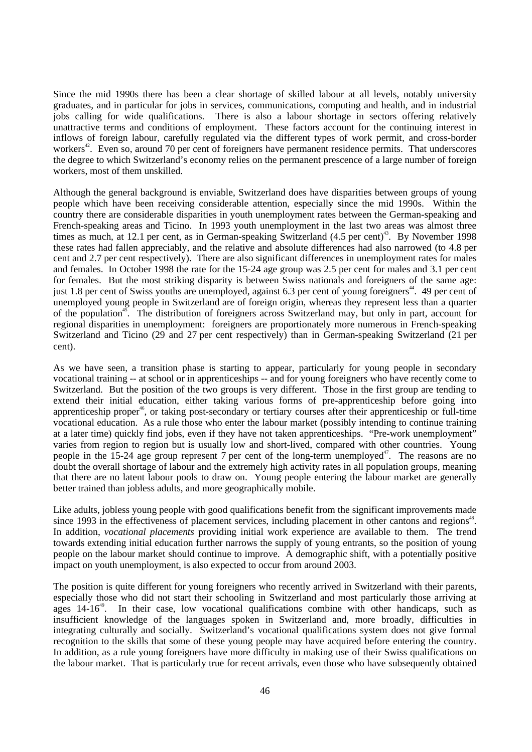Since the mid 1990s there has been a clear shortage of skilled labour at all levels, notably university graduates, and in particular for jobs in services, communications, computing and health, and in industrial jobs calling for wide qualifications. There is also a labour shortage in sectors offering relatively unattractive terms and conditions of employment. These factors account for the continuing interest in inflows of foreign labour, carefully regulated via the different types of work permit, and cross-border workers<sup>42</sup>. Even so, around 70 per cent of foreigners have permanent residence permits. That underscores the degree to which Switzerland's economy relies on the permanent prescence of a large number of foreign workers, most of them unskilled.

Although the general background is enviable, Switzerland does have disparities between groups of young people which have been receiving considerable attention, especially since the mid 1990s. Within the country there are considerable disparities in youth unemployment rates between the German-speaking and French-speaking areas and Ticino. In 1993 youth unemployment in the last two areas was almost three times as much, at 12.1 per cent, as in German-speaking Switzerland  $(4.5 \text{ per cent})^{43}$ . By November 1998 these rates had fallen appreciably, and the relative and absolute differences had also narrowed (to 4.8 per cent and 2.7 per cent respectively). There are also significant differences in unemployment rates for males and females. In October 1998 the rate for the 15-24 age group was 2.5 per cent for males and 3.1 per cent for females. But the most striking disparity is between Swiss nationals and foreigners of the same age: just 1.8 per cent of Swiss youths are unemployed, against 6.3 per cent of young foreigners<sup>44</sup>. 49 per cent of unemployed young people in Switzerland are of foreign origin, whereas they represent less than a quarter of the population<sup>45</sup>. The distribution of foreigners across Switzerland may, but only in part, account for regional disparities in unemployment: foreigners are proportionately more numerous in French-speaking Switzerland and Ticino (29 and 27 per cent respectively) than in German-speaking Switzerland (21 per cent).

As we have seen, a transition phase is starting to appear, particularly for young people in secondary vocational training -- at school or in apprenticeships -- and for young foreigners who have recently come to Switzerland. But the position of the two groups is very different. Those in the first group are tending to extend their initial education, either taking various forms of pre-apprenticeship before going into apprenticeship proper<sup>46</sup>, or taking post-secondary or tertiary courses after their apprenticeship or full-time vocational education. As a rule those who enter the labour market (possibly intending to continue training at a later time) quickly find jobs, even if they have not taken apprenticeships. "Pre-work unemployment" varies from region to region but is usually low and short-lived, compared with other countries. Young people in the 15-24 age group represent 7 per cent of the long-term unemployed<sup>47</sup>. The reasons are no doubt the overall shortage of labour and the extremely high activity rates in all population groups, meaning that there are no latent labour pools to draw on. Young people entering the labour market are generally better trained than jobless adults, and more geographically mobile.

Like adults, jobless young people with good qualifications benefit from the significant improvements made since 1993 in the effectiveness of placement services, including placement in other cantons and regions<sup>48</sup>. In addition, *vocational placements* providing initial work experience are available to them. The trend towards extending initial education further narrows the supply of young entrants, so the position of young people on the labour market should continue to improve. A demographic shift, with a potentially positive impact on youth unemployment, is also expected to occur from around 2003.

The position is quite different for young foreigners who recently arrived in Switzerland with their parents, especially those who did not start their schooling in Switzerland and most particularly those arriving at ages  $14-16<sup>49</sup>$ . In their case, low vocational qualifications combine with other handicaps, such as insufficient knowledge of the languages spoken in Switzerland and, more broadly, difficulties in integrating culturally and socially. Switzerland's vocational qualifications system does not give formal recognition to the skills that some of these young people may have acquired before entering the country. In addition, as a rule young foreigners have more difficulty in making use of their Swiss qualifications on the labour market. That is particularly true for recent arrivals, even those who have subsequently obtained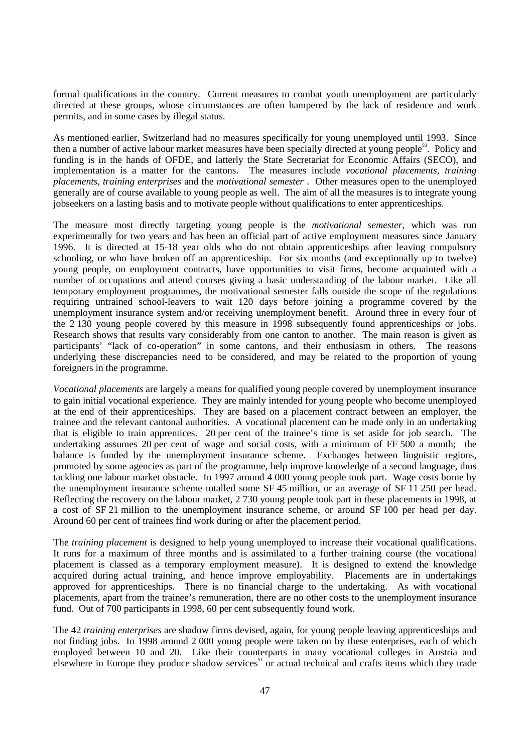formal qualifications in the country. Current measures to combat youth unemployment are particularly directed at these groups, whose circumstances are often hampered by the lack of residence and work permits, and in some cases by illegal status.

As mentioned earlier, Switzerland had no measures specifically for young unemployed until 1993. Since then a number of active labour market measures have been specially directed at young people $\delta^0$ . Policy and funding is in the hands of OFDE, and latterly the State Secretariat for Economic Affairs (SECO), and implementation is a matter for the cantons. The measures include *vocational placements, training placements, training enterprises* and the *motivational semester* . Other measures open to the unemployed generally are of course available to young people as well. The aim of all the measures is to integrate young jobseekers on a lasting basis and to motivate people without qualifications to enter apprenticeships.

The measure most directly targeting young people is the *motivational semester*, which was run experimentally for two years and has been an official part of active employment measures since January 1996. It is directed at 15-18 year olds who do not obtain apprenticeships after leaving compulsory schooling, or who have broken off an apprenticeship. For six months (and exceptionally up to twelve) young people, on employment contracts, have opportunities to visit firms, become acquainted with a number of occupations and attend courses giving a basic understanding of the labour market. Like all temporary employment programmes, the motivational semester falls outside the scope of the regulations requiring untrained school-leavers to wait 120 days before joining a programme covered by the unemployment insurance system and/or receiving unemployment benefit. Around three in every four of the 2 130 young people covered by this measure in 1998 subsequently found apprenticeships or jobs. Research shows that results vary considerably from one canton to another. The main reason is given as participants' "lack of co-operation" in some cantons, and their enthusiasm in others. The reasons underlying these discrepancies need to be considered, and may be related to the proportion of young foreigners in the programme.

*Vocational placements* are largely a means for qualified young people covered by unemployment insurance to gain initial vocational experience. They are mainly intended for young people who become unemployed at the end of their apprenticeships. They are based on a placement contract between an employer, the trainee and the relevant cantonal authorities. A vocational placement can be made only in an undertaking that is eligible to train apprentices. 20 per cent of the trainee's time is set aside for job search. The undertaking assumes 20 per cent of wage and social costs, with a minimum of FF 500 a month; the balance is funded by the unemployment insurance scheme. Exchanges between linguistic regions, promoted by some agencies as part of the programme, help improve knowledge of a second language, thus tackling one labour market obstacle. In 1997 around 4 000 young people took part. Wage costs borne by the unemployment insurance scheme totalled some SF 45 million, or an average of SF 11 250 per head. Reflecting the recovery on the labour market, 2 730 young people took part in these placements in 1998, at a cost of SF 21 million to the unemployment insurance scheme, or around SF 100 per head per day. Around 60 per cent of trainees find work during or after the placement period.

The *training placement* is designed to help young unemployed to increase their vocational qualifications. It runs for a maximum of three months and is assimilated to a further training course (the vocational placement is classed as a temporary employment measure). It is designed to extend the knowledge acquired during actual training, and hence improve employability. Placements are in undertakings approved for apprenticeships. There is no financial charge to the undertaking. As with vocational placements, apart from the trainee's remuneration, there are no other costs to the unemployment insurance fund. Out of 700 participants in 1998, 60 per cent subsequently found work.

The 42 *training enterprises* are shadow firms devised, again, for young people leaving apprenticeships and not finding jobs. In 1998 around 2 000 young people were taken on by these enterprises, each of which employed between 10 and 20. Like their counterparts in many vocational colleges in Austria and elsewhere in Europe they produce shadow services<sup>51</sup> or actual technical and crafts items which they trade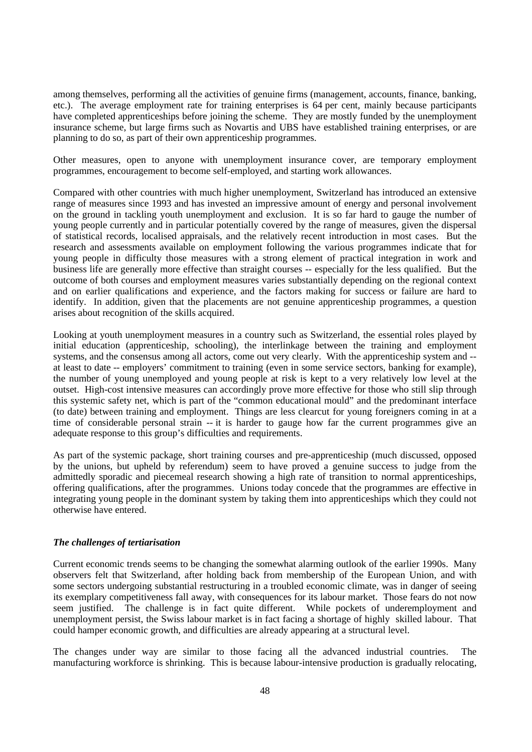among themselves, performing all the activities of genuine firms (management, accounts, finance, banking, etc.). The average employment rate for training enterprises is 64 per cent, mainly because participants have completed apprenticeships before joining the scheme. They are mostly funded by the unemployment insurance scheme, but large firms such as Novartis and UBS have established training enterprises, or are planning to do so, as part of their own apprenticeship programmes.

Other measures, open to anyone with unemployment insurance cover, are temporary employment programmes, encouragement to become self-employed, and starting work allowances.

Compared with other countries with much higher unemployment, Switzerland has introduced an extensive range of measures since 1993 and has invested an impressive amount of energy and personal involvement on the ground in tackling youth unemployment and exclusion. It is so far hard to gauge the number of young people currently and in particular potentially covered by the range of measures, given the dispersal of statistical records, localised appraisals, and the relatively recent introduction in most cases. But the research and assessments available on employment following the various programmes indicate that for young people in difficulty those measures with a strong element of practical integration in work and business life are generally more effective than straight courses -- especially for the less qualified. But the outcome of both courses and employment measures varies substantially depending on the regional context and on earlier qualifications and experience, and the factors making for success or failure are hard to identify. In addition, given that the placements are not genuine apprenticeship programmes, a question arises about recognition of the skills acquired.

Looking at youth unemployment measures in a country such as Switzerland, the essential roles played by initial education (apprenticeship, schooling), the interlinkage between the training and employment systems, and the consensus among all actors, come out very clearly. With the apprenticeship system and - at least to date -- employers' commitment to training (even in some service sectors, banking for example), the number of young unemployed and young people at risk is kept to a very relatively low level at the outset. High-cost intensive measures can accordingly prove more effective for those who still slip through this systemic safety net, which is part of the "common educational mould" and the predominant interface (to date) between training and employment. Things are less clearcut for young foreigners coming in at a time of considerable personal strain -- it is harder to gauge how far the current programmes give an adequate response to this group's difficulties and requirements.

As part of the systemic package, short training courses and pre-apprenticeship (much discussed, opposed by the unions, but upheld by referendum) seem to have proved a genuine success to judge from the admittedly sporadic and piecemeal research showing a high rate of transition to normal apprenticeships, offering qualifications, after the programmes. Unions today concede that the programmes are effective in integrating young people in the dominant system by taking them into apprenticeships which they could not otherwise have entered.

## *The challenges of tertiarisation*

Current economic trends seems to be changing the somewhat alarming outlook of the earlier 1990s. Many observers felt that Switzerland, after holding back from membership of the European Union, and with some sectors undergoing substantial restructuring in a troubled economic climate, was in danger of seeing its exemplary competitiveness fall away, with consequences for its labour market. Those fears do not now seem justified. The challenge is in fact quite different. While pockets of underemployment and unemployment persist, the Swiss labour market is in fact facing a shortage of highly skilled labour. That could hamper economic growth, and difficulties are already appearing at a structural level.

The changes under way are similar to those facing all the advanced industrial countries. The manufacturing workforce is shrinking. This is because labour-intensive production is gradually relocating,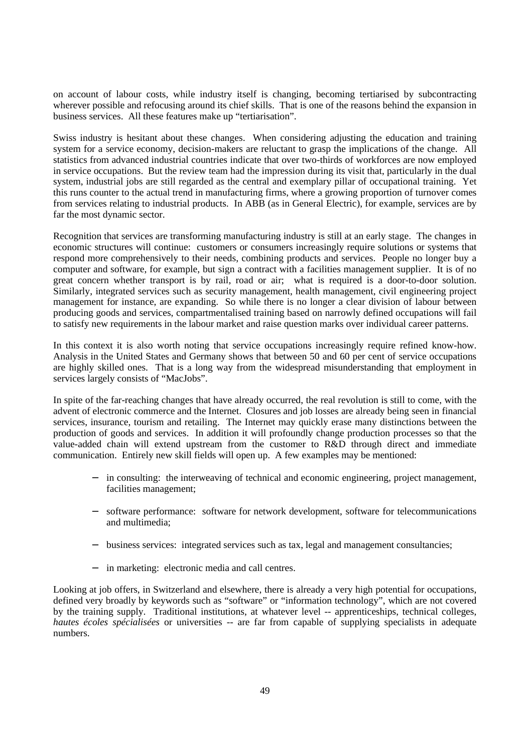on account of labour costs, while industry itself is changing, becoming tertiarised by subcontracting wherever possible and refocusing around its chief skills. That is one of the reasons behind the expansion in business services. All these features make up "tertiarisation".

Swiss industry is hesitant about these changes. When considering adjusting the education and training system for a service economy, decision-makers are reluctant to grasp the implications of the change. All statistics from advanced industrial countries indicate that over two-thirds of workforces are now employed in service occupations. But the review team had the impression during its visit that, particularly in the dual system, industrial jobs are still regarded as the central and exemplary pillar of occupational training. Yet this runs counter to the actual trend in manufacturing firms, where a growing proportion of turnover comes from services relating to industrial products. In ABB (as in General Electric), for example, services are by far the most dynamic sector.

Recognition that services are transforming manufacturing industry is still at an early stage. The changes in economic structures will continue: customers or consumers increasingly require solutions or systems that respond more comprehensively to their needs, combining products and services. People no longer buy a computer and software, for example, but sign a contract with a facilities management supplier. It is of no great concern whether transport is by rail, road or air; what is required is a door-to-door solution. Similarly, integrated services such as security management, health management, civil engineering project management for instance, are expanding. So while there is no longer a clear division of labour between producing goods and services, compartmentalised training based on narrowly defined occupations will fail to satisfy new requirements in the labour market and raise question marks over individual career patterns.

In this context it is also worth noting that service occupations increasingly require refined know-how. Analysis in the United States and Germany shows that between 50 and 60 per cent of service occupations are highly skilled ones. That is a long way from the widespread misunderstanding that employment in services largely consists of "MacJobs".

In spite of the far-reaching changes that have already occurred, the real revolution is still to come, with the advent of electronic commerce and the Internet. Closures and job losses are already being seen in financial services, insurance, tourism and retailing. The Internet may quickly erase many distinctions between the production of goods and services. In addition it will profoundly change production processes so that the value-added chain will extend upstream from the customer to R&D through direct and immediate communication. Entirely new skill fields will open up. A few examples may be mentioned:

- − in consulting: the interweaving of technical and economic engineering, project management, facilities management;
- software performance: software for network development, software for telecommunications and multimedia;
- − business services: integrated services such as tax, legal and management consultancies;
- − in marketing: electronic media and call centres.

Looking at job offers, in Switzerland and elsewhere, there is already a very high potential for occupations, defined very broadly by keywords such as "software" or "information technology", which are not covered by the training supply. Traditional institutions, at whatever level -- apprenticeships, technical colleges, *hautes écoles spécialisées* or universities -- are far from capable of supplying specialists in adequate numbers.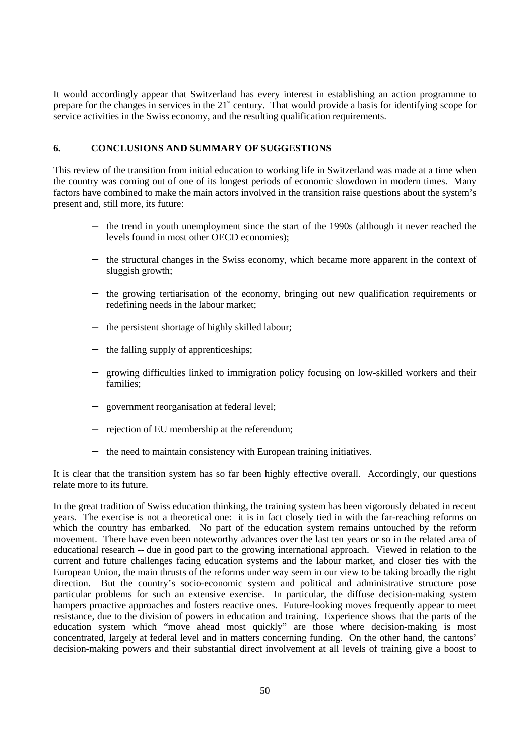It would accordingly appear that Switzerland has every interest in establishing an action programme to prepare for the changes in services in the  $21<sup>st</sup>$  century. That would provide a basis for identifying scope for service activities in the Swiss economy, and the resulting qualification requirements.

## **6. CONCLUSIONS AND SUMMARY OF SUGGESTIONS**

This review of the transition from initial education to working life in Switzerland was made at a time when the country was coming out of one of its longest periods of economic slowdown in modern times. Many factors have combined to make the main actors involved in the transition raise questions about the system's present and, still more, its future:

- the trend in youth unemployment since the start of the 1990s (although it never reached the levels found in most other OECD economies);
- the structural changes in the Swiss economy, which became more apparent in the context of sluggish growth;
- − the growing tertiarisation of the economy, bringing out new qualification requirements or redefining needs in the labour market;
- the persistent shortage of highly skilled labour;
- the falling supply of apprenticeships;
- growing difficulties linked to immigration policy focusing on low-skilled workers and their families;
- government reorganisation at federal level;
- rejection of EU membership at the referendum;
- − the need to maintain consistency with European training initiatives.

It is clear that the transition system has so far been highly effective overall. Accordingly, our questions relate more to its future.

In the great tradition of Swiss education thinking, the training system has been vigorously debated in recent years. The exercise is not a theoretical one: it is in fact closely tied in with the far-reaching reforms on which the country has embarked. No part of the education system remains untouched by the reform movement. There have even been noteworthy advances over the last ten years or so in the related area of educational research -- due in good part to the growing international approach. Viewed in relation to the current and future challenges facing education systems and the labour market, and closer ties with the European Union, the main thrusts of the reforms under way seem in our view to be taking broadly the right direction. But the country's socio-economic system and political and administrative structure pose particular problems for such an extensive exercise. In particular, the diffuse decision-making system hampers proactive approaches and fosters reactive ones. Future-looking moves frequently appear to meet resistance, due to the division of powers in education and training. Experience shows that the parts of the education system which "move ahead most quickly" are those where decision-making is most concentrated, largely at federal level and in matters concerning funding. On the other hand, the cantons' decision-making powers and their substantial direct involvement at all levels of training give a boost to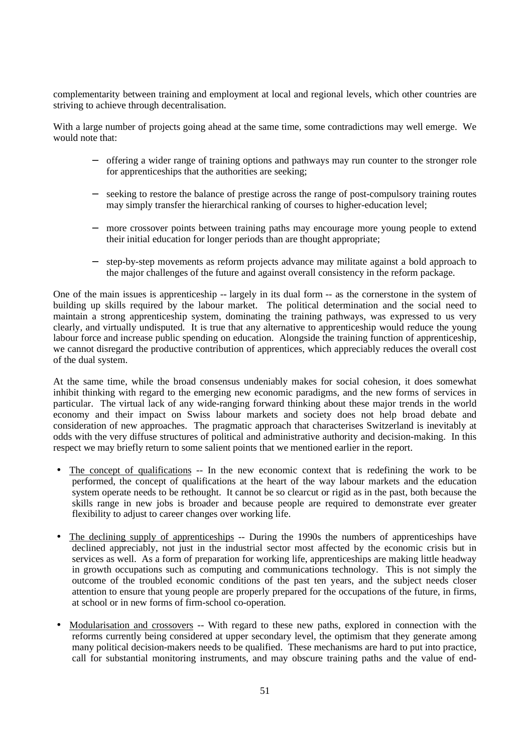complementarity between training and employment at local and regional levels, which other countries are striving to achieve through decentralisation.

With a large number of projects going ahead at the same time, some contradictions may well emerge. We would note that:

- − offering a wider range of training options and pathways may run counter to the stronger role for apprenticeships that the authorities are seeking;
- seeking to restore the balance of prestige across the range of post-compulsory training routes may simply transfer the hierarchical ranking of courses to higher-education level;
- − more crossover points between training paths may encourage more young people to extend their initial education for longer periods than are thought appropriate;
- − step-by-step movements as reform projects advance may militate against a bold approach to the major challenges of the future and against overall consistency in the reform package.

One of the main issues is apprenticeship -- largely in its dual form -- as the cornerstone in the system of building up skills required by the labour market. The political determination and the social need to maintain a strong apprenticeship system, dominating the training pathways, was expressed to us very clearly, and virtually undisputed. It is true that any alternative to apprenticeship would reduce the young labour force and increase public spending on education. Alongside the training function of apprenticeship, we cannot disregard the productive contribution of apprentices, which appreciably reduces the overall cost of the dual system.

At the same time, while the broad consensus undeniably makes for social cohesion, it does somewhat inhibit thinking with regard to the emerging new economic paradigms, and the new forms of services in particular. The virtual lack of any wide-ranging forward thinking about these major trends in the world economy and their impact on Swiss labour markets and society does not help broad debate and consideration of new approaches. The pragmatic approach that characterises Switzerland is inevitably at odds with the very diffuse structures of political and administrative authority and decision-making. In this respect we may briefly return to some salient points that we mentioned earlier in the report.

- The concept of qualifications -- In the new economic context that is redefining the work to be performed, the concept of qualifications at the heart of the way labour markets and the education system operate needs to be rethought. It cannot be so clearcut or rigid as in the past, both because the skills range in new jobs is broader and because people are required to demonstrate ever greater flexibility to adjust to career changes over working life.
- The declining supply of apprenticeships -- During the 1990s the numbers of apprenticeships have declined appreciably, not just in the industrial sector most affected by the economic crisis but in services as well. As a form of preparation for working life, apprenticeships are making little headway in growth occupations such as computing and communications technology. This is not simply the outcome of the troubled economic conditions of the past ten years, and the subject needs closer attention to ensure that young people are properly prepared for the occupations of the future, in firms, at school or in new forms of firm-school co-operation.
- Modularisation and crossovers -- With regard to these new paths, explored in connection with the reforms currently being considered at upper secondary level, the optimism that they generate among many political decision-makers needs to be qualified. These mechanisms are hard to put into practice, call for substantial monitoring instruments, and may obscure training paths and the value of end-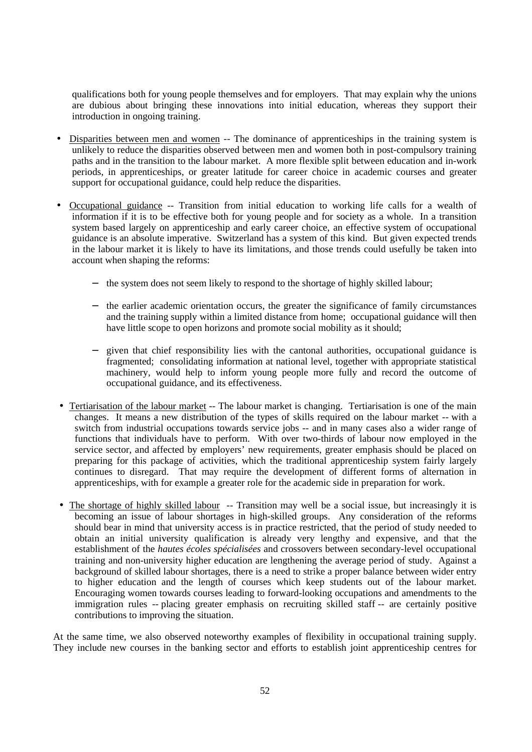qualifications both for young people themselves and for employers. That may explain why the unions are dubious about bringing these innovations into initial education, whereas they support their introduction in ongoing training.

- Disparities between men and women -- The dominance of apprenticeships in the training system is unlikely to reduce the disparities observed between men and women both in post-compulsory training paths and in the transition to the labour market. A more flexible split between education and in-work periods, in apprenticeships, or greater latitude for career choice in academic courses and greater support for occupational guidance, could help reduce the disparities.
- Occupational guidance -- Transition from initial education to working life calls for a wealth of information if it is to be effective both for young people and for society as a whole. In a transition system based largely on apprenticeship and early career choice, an effective system of occupational guidance is an absolute imperative. Switzerland has a system of this kind. But given expected trends in the labour market it is likely to have its limitations, and those trends could usefully be taken into account when shaping the reforms:
	- − the system does not seem likely to respond to the shortage of highly skilled labour;
	- − the earlier academic orientation occurs, the greater the significance of family circumstances and the training supply within a limited distance from home; occupational guidance will then have little scope to open horizons and promote social mobility as it should;
	- given that chief responsibility lies with the cantonal authorities, occupational guidance is fragmented; consolidating information at national level, together with appropriate statistical machinery, would help to inform young people more fully and record the outcome of occupational guidance, and its effectiveness.
- Tertiarisation of the labour market -- The labour market is changing. Tertiarisation is one of the main changes. It means a new distribution of the types of skills required on the labour market -- with a switch from industrial occupations towards service jobs -- and in many cases also a wider range of functions that individuals have to perform. With over two-thirds of labour now employed in the service sector, and affected by employers' new requirements, greater emphasis should be placed on preparing for this package of activities, which the traditional apprenticeship system fairly largely continues to disregard. That may require the development of different forms of alternation in apprenticeships, with for example a greater role for the academic side in preparation for work.
- The shortage of highly skilled labour -- Transition may well be a social issue, but increasingly it is becoming an issue of labour shortages in high-skilled groups. Any consideration of the reforms should bear in mind that university access is in practice restricted, that the period of study needed to obtain an initial university qualification is already very lengthy and expensive, and that the establishment of the *hautes écoles spécialisées* and crossovers between secondary-level occupational training and non-university higher education are lengthening the average period of study. Against a background of skilled labour shortages, there is a need to strike a proper balance between wider entry to higher education and the length of courses which keep students out of the labour market. Encouraging women towards courses leading to forward-looking occupations and amendments to the immigration rules -- placing greater emphasis on recruiting skilled staff -- are certainly positive contributions to improving the situation.

At the same time, we also observed noteworthy examples of flexibility in occupational training supply. They include new courses in the banking sector and efforts to establish joint apprenticeship centres for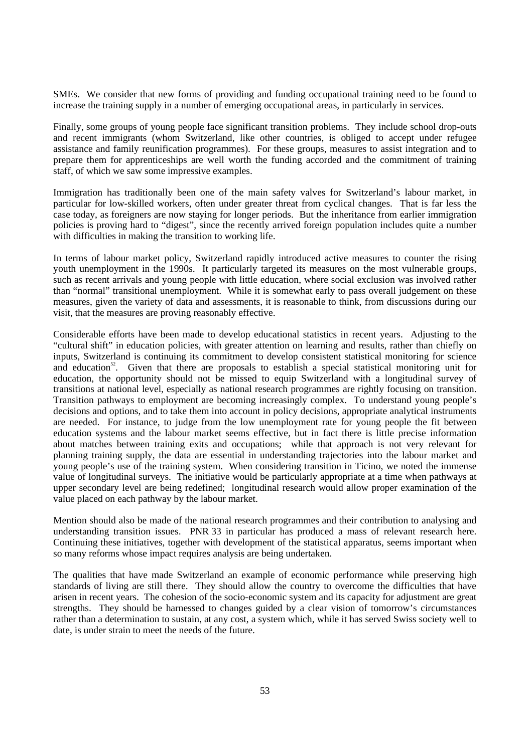SMEs. We consider that new forms of providing and funding occupational training need to be found to increase the training supply in a number of emerging occupational areas, in particularly in services.

Finally, some groups of young people face significant transition problems. They include school drop-outs and recent immigrants (whom Switzerland, like other countries, is obliged to accept under refugee assistance and family reunification programmes). For these groups, measures to assist integration and to prepare them for apprenticeships are well worth the funding accorded and the commitment of training staff, of which we saw some impressive examples.

Immigration has traditionally been one of the main safety valves for Switzerland's labour market, in particular for low-skilled workers, often under greater threat from cyclical changes. That is far less the case today, as foreigners are now staying for longer periods. But the inheritance from earlier immigration policies is proving hard to "digest", since the recently arrived foreign population includes quite a number with difficulties in making the transition to working life.

In terms of labour market policy, Switzerland rapidly introduced active measures to counter the rising youth unemployment in the 1990s. It particularly targeted its measures on the most vulnerable groups, such as recent arrivals and young people with little education, where social exclusion was involved rather than "normal" transitional unemployment. While it is somewhat early to pass overall judgement on these measures, given the variety of data and assessments, it is reasonable to think, from discussions during our visit, that the measures are proving reasonably effective.

Considerable efforts have been made to develop educational statistics in recent years. Adjusting to the "cultural shift" in education policies, with greater attention on learning and results, rather than chiefly on inputs, Switzerland is continuing its commitment to develop consistent statistical monitoring for science and education<sup>52</sup>. Given that there are proposals to establish a special statistical monitoring unit for education, the opportunity should not be missed to equip Switzerland with a longitudinal survey of transitions at national level, especially as national research programmes are rightly focusing on transition. Transition pathways to employment are becoming increasingly complex. To understand young people's decisions and options, and to take them into account in policy decisions, appropriate analytical instruments are needed. For instance, to judge from the low unemployment rate for young people the fit between education systems and the labour market seems effective, but in fact there is little precise information about matches between training exits and occupations; while that approach is not very relevant for planning training supply, the data are essential in understanding trajectories into the labour market and young people's use of the training system. When considering transition in Ticino, we noted the immense value of longitudinal surveys. The initiative would be particularly appropriate at a time when pathways at upper secondary level are being redefined; longitudinal research would allow proper examination of the value placed on each pathway by the labour market.

Mention should also be made of the national research programmes and their contribution to analysing and understanding transition issues. PNR 33 in particular has produced a mass of relevant research here. Continuing these initiatives, together with development of the statistical apparatus, seems important when so many reforms whose impact requires analysis are being undertaken.

The qualities that have made Switzerland an example of economic performance while preserving high standards of living are still there. They should allow the country to overcome the difficulties that have arisen in recent years. The cohesion of the socio-economic system and its capacity for adjustment are great strengths. They should be harnessed to changes guided by a clear vision of tomorrow's circumstances rather than a determination to sustain, at any cost, a system which, while it has served Swiss society well to date, is under strain to meet the needs of the future.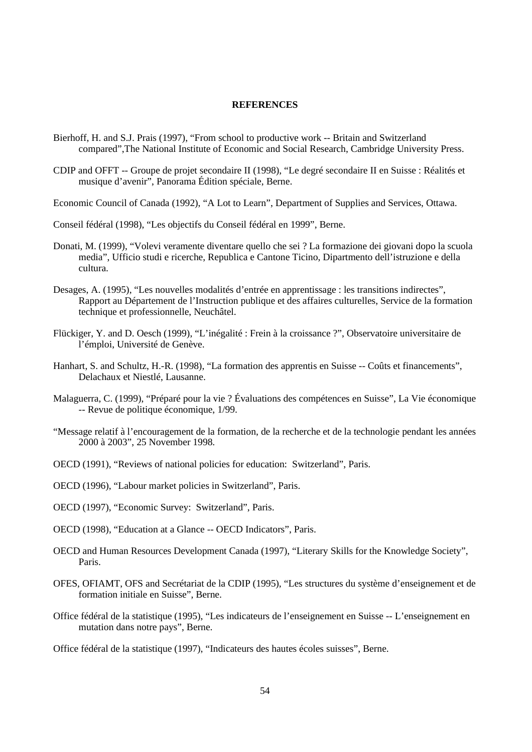#### **REFERENCES**

- Bierhoff, H. and S.J. Prais (1997), "From school to productive work -- Britain and Switzerland compared",The National Institute of Economic and Social Research, Cambridge University Press.
- CDIP and OFFT -- Groupe de projet secondaire II (1998), "Le degré secondaire II en Suisse : Réalités et musique d'avenir", Panorama Édition spéciale, Berne.

Economic Council of Canada (1992), "A Lot to Learn", Department of Supplies and Services, Ottawa.

- Conseil fédéral (1998), "Les objectifs du Conseil fédéral en 1999", Berne.
- Donati, M. (1999), "Volevi veramente diventare quello che sei ? La formazione dei giovani dopo la scuola media", Ufficio studi e ricerche, Republica e Cantone Ticino, Dipartmento dell'istruzione e della cultura.
- Desages, A. (1995), "Les nouvelles modalités d'entrée en apprentissage : les transitions indirectes", Rapport au Département de l'Instruction publique et des affaires culturelles, Service de la formation technique et professionnelle, Neuchâtel.
- Flückiger, Y. and D. Oesch (1999), "L'inégalité : Frein à la croissance ?", Observatoire universitaire de l'émploi, Université de Genève.
- Hanhart, S. and Schultz, H.-R. (1998), "La formation des apprentis en Suisse -- Coûts et financements", Delachaux et Niestlé, Lausanne.
- Malaguerra, C. (1999), "Préparé pour la vie ? Évaluations des compétences en Suisse", La Vie économique -- Revue de politique économique, 1/99.
- "Message relatif à l'encouragement de la formation, de la recherche et de la technologie pendant les années 2000 à 2003", 25 November 1998.
- OECD (1991), "Reviews of national policies for education: Switzerland", Paris.
- OECD (1996), "Labour market policies in Switzerland", Paris.
- OECD (1997), "Economic Survey: Switzerland", Paris.
- OECD (1998), "Education at a Glance -- OECD Indicators", Paris.
- OECD and Human Resources Development Canada (1997), "Literary Skills for the Knowledge Society", Paris.
- OFES, OFIAMT, OFS and Secrétariat de la CDIP (1995), "Les structures du système d'enseignement et de formation initiale en Suisse", Berne.
- Office fédéral de la statistique (1995), "Les indicateurs de l'enseignement en Suisse -- L'enseignement en mutation dans notre pays", Berne.

Office fédéral de la statistique (1997), "Indicateurs des hautes écoles suisses", Berne.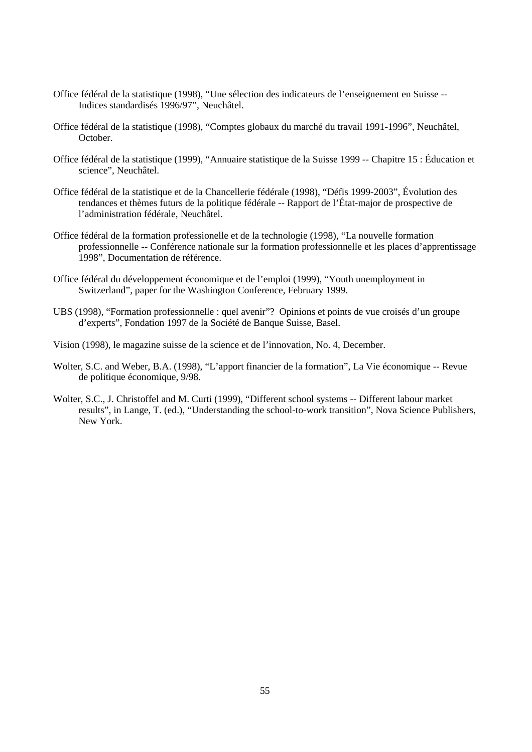- Office fédéral de la statistique (1998), "Une sélection des indicateurs de l'enseignement en Suisse -- Indices standardisés 1996/97", Neuchâtel.
- Office fédéral de la statistique (1998), "Comptes globaux du marché du travail 1991-1996", Neuchâtel, October.
- Office fédéral de la statistique (1999), "Annuaire statistique de la Suisse 1999 -- Chapitre 15 : Éducation et science", Neuchâtel.
- Office fédéral de la statistique et de la Chancellerie fédérale (1998), "Défis 1999-2003", Évolution des tendances et thèmes futurs de la politique fédérale -- Rapport de l'État-major de prospective de l'administration fédérale, Neuchâtel.
- Office fédéral de la formation professionelle et de la technologie (1998), "La nouvelle formation professionnelle -- Conférence nationale sur la formation professionnelle et les places d'apprentissage 1998", Documentation de référence.
- Office fédéral du développement économique et de l'emploi (1999), "Youth unemployment in Switzerland", paper for the Washington Conference, February 1999.
- UBS (1998), "Formation professionnelle : quel avenir"? Opinions et points de vue croisés d'un groupe d'experts", Fondation 1997 de la Société de Banque Suisse, Basel.
- Vision (1998), le magazine suisse de la science et de l'innovation, No. 4, December.
- Wolter, S.C. and Weber, B.A. (1998), "L'apport financier de la formation", La Vie économique -- Revue de politique économique, 9/98.
- Wolter, S.C., J. Christoffel and M. Curti (1999), "Different school systems -- Different labour market results", in Lange, T. (ed.), "Understanding the school-to-work transition", Nova Science Publishers, New York.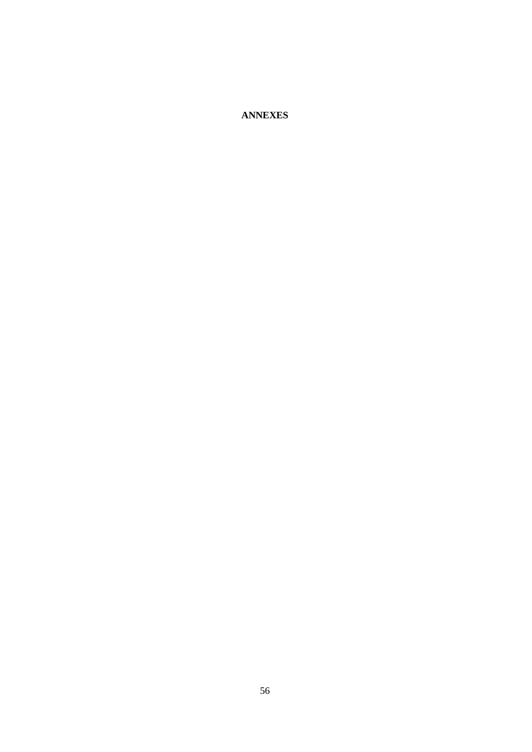**ANNEXES**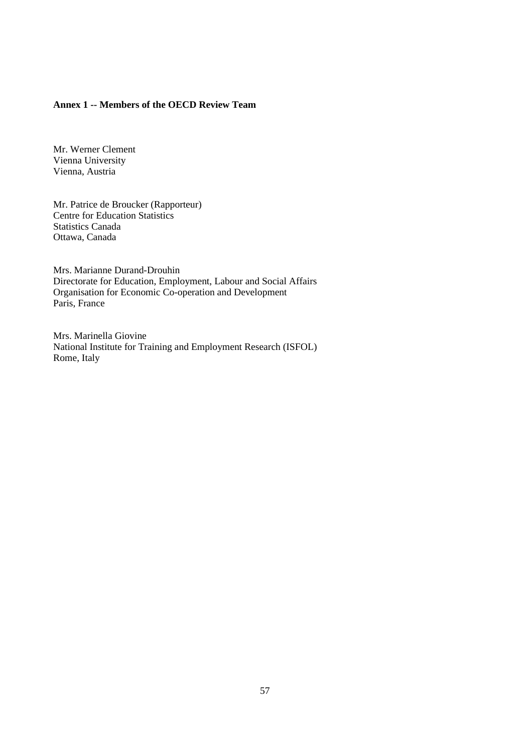## **Annex 1 -- Members of the OECD Review Team**

Mr. Werner Clement Vienna University Vienna, Austria

Mr. Patrice de Broucker (Rapporteur) Centre for Education Statistics Statistics Canada Ottawa, Canada

Mrs. Marianne Durand-Drouhin Directorate for Education, Employment, Labour and Social Affairs Organisation for Economic Co-operation and Development Paris, France

Mrs. Marinella Giovine National Institute for Training and Employment Research (ISFOL) Rome, Italy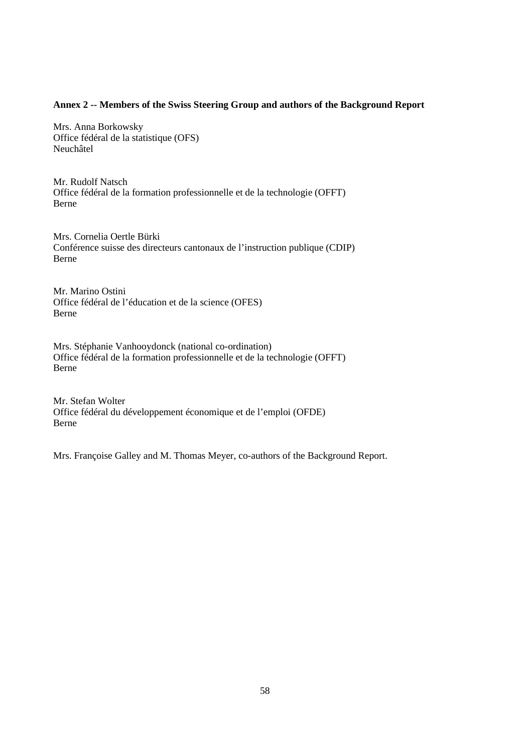## **Annex 2 -- Members of the Swiss Steering Group and authors of the Background Report**

Mrs. Anna Borkowsky Office fédéral de la statistique (OFS) Neuchâtel

Mr. Rudolf Natsch Office fédéral de la formation professionnelle et de la technologie (OFFT) Berne

Mrs. Cornelia Oertle Bürki Conférence suisse des directeurs cantonaux de l'instruction publique (CDIP) Berne

Mr. Marino Ostini Office fédéral de l'éducation et de la science (OFES) Berne

Mrs. Stéphanie Vanhooydonck (national co-ordination) Office fédéral de la formation professionnelle et de la technologie (OFFT) Berne

Mr. Stefan Wolter Office fédéral du développement économique et de l'emploi (OFDE) Berne

Mrs. Françoise Galley and M. Thomas Meyer, co-authors of the Background Report.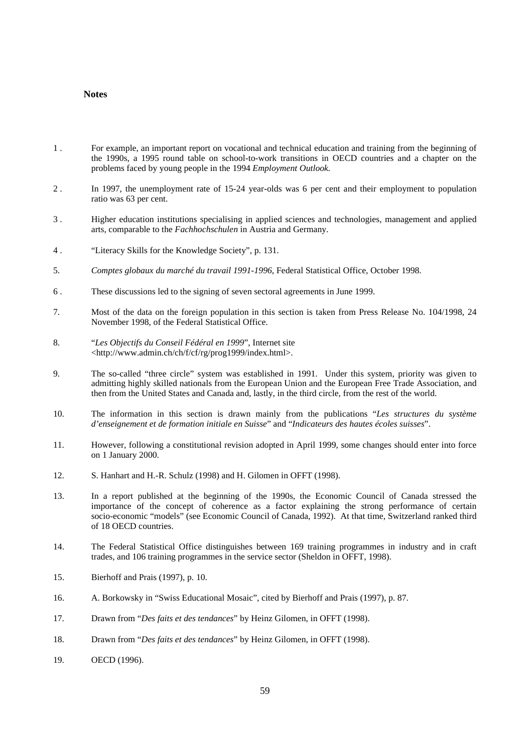### **Notes**

- 1 . For example, an important report on vocational and technical education and training from the beginning of the 1990s, a 1995 round table on school-to-work transitions in OECD countries and a chapter on the problems faced by young people in the 1994 *Employment Outlook.*
- 2 . In 1997, the unemployment rate of 15-24 year-olds was 6 per cent and their employment to population ratio was 63 per cent.
- 3 . Higher education institutions specialising in applied sciences and technologies, management and applied arts, comparable to the *Fachhochschulen* in Austria and Germany.
- 4 . "Literacy Skills for the Knowledge Society", p. 131.
- 5. *Comptes globaux du marché du travail 1991-1996*, Federal Statistical Office, October 1998.
- 6 . These discussions led to the signing of seven sectoral agreements in June 1999.
- 7. Most of the data on the foreign population in this section is taken from Press Release No. 104/1998, 24 November 1998, of the Federal Statistical Office.
- 8. "*Les Objectifs du Conseil Fédéral en 1999*", Internet site <http://www.admin.ch/ch/f/cf/rg/prog1999/index.html>.
- 9. The so-called "three circle" system was established in 1991. Under this system, priority was given to admitting highly skilled nationals from the European Union and the European Free Trade Association, and then from the United States and Canada and, lastly, in the third circle, from the rest of the world.
- 10. The information in this section is drawn mainly from the publications "*Les structures du système d'enseignement et de formation initiale en Suisse*" and "*Indicateurs des hautes écoles suisses*".
- 11. However, following a constitutional revision adopted in April 1999, some changes should enter into force on 1 January 2000.
- 12. S. Hanhart and H.-R. Schulz (1998) and H. Gilomen in OFFT (1998).
- 13. In a report published at the beginning of the 1990s, the Economic Council of Canada stressed the importance of the concept of coherence as a factor explaining the strong performance of certain socio-economic "models" (see Economic Council of Canada, 1992). At that time, Switzerland ranked third of 18 OECD countries.
- 14. The Federal Statistical Office distinguishes between 169 training programmes in industry and in craft trades, and 106 training programmes in the service sector (Sheldon in OFFT, 1998).
- 15. Bierhoff and Prais (1997), p. 10.
- 16. A. Borkowsky in "Swiss Educational Mosaic", cited by Bierhoff and Prais (1997), p. 87.
- 17. Drawn from "*Des faits et des tendances*" by Heinz Gilomen, in OFFT (1998).
- 18. Drawn from "*Des faits et des tendances*" by Heinz Gilomen, in OFFT (1998).
- 19. OECD (1996).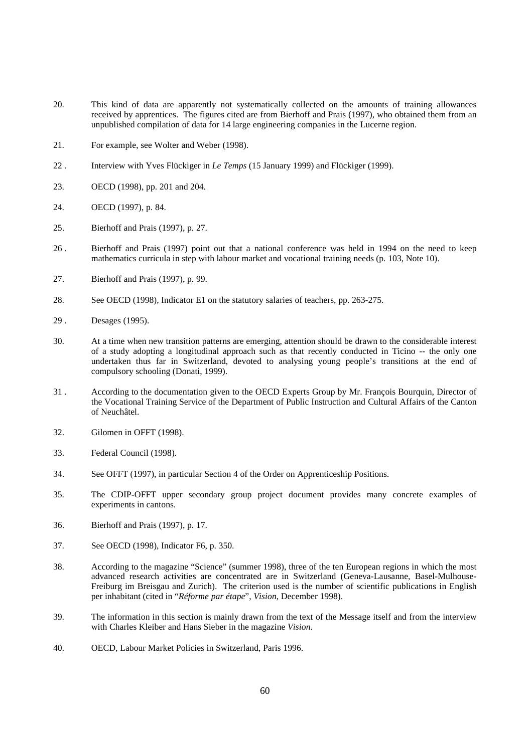- 20. This kind of data are apparently not systematically collected on the amounts of training allowances received by apprentices. The figures cited are from Bierhoff and Prais (1997), who obtained them from an unpublished compilation of data for 14 large engineering companies in the Lucerne region.
- 21. For example, see Wolter and Weber (1998).
- 22 . Interview with Yves Flückiger in *Le Temps* (15 January 1999) and Flückiger (1999).
- 23. OECD (1998), pp. 201 and 204.
- 24. OECD (1997), p. 84.
- 25. Bierhoff and Prais (1997), p. 27.
- 26 . Bierhoff and Prais (1997) point out that a national conference was held in 1994 on the need to keep mathematics curricula in step with labour market and vocational training needs (p. 103, Note 10).
- 27. Bierhoff and Prais (1997), p. 99.
- 28. See OECD (1998), Indicator E1 on the statutory salaries of teachers, pp. 263-275.
- 29 . Desages (1995).
- 30. At a time when new transition patterns are emerging, attention should be drawn to the considerable interest of a study adopting a longitudinal approach such as that recently conducted in Ticino -- the only one undertaken thus far in Switzerland, devoted to analysing young people's transitions at the end of compulsory schooling (Donati, 1999).
- 31 . According to the documentation given to the OECD Experts Group by Mr. François Bourquin, Director of the Vocational Training Service of the Department of Public Instruction and Cultural Affairs of the Canton of Neuchâtel.
- 32. Gilomen in OFFT (1998).
- 33. Federal Council (1998).
- 34. See OFFT (1997), in particular Section 4 of the Order on Apprenticeship Positions.
- 35. The CDIP-OFFT upper secondary group project document provides many concrete examples of experiments in cantons.
- 36. Bierhoff and Prais (1997), p. 17.
- 37. See OECD (1998), Indicator F6, p. 350.
- 38. According to the magazine "Science" (summer 1998), three of the ten European regions in which the most advanced research activities are concentrated are in Switzerland (Geneva-Lausanne, Basel-Mulhouse-Freiburg im Breisgau and Zurich). The criterion used is the number of scientific publications in English per inhabitant (cited in "*Réforme par étape*", *Vision*, December 1998).
- 39. The information in this section is mainly drawn from the text of the Message itself and from the interview with Charles Kleiber and Hans Sieber in the magazine *Vision*.
- 40. OECD, Labour Market Policies in Switzerland, Paris 1996.